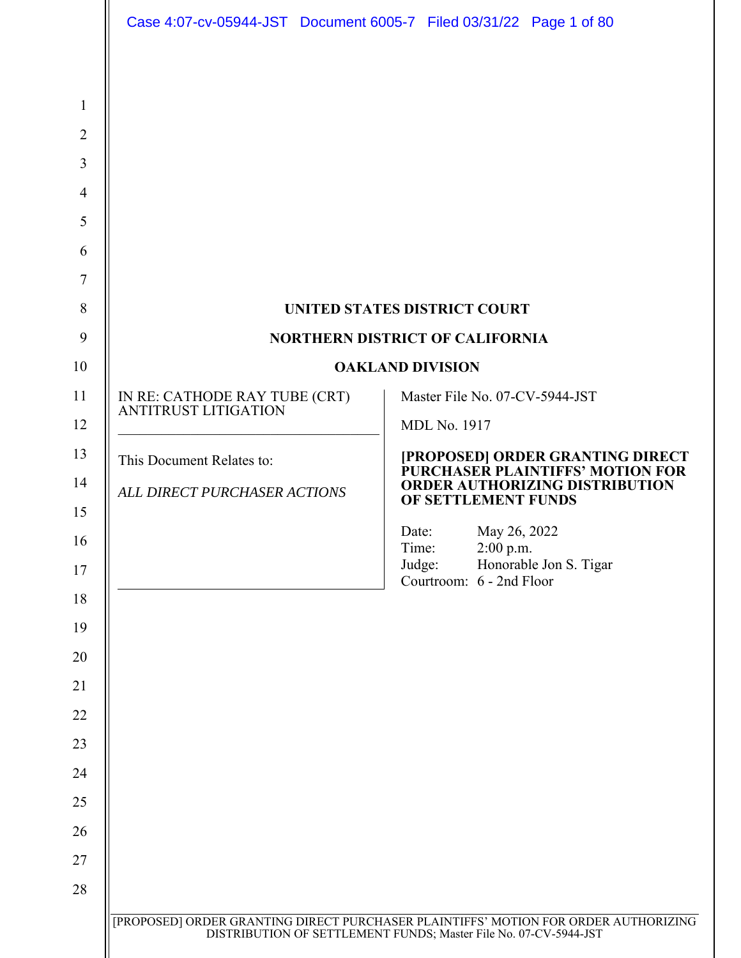|                               | <b>UNITED STATES DISTRICT COURT</b>                                  |
|-------------------------------|----------------------------------------------------------------------|
|                               | <b>NORTHERN DISTRICT OF CALIFORNIA</b>                               |
|                               | <b>OAKLAND DIVISION</b>                                              |
| IN RE: CATHODE RAY TUBE (CRT) | Master File No. 07-CV-5944-JST                                       |
| <b>ANTITRUST LITIGATION</b>   | <b>MDL No. 1917</b>                                                  |
| This Document Relates to:     | [PROPOSED] ORDER GRANTING DIRECT<br>PURCHASER PLAINTIFFS' MOTION FOR |
| ALL DIRECT PURCHASER ACTIONS  | <b>ORDER AUTHORIZING DISTRIBUTION</b><br>OF SETTLEMENT FUNDS         |
|                               | May 26, 2022<br>Date:                                                |
|                               | Time:<br>$2:00$ p.m.<br>Judge:<br>Honorable Jon S. Tigar             |
|                               | Courtroom: 6 - 2nd Floor                                             |
|                               |                                                                      |
|                               |                                                                      |
|                               |                                                                      |
|                               |                                                                      |
|                               |                                                                      |
|                               |                                                                      |
|                               |                                                                      |
|                               |                                                                      |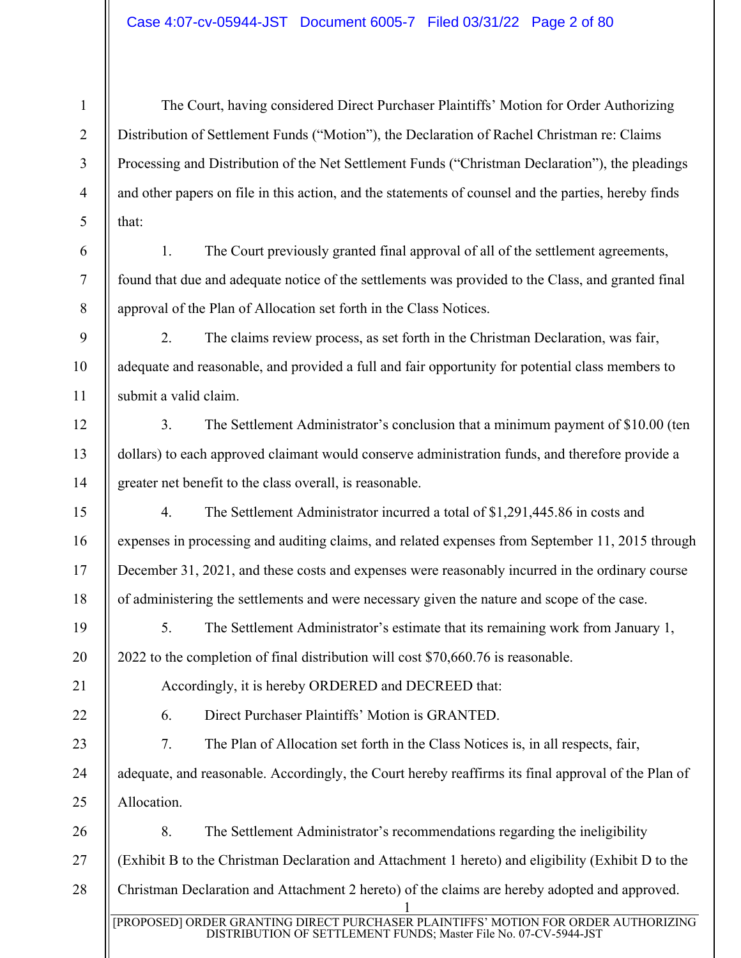The Court, having considered Direct Purchaser Plaintiffs' Motion for Order Authorizing Distribution of Settlement Funds ("Motion"), the Declaration of Rachel Christman re: Claims Processing and Distribution of the Net Settlement Funds ("Christman Declaration"), the pleadings and other papers on file in this action, and the statements of counsel and the parties, hereby finds that:

1. The Court previously granted final approval of all of the settlement agreements, found that due and adequate notice of the settlements was provided to the Class, and granted final approval of the Plan of Allocation set forth in the Class Notices.

2. The claims review process, as set forth in the Christman Declaration, was fair, adequate and reasonable, and provided a full and fair opportunity for potential class members to submit a valid claim.

3. The Settlement Administrator's conclusion that a minimum payment of \$10.00 (ten dollars) to each approved claimant would conserve administration funds, and therefore provide a greater net benefit to the class overall, is reasonable.

4. The Settlement Administrator incurred a total of \$1,291,445.86 in costs and expenses in processing and auditing claims, and related expenses from September 11, 2015 through December 31, 2021, and these costs and expenses were reasonably incurred in the ordinary course of administering the settlements and were necessary given the nature and scope of the case.

5. The Settlement Administrator's estimate that its remaining work from January 1, 2022 to the completion of final distribution will cost \$70,660.76 is reasonable.

Accordingly, it is hereby ORDERED and DECREED that:

6. Direct Purchaser Plaintiffs' Motion is GRANTED.

7. The Plan of Allocation set forth in the Class Notices is, in all respects, fair, adequate, and reasonable. Accordingly, the Court hereby reaffirms its final approval of the Plan of Allocation.

1 [PROPOSED] ORDER GRANTING DIRECT PURCHASER PLAINTIFFS' MOTION FOR ORDER AUTHORIZING 26 27 28 8. The Settlement Administrator's recommendations regarding the ineligibility (Exhibit B to the Christman Declaration and Attachment 1 hereto) and eligibility (Exhibit D to the Christman Declaration and Attachment 2 hereto) of the claims are hereby adopted and approved.

DISTRIBUTION OF SETTLEMENT FUNDS; Master File No. 07-CV-5944-JST

1

2

3

4

6

7

8

9

10

11

12

13

14

15

16

17

18

19

20

21

22

23

24

25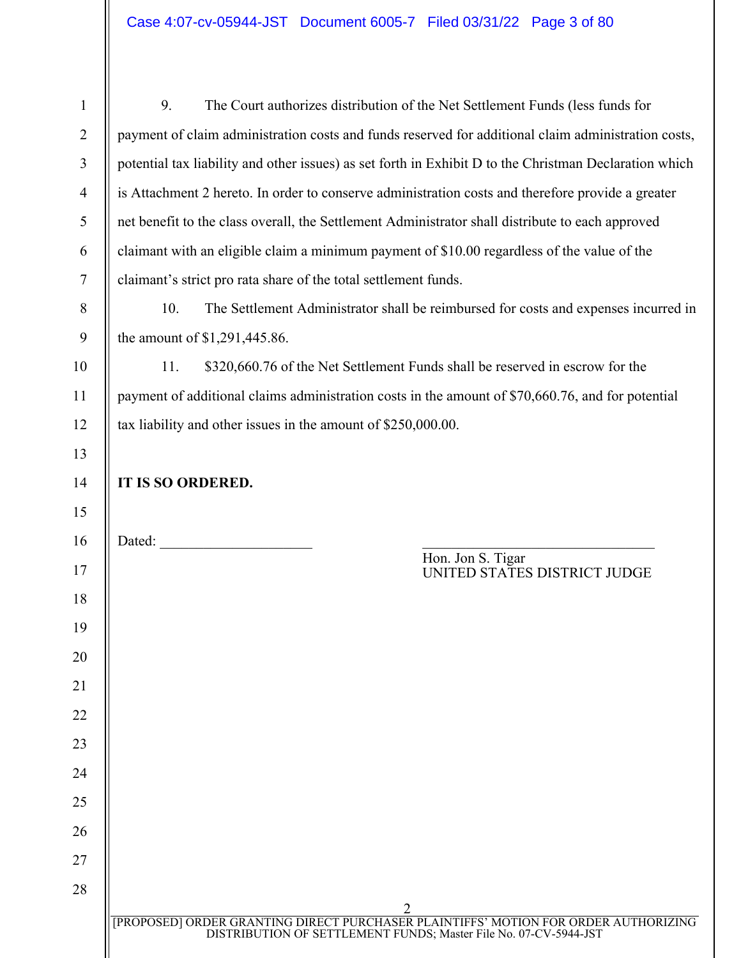| $\mathbf{1}$   | 9.<br>The Court authorizes distribution of the Net Settlement Funds (less funds for                                                                          |
|----------------|--------------------------------------------------------------------------------------------------------------------------------------------------------------|
| $\overline{2}$ | payment of claim administration costs and funds reserved for additional claim administration costs,                                                          |
| 3              | potential tax liability and other issues) as set forth in Exhibit D to the Christman Declaration which                                                       |
| $\overline{4}$ | is Attachment 2 hereto. In order to conserve administration costs and therefore provide a greater                                                            |
| $\mathfrak{S}$ | net benefit to the class overall, the Settlement Administrator shall distribute to each approved                                                             |
| 6              | claimant with an eligible claim a minimum payment of \$10.00 regardless of the value of the                                                                  |
| $\tau$         | claimant's strict pro rata share of the total settlement funds.                                                                                              |
| $8\,$          | 10.<br>The Settlement Administrator shall be reimbursed for costs and expenses incurred in                                                                   |
| 9              | the amount of \$1,291,445.86.                                                                                                                                |
| 10             | \$320,660.76 of the Net Settlement Funds shall be reserved in escrow for the<br>11.                                                                          |
| 11             | payment of additional claims administration costs in the amount of \$70,660.76, and for potential                                                            |
| 12             | tax liability and other issues in the amount of \$250,000.00.                                                                                                |
| 13             |                                                                                                                                                              |
| 14             | IT IS SO ORDERED.                                                                                                                                            |
| 15             |                                                                                                                                                              |
| 16             | Dated:                                                                                                                                                       |
| 17             | Hon. Jon S. Tigar<br>UNITED STATES DISTRICT JUDGE                                                                                                            |
| 18             |                                                                                                                                                              |
| 19             |                                                                                                                                                              |
| 20             |                                                                                                                                                              |
| 21             |                                                                                                                                                              |
| 22             |                                                                                                                                                              |
| 23             |                                                                                                                                                              |
| 24             |                                                                                                                                                              |
| 25             |                                                                                                                                                              |
| 26             |                                                                                                                                                              |
| 27             |                                                                                                                                                              |
| 28             |                                                                                                                                                              |
|                |                                                                                                                                                              |
|                | 2<br>[PROPOSED] ORDER GRANTING DIRECT PURCHASER PLAINTIFFS' MOTION FOR ORDER AUTHORIZING<br>DISTRIBUTION OF SETTLEMENT FUNDS; Master File No. 07-CV-5944-JST |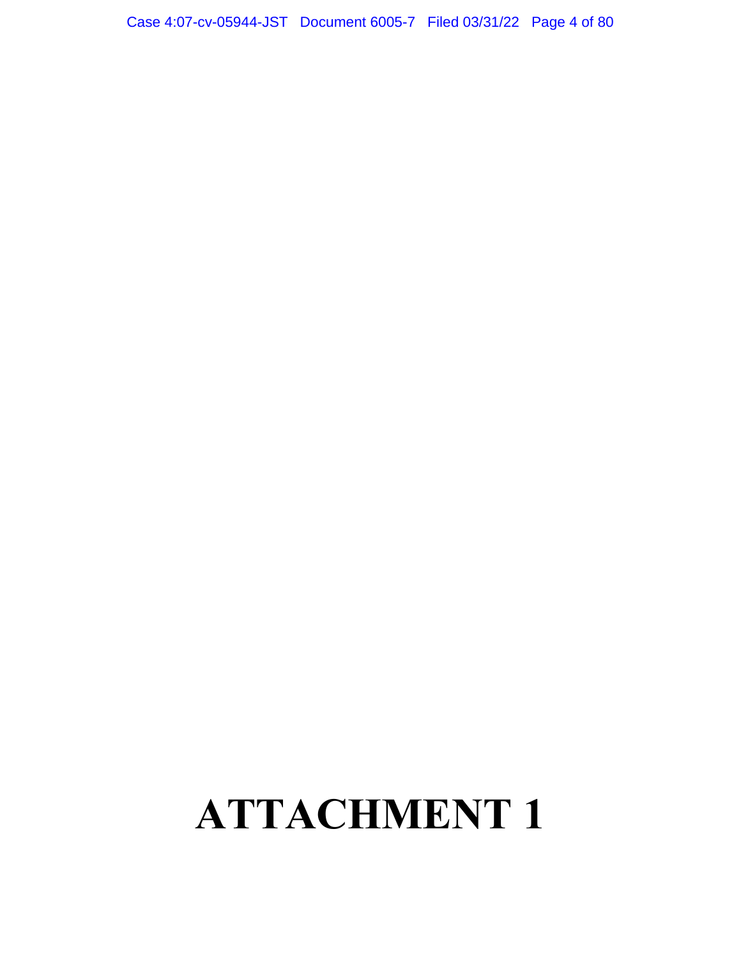## Case 4:07-cv-05944-JST Document 6005-7 Filed 03/31/22 Page 4 of 80

## **ATTACHMENT 1**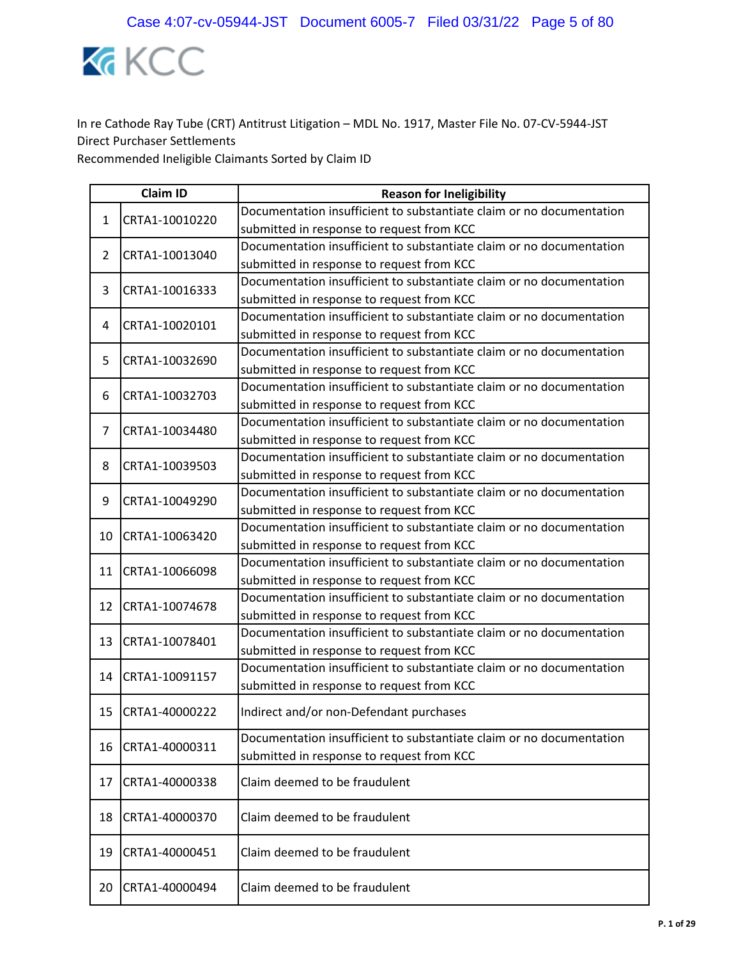

|                | <b>Claim ID</b> | <b>Reason for Ineligibility</b>                                      |
|----------------|-----------------|----------------------------------------------------------------------|
| $\mathbf{1}$   | CRTA1-10010220  | Documentation insufficient to substantiate claim or no documentation |
|                |                 | submitted in response to request from KCC                            |
| $\overline{2}$ | CRTA1-10013040  | Documentation insufficient to substantiate claim or no documentation |
|                |                 | submitted in response to request from KCC                            |
| 3              | CRTA1-10016333  | Documentation insufficient to substantiate claim or no documentation |
|                |                 | submitted in response to request from KCC                            |
| 4              | CRTA1-10020101  | Documentation insufficient to substantiate claim or no documentation |
|                |                 | submitted in response to request from KCC                            |
| 5              | CRTA1-10032690  | Documentation insufficient to substantiate claim or no documentation |
|                |                 | submitted in response to request from KCC                            |
| 6              | CRTA1-10032703  | Documentation insufficient to substantiate claim or no documentation |
|                |                 | submitted in response to request from KCC                            |
| 7              | CRTA1-10034480  | Documentation insufficient to substantiate claim or no documentation |
|                |                 | submitted in response to request from KCC                            |
| 8              | CRTA1-10039503  | Documentation insufficient to substantiate claim or no documentation |
|                |                 | submitted in response to request from KCC                            |
| 9              | CRTA1-10049290  | Documentation insufficient to substantiate claim or no documentation |
|                |                 | submitted in response to request from KCC                            |
| 10             | CRTA1-10063420  | Documentation insufficient to substantiate claim or no documentation |
|                |                 | submitted in response to request from KCC                            |
| 11             | CRTA1-10066098  | Documentation insufficient to substantiate claim or no documentation |
|                |                 | submitted in response to request from KCC                            |
| 12             | CRTA1-10074678  | Documentation insufficient to substantiate claim or no documentation |
|                |                 | submitted in response to request from KCC                            |
| 13             | CRTA1-10078401  | Documentation insufficient to substantiate claim or no documentation |
|                |                 | submitted in response to request from KCC                            |
| 14             | CRTA1-10091157  | Documentation insufficient to substantiate claim or no documentation |
|                |                 | submitted in response to request from KCC                            |
| 15             | CRTA1-40000222  | Indirect and/or non-Defendant purchases                              |
|                |                 | Documentation insufficient to substantiate claim or no documentation |
| 16             | CRTA1-40000311  | submitted in response to request from KCC                            |
| 17             | CRTA1-40000338  | Claim deemed to be fraudulent                                        |
|                |                 |                                                                      |
| 18             | CRTA1-40000370  | Claim deemed to be fraudulent                                        |
| 19             | CRTA1-40000451  | Claim deemed to be fraudulent                                        |
| 20             | CRTA1-40000494  | Claim deemed to be fraudulent                                        |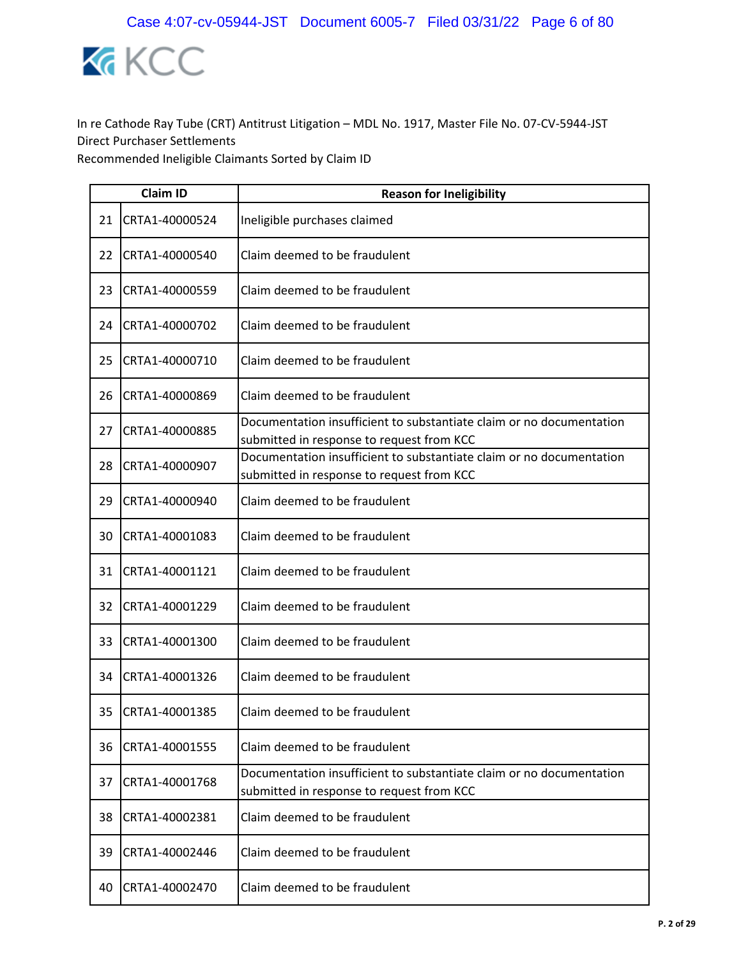

|    | <b>Claim ID</b> | <b>Reason for Ineligibility</b>                                                                                   |
|----|-----------------|-------------------------------------------------------------------------------------------------------------------|
| 21 | CRTA1-40000524  | Ineligible purchases claimed                                                                                      |
| 22 | CRTA1-40000540  | Claim deemed to be fraudulent                                                                                     |
| 23 | CRTA1-40000559  | Claim deemed to be fraudulent                                                                                     |
| 24 | CRTA1-40000702  | Claim deemed to be fraudulent                                                                                     |
| 25 | CRTA1-40000710  | Claim deemed to be fraudulent                                                                                     |
| 26 | CRTA1-40000869  | Claim deemed to be fraudulent                                                                                     |
| 27 | CRTA1-40000885  | Documentation insufficient to substantiate claim or no documentation<br>submitted in response to request from KCC |
| 28 | CRTA1-40000907  | Documentation insufficient to substantiate claim or no documentation<br>submitted in response to request from KCC |
| 29 | CRTA1-40000940  | Claim deemed to be fraudulent                                                                                     |
| 30 | CRTA1-40001083  | Claim deemed to be fraudulent                                                                                     |
| 31 | CRTA1-40001121  | Claim deemed to be fraudulent                                                                                     |
| 32 | CRTA1-40001229  | Claim deemed to be fraudulent                                                                                     |
| 33 | CRTA1-40001300  | Claim deemed to be fraudulent                                                                                     |
| 34 | CRTA1-40001326  | Claim deemed to be fraudulent                                                                                     |
| 35 | CRTA1-40001385  | Claim deemed to be fraudulent                                                                                     |
| 36 | CRTA1-40001555  | Claim deemed to be fraudulent                                                                                     |
| 37 | CRTA1-40001768  | Documentation insufficient to substantiate claim or no documentation<br>submitted in response to request from KCC |
| 38 | CRTA1-40002381  | Claim deemed to be fraudulent                                                                                     |
| 39 | CRTA1-40002446  | Claim deemed to be fraudulent                                                                                     |
| 40 | CRTA1-40002470  | Claim deemed to be fraudulent                                                                                     |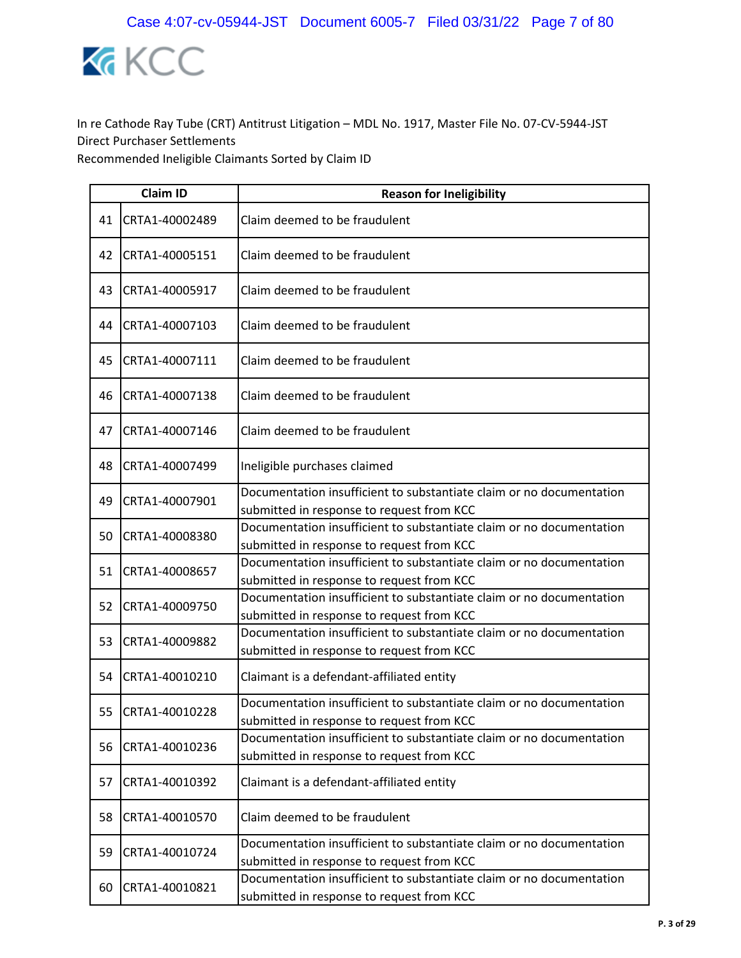

|    | <b>Claim ID</b> | <b>Reason for Ineligibility</b>                                                                                   |  |
|----|-----------------|-------------------------------------------------------------------------------------------------------------------|--|
| 41 | CRTA1-40002489  | Claim deemed to be fraudulent                                                                                     |  |
| 42 | CRTA1-40005151  | Claim deemed to be fraudulent                                                                                     |  |
| 43 | CRTA1-40005917  | Claim deemed to be fraudulent                                                                                     |  |
| 44 | CRTA1-40007103  | Claim deemed to be fraudulent                                                                                     |  |
| 45 | CRTA1-40007111  | Claim deemed to be fraudulent                                                                                     |  |
| 46 | CRTA1-40007138  | Claim deemed to be fraudulent                                                                                     |  |
| 47 | CRTA1-40007146  | Claim deemed to be fraudulent                                                                                     |  |
| 48 | CRTA1-40007499  | Ineligible purchases claimed                                                                                      |  |
| 49 | CRTA1-40007901  | Documentation insufficient to substantiate claim or no documentation<br>submitted in response to request from KCC |  |
| 50 | CRTA1-40008380  | Documentation insufficient to substantiate claim or no documentation<br>submitted in response to request from KCC |  |
| 51 | CRTA1-40008657  | Documentation insufficient to substantiate claim or no documentation<br>submitted in response to request from KCC |  |
| 52 | CRTA1-40009750  | Documentation insufficient to substantiate claim or no documentation<br>submitted in response to request from KCC |  |
| 53 | CRTA1-40009882  | Documentation insufficient to substantiate claim or no documentation<br>submitted in response to request from KCC |  |
| 54 | CRTA1-40010210  | Claimant is a defendant-affiliated entity                                                                         |  |
| 55 | CRTA1-40010228  | Documentation insufficient to substantiate claim or no documentation<br>submitted in response to request from KCC |  |
| 56 | CRTA1-40010236  | Documentation insufficient to substantiate claim or no documentation<br>submitted in response to request from KCC |  |
| 57 | CRTA1-40010392  | Claimant is a defendant-affiliated entity                                                                         |  |
| 58 | CRTA1-40010570  | Claim deemed to be fraudulent                                                                                     |  |
| 59 | CRTA1-40010724  | Documentation insufficient to substantiate claim or no documentation<br>submitted in response to request from KCC |  |
| 60 | CRTA1-40010821  | Documentation insufficient to substantiate claim or no documentation<br>submitted in response to request from KCC |  |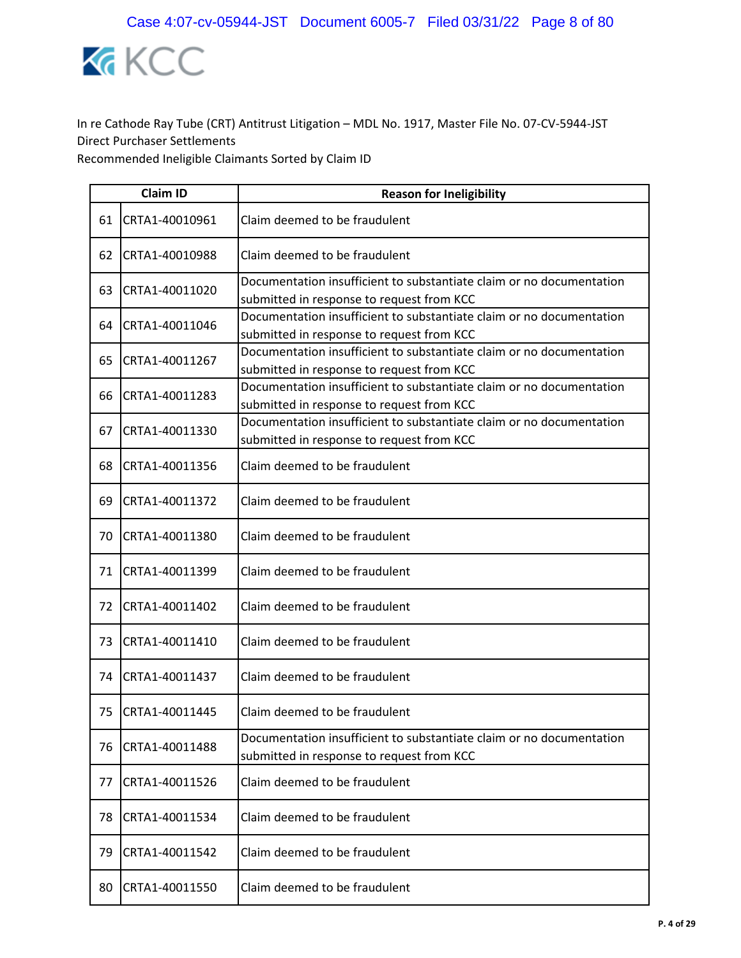

|    | <b>Claim ID</b> | <b>Reason for Ineligibility</b>                                                                                   |
|----|-----------------|-------------------------------------------------------------------------------------------------------------------|
| 61 | CRTA1-40010961  | Claim deemed to be fraudulent                                                                                     |
| 62 | CRTA1-40010988  | Claim deemed to be fraudulent                                                                                     |
| 63 | CRTA1-40011020  | Documentation insufficient to substantiate claim or no documentation<br>submitted in response to request from KCC |
| 64 | CRTA1-40011046  | Documentation insufficient to substantiate claim or no documentation<br>submitted in response to request from KCC |
| 65 | CRTA1-40011267  | Documentation insufficient to substantiate claim or no documentation<br>submitted in response to request from KCC |
| 66 | CRTA1-40011283  | Documentation insufficient to substantiate claim or no documentation<br>submitted in response to request from KCC |
| 67 | CRTA1-40011330  | Documentation insufficient to substantiate claim or no documentation<br>submitted in response to request from KCC |
| 68 | CRTA1-40011356  | Claim deemed to be fraudulent                                                                                     |
| 69 | CRTA1-40011372  | Claim deemed to be fraudulent                                                                                     |
| 70 | CRTA1-40011380  | Claim deemed to be fraudulent                                                                                     |
| 71 | CRTA1-40011399  | Claim deemed to be fraudulent                                                                                     |
| 72 | CRTA1-40011402  | Claim deemed to be fraudulent                                                                                     |
| 73 | CRTA1-40011410  | Claim deemed to be fraudulent                                                                                     |
| 74 | CRTA1-40011437  | Claim deemed to be fraudulent                                                                                     |
| 75 | CRTA1-40011445  | Claim deemed to be fraudulent                                                                                     |
| 76 | CRTA1-40011488  | Documentation insufficient to substantiate claim or no documentation<br>submitted in response to request from KCC |
| 77 | CRTA1-40011526  | Claim deemed to be fraudulent                                                                                     |
| 78 | CRTA1-40011534  | Claim deemed to be fraudulent                                                                                     |
| 79 | CRTA1-40011542  | Claim deemed to be fraudulent                                                                                     |
| 80 | CRTA1-40011550  | Claim deemed to be fraudulent                                                                                     |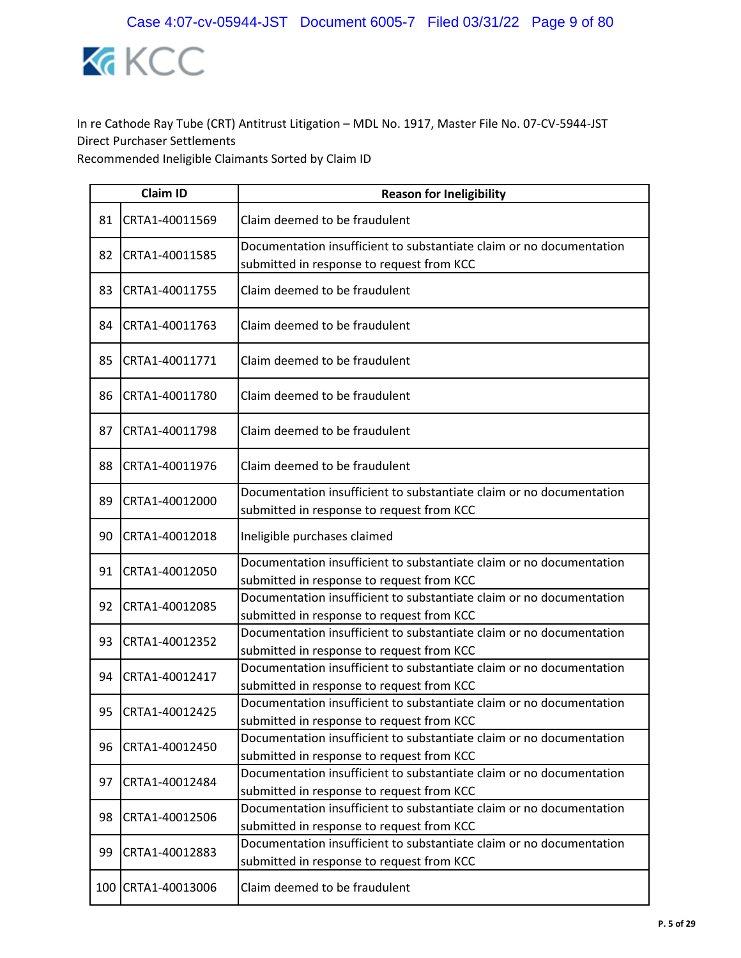

|    | <b>Claim ID</b>    | <b>Reason for Ineligibility</b>                                                                                   |
|----|--------------------|-------------------------------------------------------------------------------------------------------------------|
| 81 | CRTA1-40011569     | Claim deemed to be fraudulent                                                                                     |
| 82 | CRTA1-40011585     | Documentation insufficient to substantiate claim or no documentation<br>submitted in response to request from KCC |
| 83 | CRTA1-40011755     | Claim deemed to be fraudulent                                                                                     |
| 84 | CRTA1-40011763     | Claim deemed to be fraudulent                                                                                     |
| 85 | CRTA1-40011771     | Claim deemed to be fraudulent                                                                                     |
| 86 | CRTA1-40011780     | Claim deemed to be fraudulent                                                                                     |
| 87 | CRTA1-40011798     | Claim deemed to be fraudulent                                                                                     |
| 88 | CRTA1-40011976     | Claim deemed to be fraudulent                                                                                     |
| 89 | CRTA1-40012000     | Documentation insufficient to substantiate claim or no documentation<br>submitted in response to request from KCC |
| 90 | CRTA1-40012018     | Ineligible purchases claimed                                                                                      |
| 91 | CRTA1-40012050     | Documentation insufficient to substantiate claim or no documentation<br>submitted in response to request from KCC |
| 92 | CRTA1-40012085     | Documentation insufficient to substantiate claim or no documentation<br>submitted in response to request from KCC |
| 93 | CRTA1-40012352     | Documentation insufficient to substantiate claim or no documentation<br>submitted in response to request from KCC |
| 94 | CRTA1-40012417     | Documentation insufficient to substantiate claim or no documentation<br>submitted in response to request from KCC |
| 95 | CRTA1-40012425     | Documentation insufficient to substantiate claim or no documentation<br>submitted in response to request from KCC |
| 96 | CRTA1-40012450     | Documentation insufficient to substantiate claim or no documentation<br>submitted in response to request from KCC |
| 97 | CRTA1-40012484     | Documentation insufficient to substantiate claim or no documentation<br>submitted in response to request from KCC |
| 98 | CRTA1-40012506     | Documentation insufficient to substantiate claim or no documentation<br>submitted in response to request from KCC |
| 99 | CRTA1-40012883     | Documentation insufficient to substantiate claim or no documentation<br>submitted in response to request from KCC |
|    | 100 CRTA1-40013006 | Claim deemed to be fraudulent                                                                                     |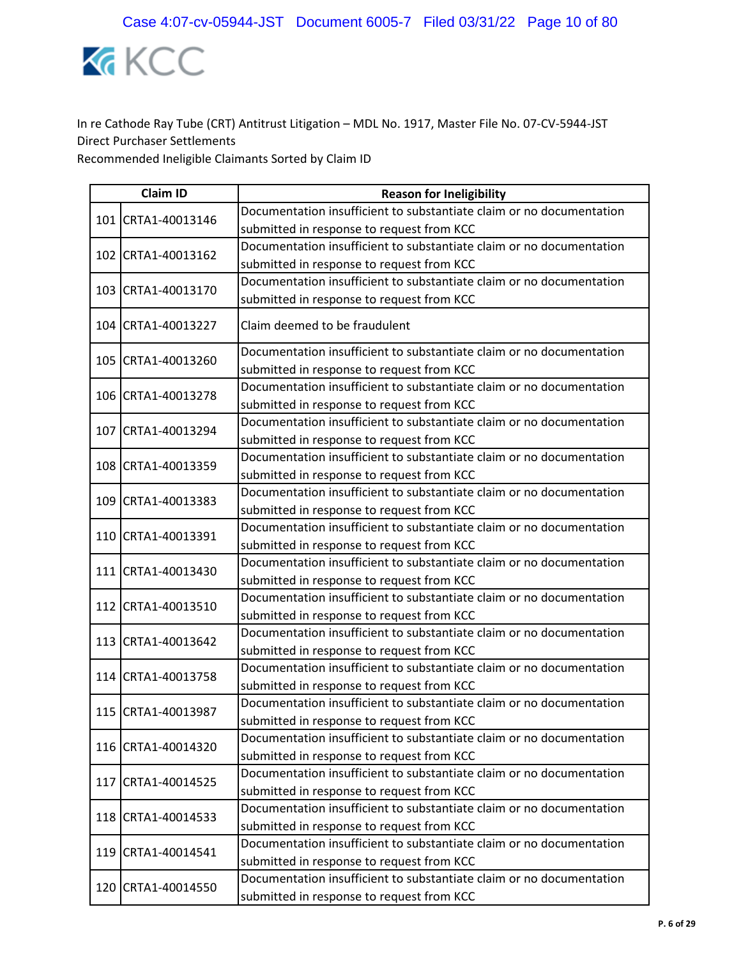

|  | <b>Claim ID</b>    | <b>Reason for Ineligibility</b>                                      |
|--|--------------------|----------------------------------------------------------------------|
|  | 101 CRTA1-40013146 | Documentation insufficient to substantiate claim or no documentation |
|  |                    | submitted in response to request from KCC                            |
|  | 102 CRTA1-40013162 | Documentation insufficient to substantiate claim or no documentation |
|  |                    | submitted in response to request from KCC                            |
|  | 103 CRTA1-40013170 | Documentation insufficient to substantiate claim or no documentation |
|  |                    | submitted in response to request from KCC                            |
|  | 104 CRTA1-40013227 | Claim deemed to be fraudulent                                        |
|  | 105 CRTA1-40013260 | Documentation insufficient to substantiate claim or no documentation |
|  |                    | submitted in response to request from KCC                            |
|  | 106 CRTA1-40013278 | Documentation insufficient to substantiate claim or no documentation |
|  |                    | submitted in response to request from KCC                            |
|  | 107 CRTA1-40013294 | Documentation insufficient to substantiate claim or no documentation |
|  |                    | submitted in response to request from KCC                            |
|  | 108 CRTA1-40013359 | Documentation insufficient to substantiate claim or no documentation |
|  |                    | submitted in response to request from KCC                            |
|  | 109 CRTA1-40013383 | Documentation insufficient to substantiate claim or no documentation |
|  |                    | submitted in response to request from KCC                            |
|  | 110 CRTA1-40013391 | Documentation insufficient to substantiate claim or no documentation |
|  |                    | submitted in response to request from KCC                            |
|  | 111 CRTA1-40013430 | Documentation insufficient to substantiate claim or no documentation |
|  |                    | submitted in response to request from KCC                            |
|  | 112 CRTA1-40013510 | Documentation insufficient to substantiate claim or no documentation |
|  |                    | submitted in response to request from KCC                            |
|  | 113 CRTA1-40013642 | Documentation insufficient to substantiate claim or no documentation |
|  |                    | submitted in response to request from KCC                            |
|  | 114 CRTA1-40013758 | Documentation insufficient to substantiate claim or no documentation |
|  |                    | submitted in response to request from KCC                            |
|  | 115 CRTA1-40013987 | Documentation insufficient to substantiate claim or no documentation |
|  |                    | submitted in response to request from KCC                            |
|  | 116 CRTA1-40014320 | Documentation insufficient to substantiate claim or no documentation |
|  |                    | submitted in response to request from KCC                            |
|  | 117 CRTA1-40014525 | Documentation insufficient to substantiate claim or no documentation |
|  |                    | submitted in response to request from KCC                            |
|  | 118 CRTA1-40014533 | Documentation insufficient to substantiate claim or no documentation |
|  |                    | submitted in response to request from KCC                            |
|  | 119 CRTA1-40014541 | Documentation insufficient to substantiate claim or no documentation |
|  |                    | submitted in response to request from KCC                            |
|  | 120 CRTA1-40014550 | Documentation insufficient to substantiate claim or no documentation |
|  |                    | submitted in response to request from KCC                            |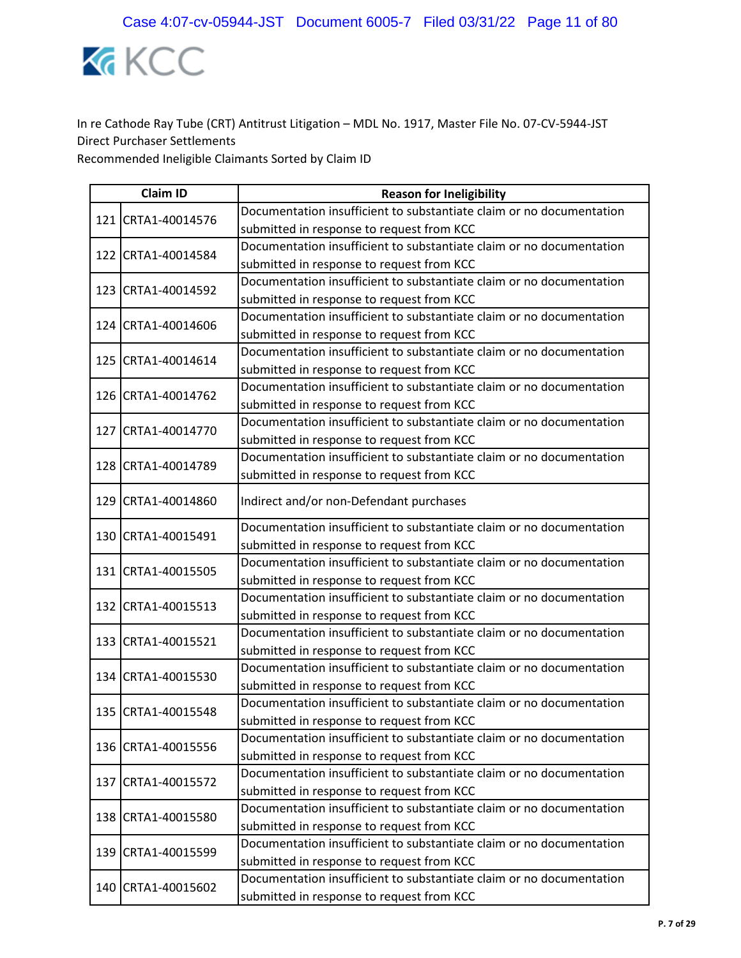

|  | <b>Claim ID</b>    | <b>Reason for Ineligibility</b>                                      |
|--|--------------------|----------------------------------------------------------------------|
|  | 121 CRTA1-40014576 | Documentation insufficient to substantiate claim or no documentation |
|  |                    | submitted in response to request from KCC                            |
|  | 122 CRTA1-40014584 | Documentation insufficient to substantiate claim or no documentation |
|  |                    | submitted in response to request from KCC                            |
|  | 123 CRTA1-40014592 | Documentation insufficient to substantiate claim or no documentation |
|  |                    | submitted in response to request from KCC                            |
|  | 124 CRTA1-40014606 | Documentation insufficient to substantiate claim or no documentation |
|  |                    | submitted in response to request from KCC                            |
|  | 125 CRTA1-40014614 | Documentation insufficient to substantiate claim or no documentation |
|  |                    | submitted in response to request from KCC                            |
|  | 126 CRTA1-40014762 | Documentation insufficient to substantiate claim or no documentation |
|  |                    | submitted in response to request from KCC                            |
|  | 127 CRTA1-40014770 | Documentation insufficient to substantiate claim or no documentation |
|  |                    | submitted in response to request from KCC                            |
|  | 128 CRTA1-40014789 | Documentation insufficient to substantiate claim or no documentation |
|  |                    | submitted in response to request from KCC                            |
|  | 129 CRTA1-40014860 | Indirect and/or non-Defendant purchases                              |
|  |                    | Documentation insufficient to substantiate claim or no documentation |
|  | 130 CRTA1-40015491 | submitted in response to request from KCC                            |
|  | 131 CRTA1-40015505 | Documentation insufficient to substantiate claim or no documentation |
|  |                    | submitted in response to request from KCC                            |
|  | 132 CRTA1-40015513 | Documentation insufficient to substantiate claim or no documentation |
|  |                    | submitted in response to request from KCC                            |
|  | 133 CRTA1-40015521 | Documentation insufficient to substantiate claim or no documentation |
|  |                    | submitted in response to request from KCC                            |
|  | 134 CRTA1-40015530 | Documentation insufficient to substantiate claim or no documentation |
|  |                    | submitted in response to request from KCC                            |
|  | 135 CRTA1-40015548 | Documentation insufficient to substantiate claim or no documentation |
|  |                    | submitted in response to request from KCC                            |
|  | 136 CRTA1-40015556 | Documentation insufficient to substantiate claim or no documentation |
|  |                    | submitted in response to request from KCC                            |
|  | 137 CRTA1-40015572 | Documentation insufficient to substantiate claim or no documentation |
|  |                    | submitted in response to request from KCC                            |
|  | 138 CRTA1-40015580 | Documentation insufficient to substantiate claim or no documentation |
|  |                    | submitted in response to request from KCC                            |
|  | 139 CRTA1-40015599 | Documentation insufficient to substantiate claim or no documentation |
|  |                    | submitted in response to request from KCC                            |
|  | 140 CRTA1-40015602 | Documentation insufficient to substantiate claim or no documentation |
|  |                    | submitted in response to request from KCC                            |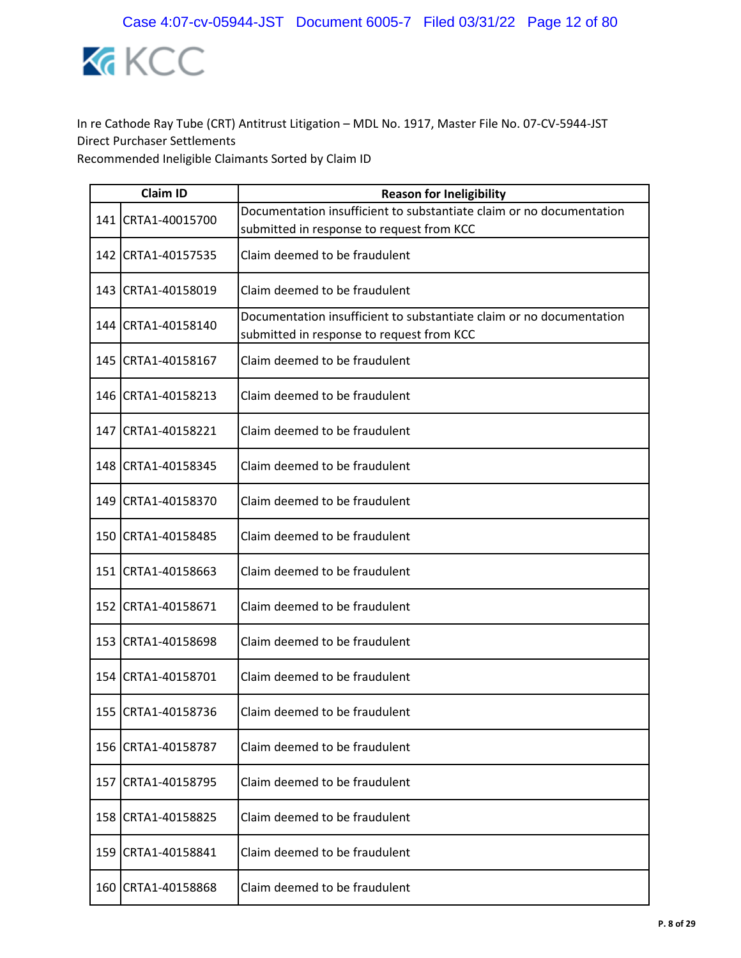

|     | <b>Claim ID</b>      | <b>Reason for Ineligibility</b>                                                                                   |
|-----|----------------------|-------------------------------------------------------------------------------------------------------------------|
|     | 141 CRTA1-40015700   | Documentation insufficient to substantiate claim or no documentation<br>submitted in response to request from KCC |
|     | 142 CRTA1-40157535   | Claim deemed to be fraudulent                                                                                     |
|     | 143 CRTA1-40158019   | Claim deemed to be fraudulent                                                                                     |
|     | 144   CRTA1-40158140 | Documentation insufficient to substantiate claim or no documentation<br>submitted in response to request from KCC |
|     | 145 CRTA1-40158167   | Claim deemed to be fraudulent                                                                                     |
|     | 146 CRTA1-40158213   | Claim deemed to be fraudulent                                                                                     |
|     | 147 CRTA1-40158221   | Claim deemed to be fraudulent                                                                                     |
|     | 148 CRTA1-40158345   | Claim deemed to be fraudulent                                                                                     |
|     | 149 CRTA1-40158370   | Claim deemed to be fraudulent                                                                                     |
|     | 150 CRTA1-40158485   | Claim deemed to be fraudulent                                                                                     |
|     | 151 CRTA1-40158663   | Claim deemed to be fraudulent                                                                                     |
|     | 152 CRTA1-40158671   | Claim deemed to be fraudulent                                                                                     |
|     | 153 CRTA1-40158698   | Claim deemed to be fraudulent                                                                                     |
|     | 154 CRTA1-40158701   | Claim deemed to be fraudulent                                                                                     |
|     | 155 CRTA1-40158736   | Claim deemed to be fraudulent                                                                                     |
| 156 | CRTA1-40158787       | Claim deemed to be fraudulent                                                                                     |
| 157 | CRTA1-40158795       | Claim deemed to be fraudulent                                                                                     |
| 158 | CRTA1-40158825       | Claim deemed to be fraudulent                                                                                     |
|     | 159 CRTA1-40158841   | Claim deemed to be fraudulent                                                                                     |
| 160 | CRTA1-40158868       | Claim deemed to be fraudulent                                                                                     |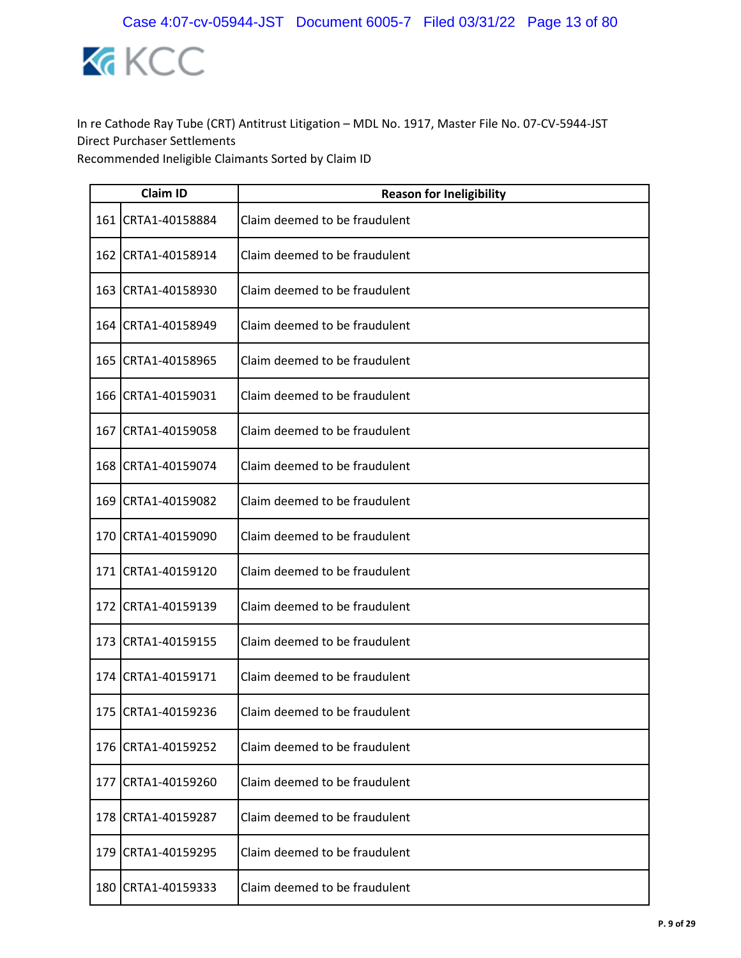

|       | <b>Claim ID</b>    | <b>Reason for Ineligibility</b> |  |
|-------|--------------------|---------------------------------|--|
|       | 161 CRTA1-40158884 | Claim deemed to be fraudulent   |  |
| 162 l | CRTA1-40158914     | Claim deemed to be fraudulent   |  |
|       | 163 CRTA1-40158930 | Claim deemed to be fraudulent   |  |
|       | 164 CRTA1-40158949 | Claim deemed to be fraudulent   |  |
|       | 165 CRTA1-40158965 | Claim deemed to be fraudulent   |  |
|       | 166 CRTA1-40159031 | Claim deemed to be fraudulent   |  |
| 167   | CRTA1-40159058     | Claim deemed to be fraudulent   |  |
|       | 168 CRTA1-40159074 | Claim deemed to be fraudulent   |  |
| 169   | CRTA1-40159082     | Claim deemed to be fraudulent   |  |
|       | 170 CRTA1-40159090 | Claim deemed to be fraudulent   |  |
|       | 171 CRTA1-40159120 | Claim deemed to be fraudulent   |  |
| 172   | CRTA1-40159139     | Claim deemed to be fraudulent   |  |
|       | 173 CRTA1-40159155 | Claim deemed to be fraudulent   |  |
| 174 l | CRTA1-40159171     | Claim deemed to be fraudulent   |  |
|       | 175 CRTA1-40159236 | Claim deemed to be fraudulent   |  |
| 176   | CRTA1-40159252     | Claim deemed to be fraudulent   |  |
|       | 177 CRTA1-40159260 | Claim deemed to be fraudulent   |  |
| 178   | CRTA1-40159287     | Claim deemed to be fraudulent   |  |
|       | 179 CRTA1-40159295 | Claim deemed to be fraudulent   |  |
| 180   | CRTA1-40159333     | Claim deemed to be fraudulent   |  |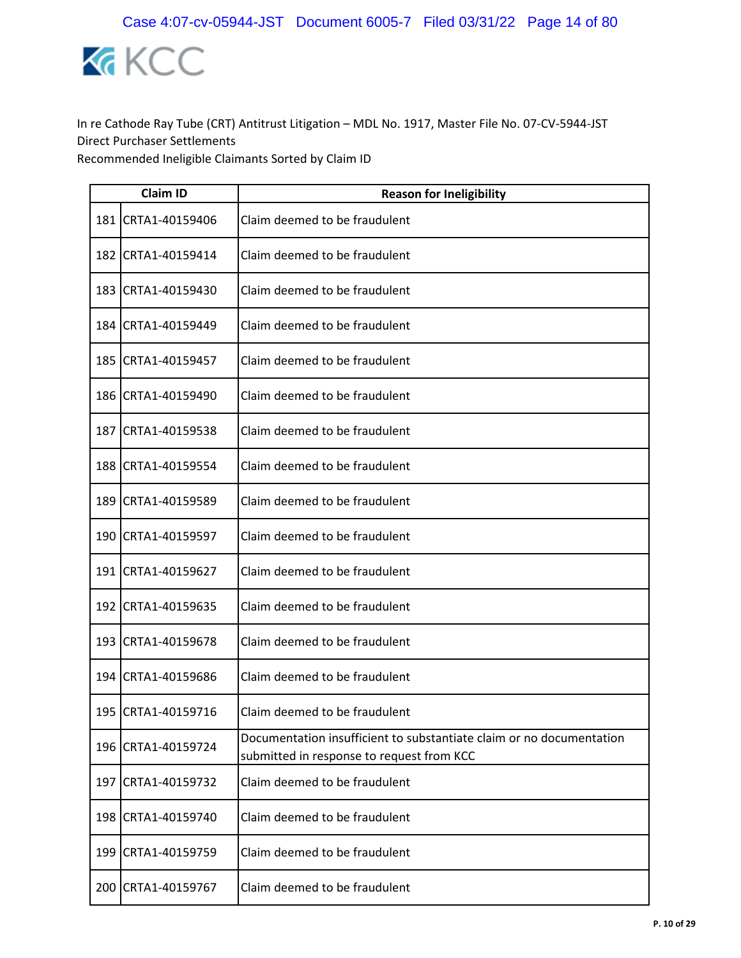

|       | <b>Claim ID</b>    | <b>Reason for Ineligibility</b>                                                                                   |  |
|-------|--------------------|-------------------------------------------------------------------------------------------------------------------|--|
| 181   | CRTA1-40159406     | Claim deemed to be fraudulent                                                                                     |  |
| 182   | CRTA1-40159414     | Claim deemed to be fraudulent                                                                                     |  |
| 183   | CRTA1-40159430     | Claim deemed to be fraudulent                                                                                     |  |
| 184   | CRTA1-40159449     | Claim deemed to be fraudulent                                                                                     |  |
| 185   | CRTA1-40159457     | Claim deemed to be fraudulent                                                                                     |  |
|       | 186 CRTA1-40159490 | Claim deemed to be fraudulent                                                                                     |  |
| 187   | CRTA1-40159538     | Claim deemed to be fraudulent                                                                                     |  |
|       | 188 CRTA1-40159554 | Claim deemed to be fraudulent                                                                                     |  |
| 189   | CRTA1-40159589     | Claim deemed to be fraudulent                                                                                     |  |
|       | 190 CRTA1-40159597 | Claim deemed to be fraudulent                                                                                     |  |
|       | 191 CRTA1-40159627 | Claim deemed to be fraudulent                                                                                     |  |
| 192   | CRTA1-40159635     | Claim deemed to be fraudulent                                                                                     |  |
|       | 193 CRTA1-40159678 | Claim deemed to be fraudulent                                                                                     |  |
| 194   | CRTA1-40159686     | Claim deemed to be fraudulent                                                                                     |  |
| 195 l | CRTA1-40159716     | Claim deemed to be fraudulent                                                                                     |  |
| 196   | CRTA1-40159724     | Documentation insufficient to substantiate claim or no documentation<br>submitted in response to request from KCC |  |
|       | 197 CRTA1-40159732 | Claim deemed to be fraudulent                                                                                     |  |
| 198   | CRTA1-40159740     | Claim deemed to be fraudulent                                                                                     |  |
| 199   | CRTA1-40159759     | Claim deemed to be fraudulent                                                                                     |  |
| 200   | CRTA1-40159767     | Claim deemed to be fraudulent                                                                                     |  |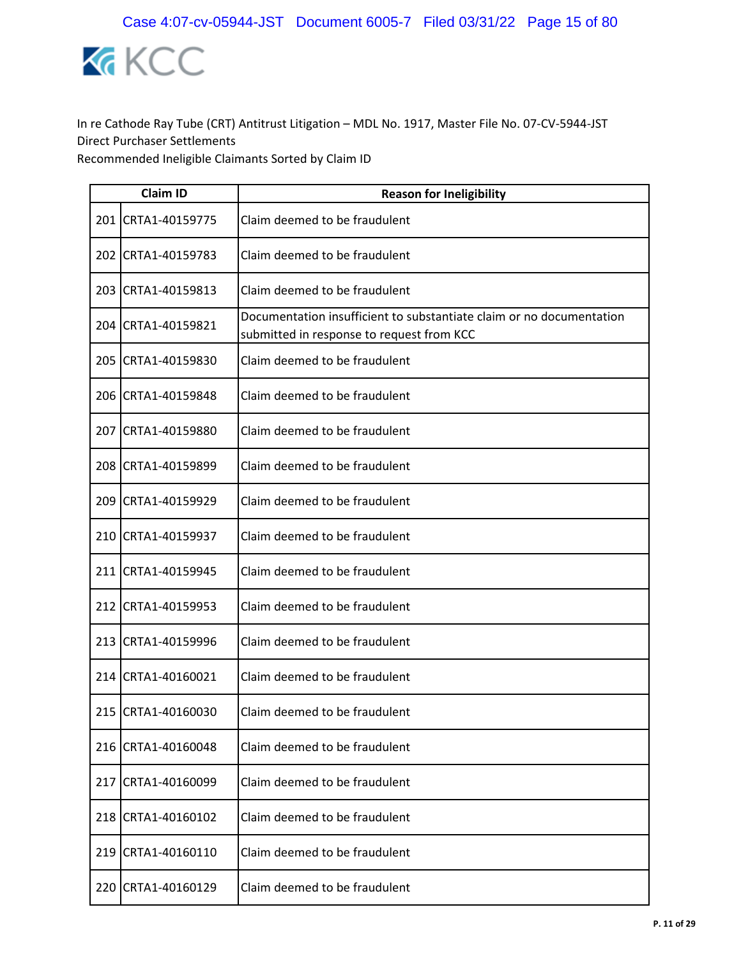

|     | <b>Claim ID</b>    | <b>Reason for Ineligibility</b>                                                                                   |
|-----|--------------------|-------------------------------------------------------------------------------------------------------------------|
|     | 201 CRTA1-40159775 | Claim deemed to be fraudulent                                                                                     |
|     | 202 CRTA1-40159783 | Claim deemed to be fraudulent                                                                                     |
|     | 203 CRTA1-40159813 | Claim deemed to be fraudulent                                                                                     |
|     | 204 CRTA1-40159821 | Documentation insufficient to substantiate claim or no documentation<br>submitted in response to request from KCC |
|     | 205 CRTA1-40159830 | Claim deemed to be fraudulent                                                                                     |
|     | 206 CRTA1-40159848 | Claim deemed to be fraudulent                                                                                     |
| 207 | CRTA1-40159880     | Claim deemed to be fraudulent                                                                                     |
|     | 208 CRTA1-40159899 | Claim deemed to be fraudulent                                                                                     |
|     | 209 CRTA1-40159929 | Claim deemed to be fraudulent                                                                                     |
|     | 210 CRTA1-40159937 | Claim deemed to be fraudulent                                                                                     |
|     | 211 CRTA1-40159945 | Claim deemed to be fraudulent                                                                                     |
|     | 212 CRTA1-40159953 | Claim deemed to be fraudulent                                                                                     |
|     | 213 CRTA1-40159996 | Claim deemed to be fraudulent                                                                                     |
|     | 214 CRTA1-40160021 | Claim deemed to be fraudulent                                                                                     |
|     | 215 CRTA1-40160030 | Claim deemed to be fraudulent                                                                                     |
|     | 216 CRTA1-40160048 | Claim deemed to be fraudulent                                                                                     |
|     | 217 CRTA1-40160099 | Claim deemed to be fraudulent                                                                                     |
|     | 218 CRTA1-40160102 | Claim deemed to be fraudulent                                                                                     |
|     | 219 CRTA1-40160110 | Claim deemed to be fraudulent                                                                                     |
| 220 | CRTA1-40160129     | Claim deemed to be fraudulent                                                                                     |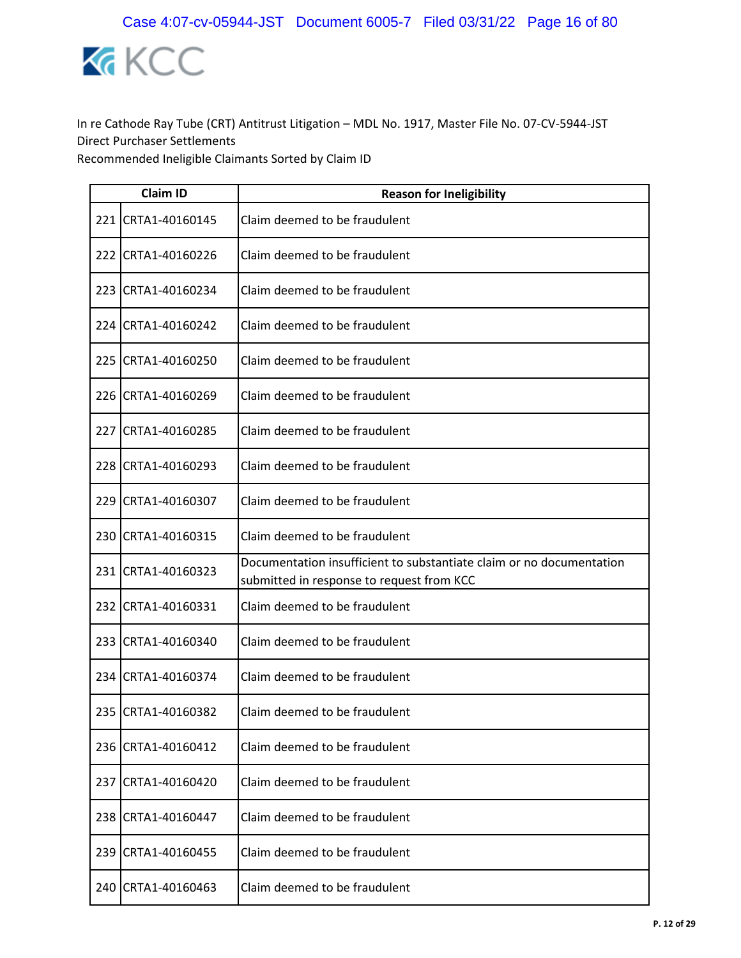

|     | <b>Claim ID</b>    | <b>Reason for Ineligibility</b>                                                                                   |
|-----|--------------------|-------------------------------------------------------------------------------------------------------------------|
|     | 221 CRTA1-40160145 | Claim deemed to be fraudulent                                                                                     |
| 222 | CRTA1-40160226     | Claim deemed to be fraudulent                                                                                     |
|     | 223 CRTA1-40160234 | Claim deemed to be fraudulent                                                                                     |
|     | 224 CRTA1-40160242 | Claim deemed to be fraudulent                                                                                     |
|     | 225 CRTA1-40160250 | Claim deemed to be fraudulent                                                                                     |
|     | 226 CRTA1-40160269 | Claim deemed to be fraudulent                                                                                     |
|     | 227 CRTA1-40160285 | Claim deemed to be fraudulent                                                                                     |
|     | 228 CRTA1-40160293 | Claim deemed to be fraudulent                                                                                     |
|     | 229 CRTA1-40160307 | Claim deemed to be fraudulent                                                                                     |
|     | 230 CRTA1-40160315 | Claim deemed to be fraudulent                                                                                     |
|     | 231 CRTA1-40160323 | Documentation insufficient to substantiate claim or no documentation<br>submitted in response to request from KCC |
| 232 | CRTA1-40160331     | Claim deemed to be fraudulent                                                                                     |
|     | 233 CRTA1-40160340 | Claim deemed to be fraudulent                                                                                     |
|     | 234 CRTA1-40160374 | Claim deemed to be fraudulent                                                                                     |
|     | 235 CRTA1-40160382 | Claim deemed to be fraudulent                                                                                     |
| 236 | CRTA1-40160412     | Claim deemed to be fraudulent                                                                                     |
| 237 | CRTA1-40160420     | Claim deemed to be fraudulent                                                                                     |
| 238 | CRTA1-40160447     | Claim deemed to be fraudulent                                                                                     |
|     | 239 CRTA1-40160455 | Claim deemed to be fraudulent                                                                                     |
| 240 | CRTA1-40160463     | Claim deemed to be fraudulent                                                                                     |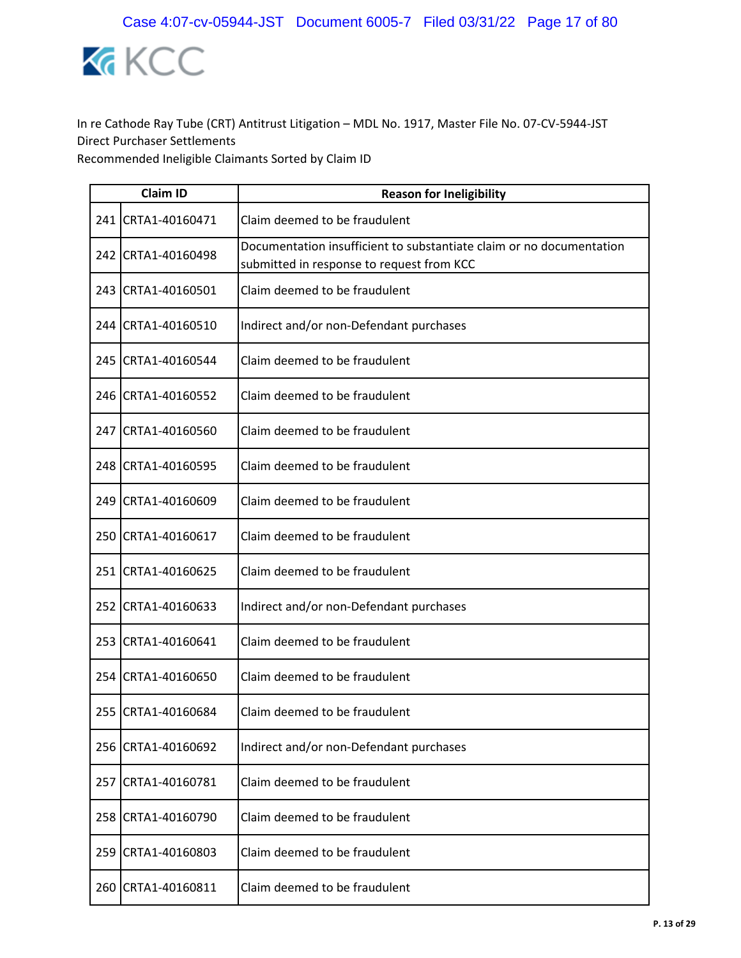

|     | <b>Claim ID</b>    | <b>Reason for Ineligibility</b>                                                                                   |
|-----|--------------------|-------------------------------------------------------------------------------------------------------------------|
|     | 241 CRTA1-40160471 | Claim deemed to be fraudulent                                                                                     |
| 242 | CRTA1-40160498     | Documentation insufficient to substantiate claim or no documentation<br>submitted in response to request from KCC |
|     | 243 CRTA1-40160501 | Claim deemed to be fraudulent                                                                                     |
|     | 244 CRTA1-40160510 | Indirect and/or non-Defendant purchases                                                                           |
|     | 245 CRTA1-40160544 | Claim deemed to be fraudulent                                                                                     |
|     | 246 CRTA1-40160552 | Claim deemed to be fraudulent                                                                                     |
| 247 | CRTA1-40160560     | Claim deemed to be fraudulent                                                                                     |
|     | 248 CRTA1-40160595 | Claim deemed to be fraudulent                                                                                     |
|     | 249 CRTA1-40160609 | Claim deemed to be fraudulent                                                                                     |
|     | 250 CRTA1-40160617 | Claim deemed to be fraudulent                                                                                     |
|     | 251 CRTA1-40160625 | Claim deemed to be fraudulent                                                                                     |
| 252 | CRTA1-40160633     | Indirect and/or non-Defendant purchases                                                                           |
|     | 253 CRTA1-40160641 | Claim deemed to be fraudulent                                                                                     |
|     | 254 CRTA1-40160650 | Claim deemed to be fraudulent                                                                                     |
|     | 255 CRTA1-40160684 | Claim deemed to be fraudulent                                                                                     |
| 256 | CRTA1-40160692     | Indirect and/or non-Defendant purchases                                                                           |
| 257 | CRTA1-40160781     | Claim deemed to be fraudulent                                                                                     |
| 258 | CRTA1-40160790     | Claim deemed to be fraudulent                                                                                     |
| 259 | CRTA1-40160803     | Claim deemed to be fraudulent                                                                                     |
| 260 | CRTA1-40160811     | Claim deemed to be fraudulent                                                                                     |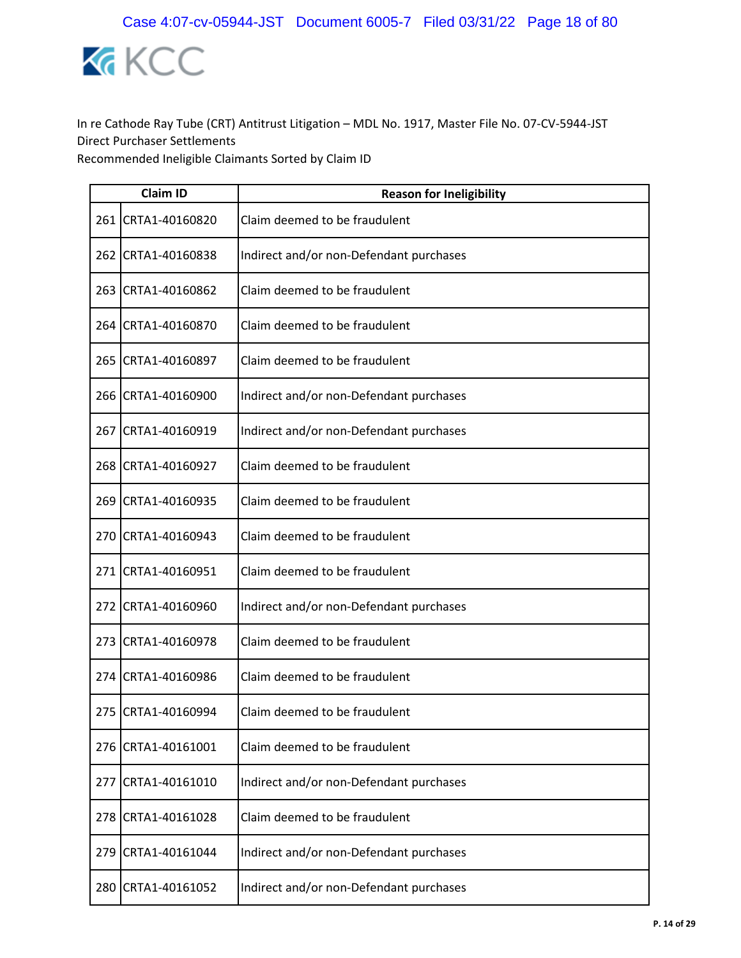

|     | <b>Claim ID</b>    | <b>Reason for Ineligibility</b>         |
|-----|--------------------|-----------------------------------------|
|     | 261 CRTA1-40160820 | Claim deemed to be fraudulent           |
|     | 262 CRTA1-40160838 | Indirect and/or non-Defendant purchases |
|     | 263 CRTA1-40160862 | Claim deemed to be fraudulent           |
|     | 264 CRTA1-40160870 | Claim deemed to be fraudulent           |
|     | 265 CRTA1-40160897 | Claim deemed to be fraudulent           |
|     | 266 CRTA1-40160900 | Indirect and/or non-Defendant purchases |
| 267 | CRTA1-40160919     | Indirect and/or non-Defendant purchases |
|     | 268 CRTA1-40160927 | Claim deemed to be fraudulent           |
| 269 | CRTA1-40160935     | Claim deemed to be fraudulent           |
|     | 270 CRTA1-40160943 | Claim deemed to be fraudulent           |
|     | 271 CRTA1-40160951 | Claim deemed to be fraudulent           |
| 272 | CRTA1-40160960     | Indirect and/or non-Defendant purchases |
|     | 273 CRTA1-40160978 | Claim deemed to be fraudulent           |
| 274 | CRTA1-40160986     | Claim deemed to be fraudulent           |
|     | 275 CRTA1-40160994 | Claim deemed to be fraudulent           |
| 276 | CRTA1-40161001     | Claim deemed to be fraudulent           |
| 277 | CRTA1-40161010     | Indirect and/or non-Defendant purchases |
| 278 | CRTA1-40161028     | Claim deemed to be fraudulent           |
| 279 | CRTA1-40161044     | Indirect and/or non-Defendant purchases |
| 280 | CRTA1-40161052     | Indirect and/or non-Defendant purchases |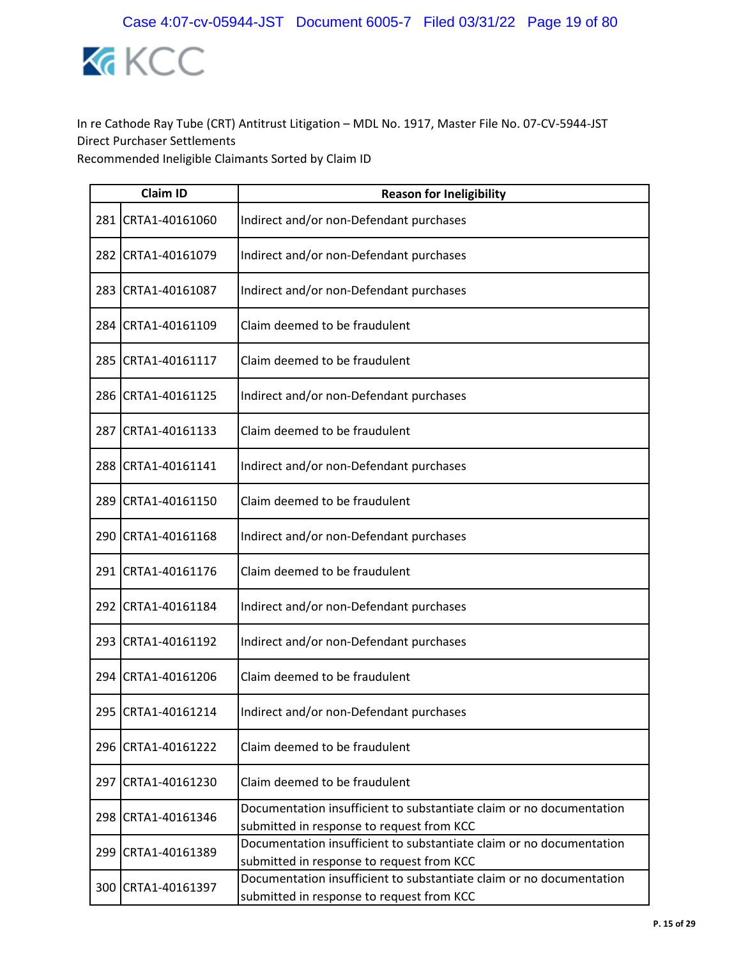

|       | <b>Claim ID</b>    | <b>Reason for Ineligibility</b>                                                                                   |
|-------|--------------------|-------------------------------------------------------------------------------------------------------------------|
| 281   | CRTA1-40161060     | Indirect and/or non-Defendant purchases                                                                           |
| 282   | CRTA1-40161079     | Indirect and/or non-Defendant purchases                                                                           |
| 283   | CRTA1-40161087     | Indirect and/or non-Defendant purchases                                                                           |
| 284   | CRTA1-40161109     | Claim deemed to be fraudulent                                                                                     |
| 285   | CRTA1-40161117     | Claim deemed to be fraudulent                                                                                     |
|       | 286 CRTA1-40161125 | Indirect and/or non-Defendant purchases                                                                           |
| 287   | CRTA1-40161133     | Claim deemed to be fraudulent                                                                                     |
|       | 288 CRTA1-40161141 | Indirect and/or non-Defendant purchases                                                                           |
| 289   | CRTA1-40161150     | Claim deemed to be fraudulent                                                                                     |
| 290   | CRTA1-40161168     | Indirect and/or non-Defendant purchases                                                                           |
| 291 l | CRTA1-40161176     | Claim deemed to be fraudulent                                                                                     |
| 292   | CRTA1-40161184     | Indirect and/or non-Defendant purchases                                                                           |
| 293   | CRTA1-40161192     | Indirect and/or non-Defendant purchases                                                                           |
| 294   | CRTA1-40161206     | Claim deemed to be fraudulent                                                                                     |
| 295   | CRTA1-40161214     | Indirect and/or non-Defendant purchases                                                                           |
| 296   | CRTA1-40161222     | Claim deemed to be fraudulent                                                                                     |
|       | 297 CRTA1-40161230 | Claim deemed to be fraudulent                                                                                     |
| 298   | CRTA1-40161346     | Documentation insufficient to substantiate claim or no documentation<br>submitted in response to request from KCC |
|       | 299 CRTA1-40161389 | Documentation insufficient to substantiate claim or no documentation<br>submitted in response to request from KCC |
| 300   | CRTA1-40161397     | Documentation insufficient to substantiate claim or no documentation<br>submitted in response to request from KCC |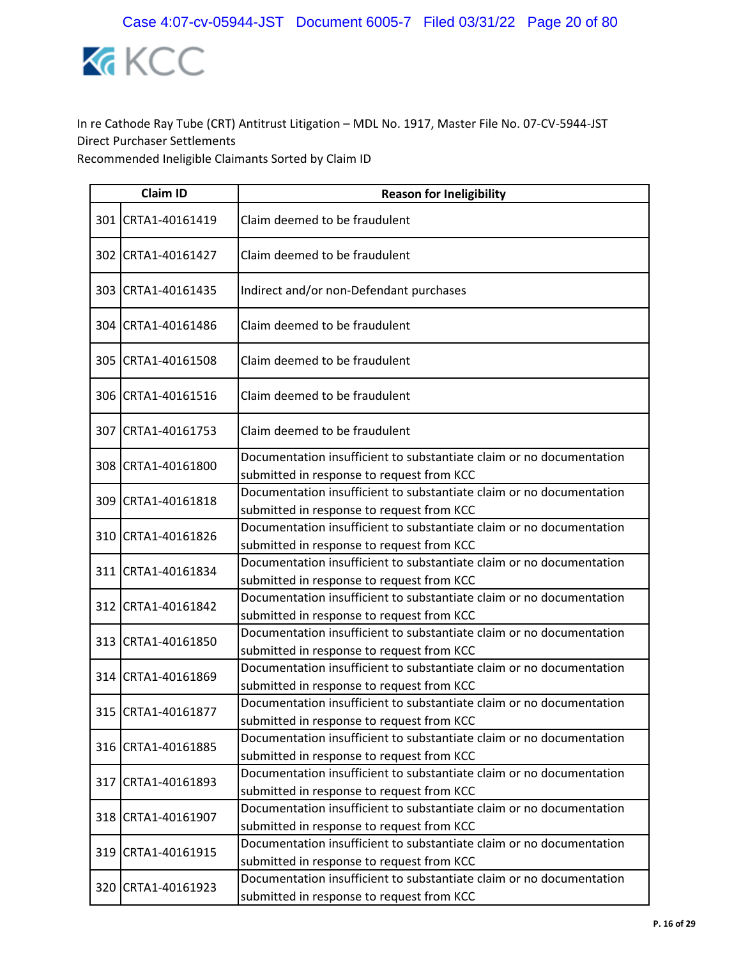

| <b>Claim ID</b>    | <b>Reason for Ineligibility</b>                                                                                   |
|--------------------|-------------------------------------------------------------------------------------------------------------------|
| 301 CRTA1-40161419 | Claim deemed to be fraudulent                                                                                     |
| 302 CRTA1-40161427 | Claim deemed to be fraudulent                                                                                     |
| 303 CRTA1-40161435 | Indirect and/or non-Defendant purchases                                                                           |
| 304 CRTA1-40161486 | Claim deemed to be fraudulent                                                                                     |
| 305 CRTA1-40161508 | Claim deemed to be fraudulent                                                                                     |
| 306 CRTA1-40161516 | Claim deemed to be fraudulent                                                                                     |
| 307 CRTA1-40161753 | Claim deemed to be fraudulent                                                                                     |
| 308 CRTA1-40161800 | Documentation insufficient to substantiate claim or no documentation<br>submitted in response to request from KCC |
| 309 CRTA1-40161818 | Documentation insufficient to substantiate claim or no documentation<br>submitted in response to request from KCC |
| 310 CRTA1-40161826 | Documentation insufficient to substantiate claim or no documentation<br>submitted in response to request from KCC |
| 311 CRTA1-40161834 | Documentation insufficient to substantiate claim or no documentation<br>submitted in response to request from KCC |
| 312 CRTA1-40161842 | Documentation insufficient to substantiate claim or no documentation<br>submitted in response to request from KCC |
| 313 CRTA1-40161850 | Documentation insufficient to substantiate claim or no documentation<br>submitted in response to request from KCC |
| 314 CRTA1-40161869 | Documentation insufficient to substantiate claim or no documentation<br>submitted in response to request from KCC |
| 315 CRTA1-40161877 | Documentation insufficient to substantiate claim or no documentation<br>submitted in response to request from KCC |
| 316 CRTA1-40161885 | Documentation insufficient to substantiate claim or no documentation<br>submitted in response to request from KCC |
| 317 CRTA1-40161893 | Documentation insufficient to substantiate claim or no documentation<br>submitted in response to request from KCC |
| 318 CRTA1-40161907 | Documentation insufficient to substantiate claim or no documentation<br>submitted in response to request from KCC |
| 319 CRTA1-40161915 | Documentation insufficient to substantiate claim or no documentation<br>submitted in response to request from KCC |
| 320 CRTA1-40161923 | Documentation insufficient to substantiate claim or no documentation<br>submitted in response to request from KCC |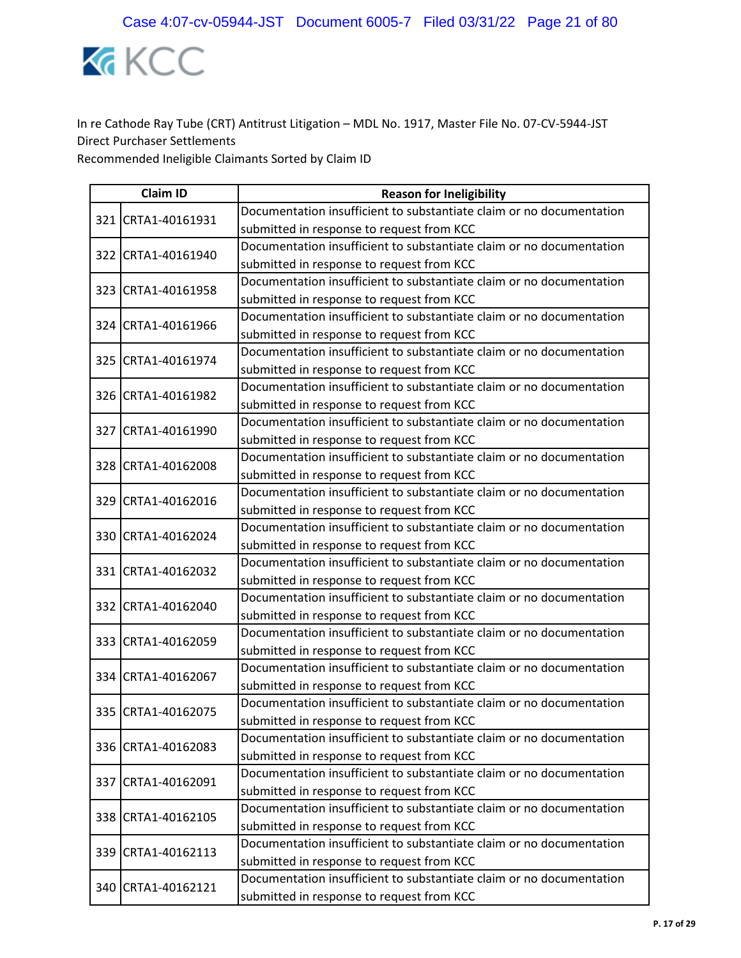

|  | <b>Claim ID</b>    | <b>Reason for Ineligibility</b>                                      |
|--|--------------------|----------------------------------------------------------------------|
|  | 321 CRTA1-40161931 | Documentation insufficient to substantiate claim or no documentation |
|  |                    | submitted in response to request from KCC                            |
|  | 322 CRTA1-40161940 | Documentation insufficient to substantiate claim or no documentation |
|  |                    | submitted in response to request from KCC                            |
|  | 323 CRTA1-40161958 | Documentation insufficient to substantiate claim or no documentation |
|  |                    | submitted in response to request from KCC                            |
|  | 324 CRTA1-40161966 | Documentation insufficient to substantiate claim or no documentation |
|  |                    | submitted in response to request from KCC                            |
|  | 325 CRTA1-40161974 | Documentation insufficient to substantiate claim or no documentation |
|  |                    | submitted in response to request from KCC                            |
|  | 326 CRTA1-40161982 | Documentation insufficient to substantiate claim or no documentation |
|  |                    | submitted in response to request from KCC                            |
|  | 327 CRTA1-40161990 | Documentation insufficient to substantiate claim or no documentation |
|  |                    | submitted in response to request from KCC                            |
|  | 328 CRTA1-40162008 | Documentation insufficient to substantiate claim or no documentation |
|  |                    | submitted in response to request from KCC                            |
|  | 329 CRTA1-40162016 | Documentation insufficient to substantiate claim or no documentation |
|  |                    | submitted in response to request from KCC                            |
|  | 330 CRTA1-40162024 | Documentation insufficient to substantiate claim or no documentation |
|  |                    | submitted in response to request from KCC                            |
|  | 331 CRTA1-40162032 | Documentation insufficient to substantiate claim or no documentation |
|  |                    | submitted in response to request from KCC                            |
|  | 332 CRTA1-40162040 | Documentation insufficient to substantiate claim or no documentation |
|  |                    | submitted in response to request from KCC                            |
|  | 333 CRTA1-40162059 | Documentation insufficient to substantiate claim or no documentation |
|  |                    | submitted in response to request from KCC                            |
|  | 334 CRTA1-40162067 | Documentation insufficient to substantiate claim or no documentation |
|  |                    | submitted in response to request from KCC                            |
|  | 335 CRTA1-40162075 | Documentation insufficient to substantiate claim or no documentation |
|  |                    | submitted in response to request from KCC                            |
|  | 336 CRTA1-40162083 | Documentation insufficient to substantiate claim or no documentation |
|  |                    | submitted in response to request from KCC                            |
|  | 337 CRTA1-40162091 | Documentation insufficient to substantiate claim or no documentation |
|  |                    | submitted in response to request from KCC                            |
|  | 338 CRTA1-40162105 | Documentation insufficient to substantiate claim or no documentation |
|  |                    | submitted in response to request from KCC                            |
|  | 339 CRTA1-40162113 | Documentation insufficient to substantiate claim or no documentation |
|  |                    | submitted in response to request from KCC                            |
|  | 340 CRTA1-40162121 | Documentation insufficient to substantiate claim or no documentation |
|  |                    | submitted in response to request from KCC                            |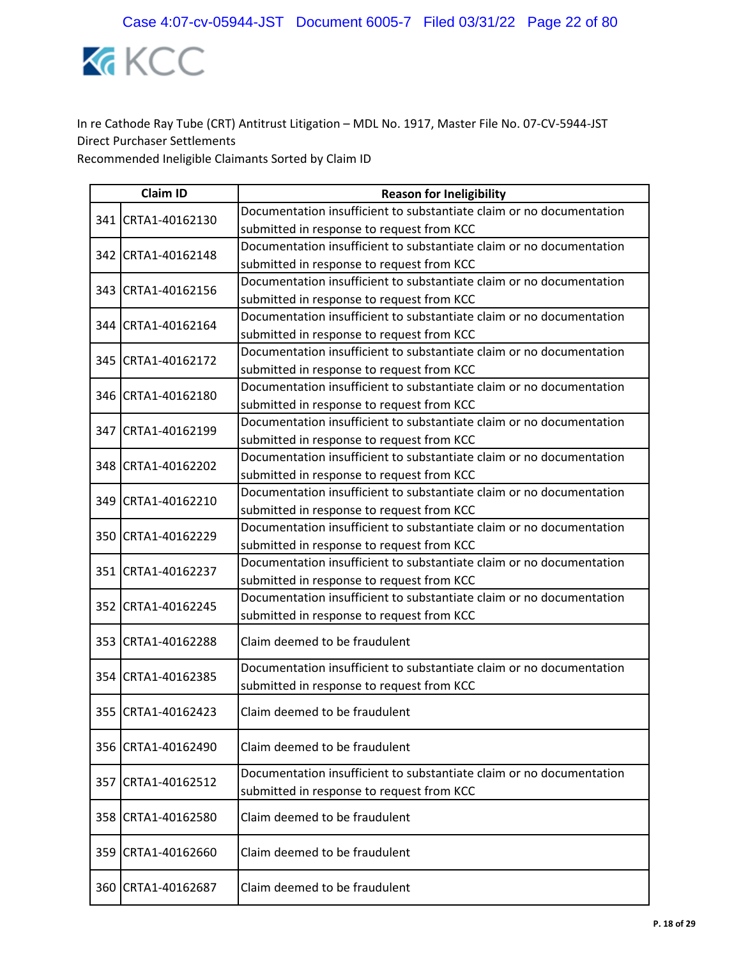

|     | <b>Claim ID</b>    | <b>Reason for Ineligibility</b>                                                                                   |
|-----|--------------------|-------------------------------------------------------------------------------------------------------------------|
|     | 341 CRTA1-40162130 | Documentation insufficient to substantiate claim or no documentation                                              |
|     |                    | submitted in response to request from KCC                                                                         |
|     | 342 CRTA1-40162148 | Documentation insufficient to substantiate claim or no documentation                                              |
|     |                    | submitted in response to request from KCC                                                                         |
|     | 343 CRTA1-40162156 | Documentation insufficient to substantiate claim or no documentation                                              |
|     |                    | submitted in response to request from KCC                                                                         |
|     | 344 CRTA1-40162164 | Documentation insufficient to substantiate claim or no documentation                                              |
|     |                    | submitted in response to request from KCC                                                                         |
|     | 345 CRTA1-40162172 | Documentation insufficient to substantiate claim or no documentation                                              |
|     |                    | submitted in response to request from KCC                                                                         |
|     | 346 CRTA1-40162180 | Documentation insufficient to substantiate claim or no documentation                                              |
|     |                    | submitted in response to request from KCC                                                                         |
|     | 347 CRTA1-40162199 | Documentation insufficient to substantiate claim or no documentation                                              |
|     |                    | submitted in response to request from KCC                                                                         |
|     | 348 CRTA1-40162202 | Documentation insufficient to substantiate claim or no documentation                                              |
|     |                    | submitted in response to request from KCC                                                                         |
|     | 349 CRTA1-40162210 | Documentation insufficient to substantiate claim or no documentation                                              |
|     |                    | submitted in response to request from KCC                                                                         |
|     | 350 CRTA1-40162229 | Documentation insufficient to substantiate claim or no documentation                                              |
|     |                    | submitted in response to request from KCC                                                                         |
|     | 351 CRTA1-40162237 | Documentation insufficient to substantiate claim or no documentation                                              |
|     |                    | submitted in response to request from KCC                                                                         |
|     | 352 CRTA1-40162245 | Documentation insufficient to substantiate claim or no documentation                                              |
|     |                    | submitted in response to request from KCC                                                                         |
|     | 353 CRTA1-40162288 | Claim deemed to be fraudulent                                                                                     |
|     | 354 CRTA1-40162385 | Documentation insufficient to substantiate claim or no documentation                                              |
|     |                    | submitted in response to request from KCC                                                                         |
|     | 355 CRTA1-40162423 | Claim deemed to be fraudulent                                                                                     |
| 356 | CRTA1-40162490     | Claim deemed to be fraudulent                                                                                     |
| 357 | CRTA1-40162512     | Documentation insufficient to substantiate claim or no documentation<br>submitted in response to request from KCC |
| 358 | CRTA1-40162580     | Claim deemed to be fraudulent                                                                                     |
|     | 359 CRTA1-40162660 | Claim deemed to be fraudulent                                                                                     |
| 360 | CRTA1-40162687     | Claim deemed to be fraudulent                                                                                     |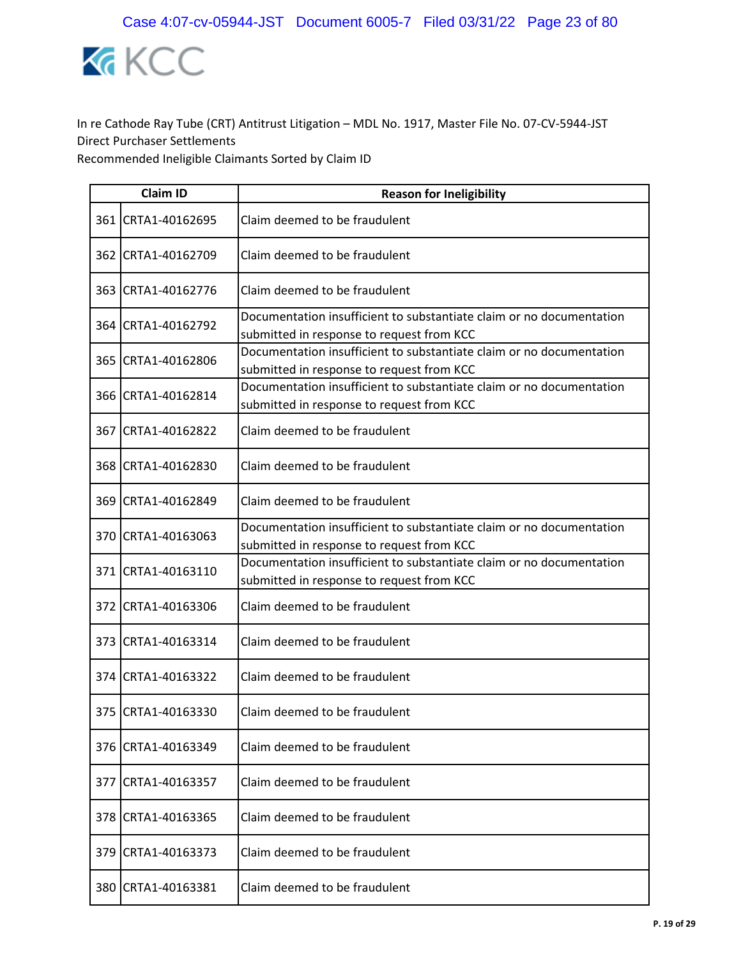

|     | <b>Claim ID</b>     | <b>Reason for Ineligibility</b>                                                                                   |
|-----|---------------------|-------------------------------------------------------------------------------------------------------------------|
|     | 361 CRTA1-40162695  | Claim deemed to be fraudulent                                                                                     |
|     | 362 ICRTA1-40162709 | Claim deemed to be fraudulent                                                                                     |
|     | 363 CRTA1-40162776  | Claim deemed to be fraudulent                                                                                     |
|     | 364 CRTA1-40162792  | Documentation insufficient to substantiate claim or no documentation<br>submitted in response to request from KCC |
|     | 365 CRTA1-40162806  | Documentation insufficient to substantiate claim or no documentation<br>submitted in response to request from KCC |
|     | 366 CRTA1-40162814  | Documentation insufficient to substantiate claim or no documentation<br>submitted in response to request from KCC |
|     | 367 CRTA1-40162822  | Claim deemed to be fraudulent                                                                                     |
|     | 368 CRTA1-40162830  | Claim deemed to be fraudulent                                                                                     |
|     | 369 CRTA1-40162849  | Claim deemed to be fraudulent                                                                                     |
|     | 370 CRTA1-40163063  | Documentation insufficient to substantiate claim or no documentation<br>submitted in response to request from KCC |
|     | 371 CRTA1-40163110  | Documentation insufficient to substantiate claim or no documentation<br>submitted in response to request from KCC |
|     | 372 CRTA1-40163306  | Claim deemed to be fraudulent                                                                                     |
|     | 373 CRTA1-40163314  | Claim deemed to be fraudulent                                                                                     |
|     | 374 CRTA1-40163322  | Claim deemed to be fraudulent                                                                                     |
|     | 375 CRTA1-40163330  | Claim deemed to be fraudulent                                                                                     |
| 376 | CRTA1-40163349      | Claim deemed to be fraudulent                                                                                     |
| 377 | CRTA1-40163357      | Claim deemed to be fraudulent                                                                                     |
| 378 | CRTA1-40163365      | Claim deemed to be fraudulent                                                                                     |
| 379 | CRTA1-40163373      | Claim deemed to be fraudulent                                                                                     |
| 380 | CRTA1-40163381      | Claim deemed to be fraudulent                                                                                     |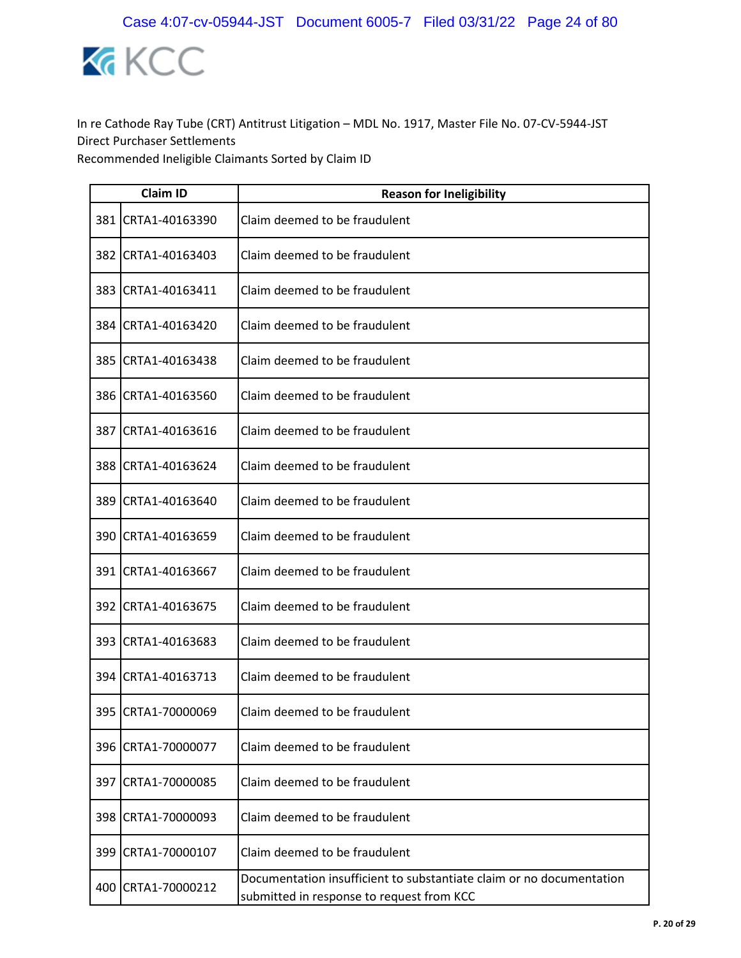

|       | <b>Claim ID</b>    | <b>Reason for Ineligibility</b>                                                                                   |
|-------|--------------------|-------------------------------------------------------------------------------------------------------------------|
| 381   | CRTA1-40163390     | Claim deemed to be fraudulent                                                                                     |
| 382   | CRTA1-40163403     | Claim deemed to be fraudulent                                                                                     |
| 383   | CRTA1-40163411     | Claim deemed to be fraudulent                                                                                     |
| 384   | CRTA1-40163420     | Claim deemed to be fraudulent                                                                                     |
| 385   | CRTA1-40163438     | Claim deemed to be fraudulent                                                                                     |
|       | 386 CRTA1-40163560 | Claim deemed to be fraudulent                                                                                     |
| 387   | CRTA1-40163616     | Claim deemed to be fraudulent                                                                                     |
| 388   | CRTA1-40163624     | Claim deemed to be fraudulent                                                                                     |
| 389   | CRTA1-40163640     | Claim deemed to be fraudulent                                                                                     |
| 390   | CRTA1-40163659     | Claim deemed to be fraudulent                                                                                     |
| 391 l | CRTA1-40163667     | Claim deemed to be fraudulent                                                                                     |
| 392   | CRTA1-40163675     | Claim deemed to be fraudulent                                                                                     |
|       | 393 CRTA1-40163683 | Claim deemed to be fraudulent                                                                                     |
| 394   | CRTA1-40163713     | Claim deemed to be fraudulent                                                                                     |
|       | 395 CRTA1-70000069 | Claim deemed to be fraudulent                                                                                     |
| 396   | CRTA1-70000077     | Claim deemed to be fraudulent                                                                                     |
|       | 397 CRTA1-70000085 | Claim deemed to be fraudulent                                                                                     |
| 398   | CRTA1-70000093     | Claim deemed to be fraudulent                                                                                     |
|       | 399 CRTA1-70000107 | Claim deemed to be fraudulent                                                                                     |
| 400   | CRTA1-70000212     | Documentation insufficient to substantiate claim or no documentation<br>submitted in response to request from KCC |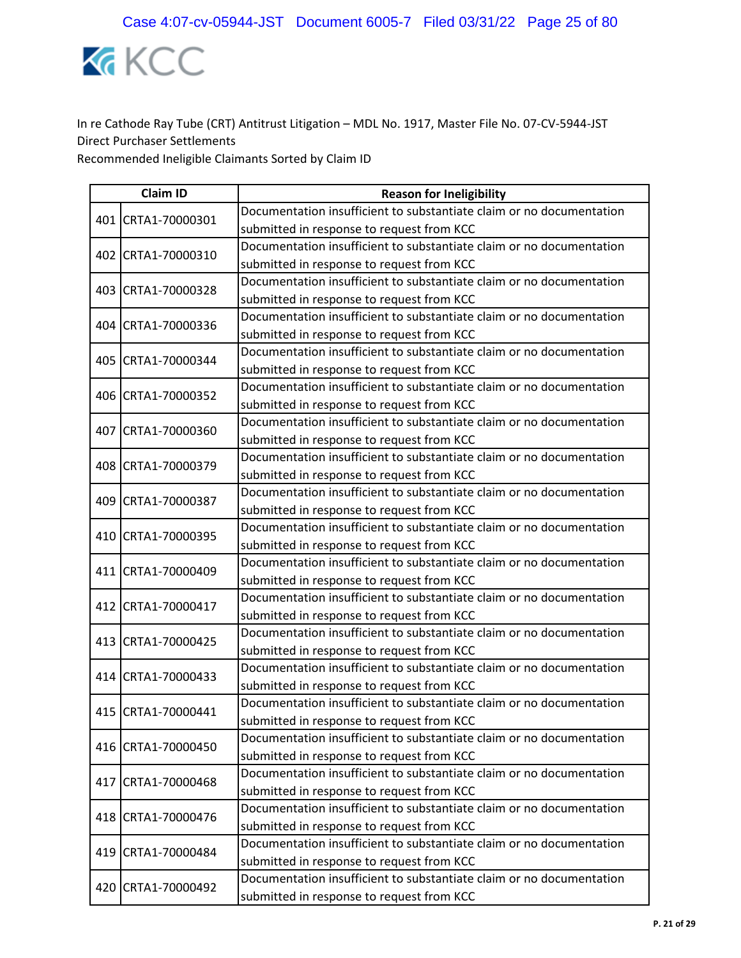

|  | <b>Claim ID</b>    | <b>Reason for Ineligibility</b>                                      |
|--|--------------------|----------------------------------------------------------------------|
|  | 401 CRTA1-70000301 | Documentation insufficient to substantiate claim or no documentation |
|  |                    | submitted in response to request from KCC                            |
|  | 402 CRTA1-70000310 | Documentation insufficient to substantiate claim or no documentation |
|  |                    | submitted in response to request from KCC                            |
|  | 403 CRTA1-70000328 | Documentation insufficient to substantiate claim or no documentation |
|  |                    | submitted in response to request from KCC                            |
|  | 404 CRTA1-70000336 | Documentation insufficient to substantiate claim or no documentation |
|  |                    | submitted in response to request from KCC                            |
|  | 405 CRTA1-70000344 | Documentation insufficient to substantiate claim or no documentation |
|  |                    | submitted in response to request from KCC                            |
|  | 406 CRTA1-70000352 | Documentation insufficient to substantiate claim or no documentation |
|  |                    | submitted in response to request from KCC                            |
|  | 407 CRTA1-70000360 | Documentation insufficient to substantiate claim or no documentation |
|  |                    | submitted in response to request from KCC                            |
|  | 408 CRTA1-70000379 | Documentation insufficient to substantiate claim or no documentation |
|  |                    | submitted in response to request from KCC                            |
|  | 409 CRTA1-70000387 | Documentation insufficient to substantiate claim or no documentation |
|  |                    | submitted in response to request from KCC                            |
|  | 410 CRTA1-70000395 | Documentation insufficient to substantiate claim or no documentation |
|  |                    | submitted in response to request from KCC                            |
|  | 411 CRTA1-70000409 | Documentation insufficient to substantiate claim or no documentation |
|  |                    | submitted in response to request from KCC                            |
|  | 412 CRTA1-70000417 | Documentation insufficient to substantiate claim or no documentation |
|  |                    | submitted in response to request from KCC                            |
|  | 413 CRTA1-70000425 | Documentation insufficient to substantiate claim or no documentation |
|  |                    | submitted in response to request from KCC                            |
|  |                    | Documentation insufficient to substantiate claim or no documentation |
|  | 414 CRTA1-70000433 | submitted in response to request from KCC                            |
|  | 415 CRTA1-70000441 | Documentation insufficient to substantiate claim or no documentation |
|  |                    | submitted in response to request from KCC                            |
|  |                    | Documentation insufficient to substantiate claim or no documentation |
|  | 416 CRTA1-70000450 | submitted in response to request from KCC                            |
|  |                    | Documentation insufficient to substantiate claim or no documentation |
|  | 417 CRTA1-70000468 | submitted in response to request from KCC                            |
|  |                    | Documentation insufficient to substantiate claim or no documentation |
|  | 418 CRTA1-70000476 | submitted in response to request from KCC                            |
|  |                    | Documentation insufficient to substantiate claim or no documentation |
|  | 419 CRTA1-70000484 | submitted in response to request from KCC                            |
|  | 420 CRTA1-70000492 | Documentation insufficient to substantiate claim or no documentation |
|  |                    | submitted in response to request from KCC                            |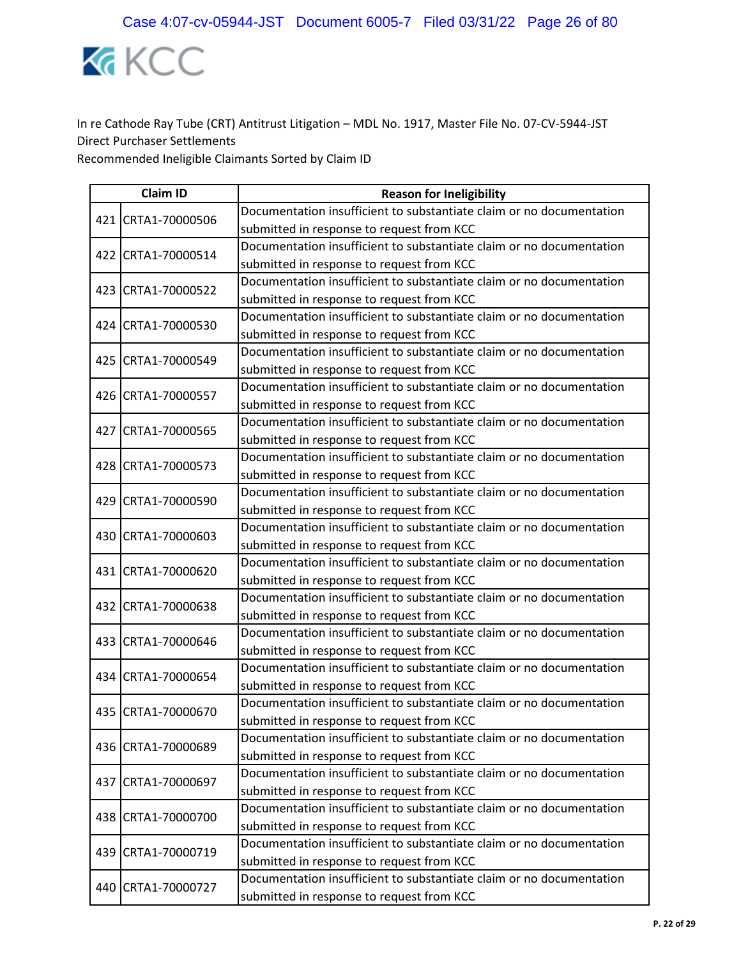

|  | <b>Claim ID</b>    | <b>Reason for Ineligibility</b>                                      |
|--|--------------------|----------------------------------------------------------------------|
|  | 421 CRTA1-70000506 | Documentation insufficient to substantiate claim or no documentation |
|  |                    | submitted in response to request from KCC                            |
|  | 422 CRTA1-70000514 | Documentation insufficient to substantiate claim or no documentation |
|  |                    | submitted in response to request from KCC                            |
|  | 423 CRTA1-70000522 | Documentation insufficient to substantiate claim or no documentation |
|  |                    | submitted in response to request from KCC                            |
|  | 424 CRTA1-70000530 | Documentation insufficient to substantiate claim or no documentation |
|  |                    | submitted in response to request from KCC                            |
|  | 425 CRTA1-70000549 | Documentation insufficient to substantiate claim or no documentation |
|  |                    | submitted in response to request from KCC                            |
|  | 426 CRTA1-70000557 | Documentation insufficient to substantiate claim or no documentation |
|  |                    | submitted in response to request from KCC                            |
|  | 427 CRTA1-70000565 | Documentation insufficient to substantiate claim or no documentation |
|  |                    | submitted in response to request from KCC                            |
|  | 428 CRTA1-70000573 | Documentation insufficient to substantiate claim or no documentation |
|  |                    | submitted in response to request from KCC                            |
|  | 429 CRTA1-70000590 | Documentation insufficient to substantiate claim or no documentation |
|  |                    | submitted in response to request from KCC                            |
|  | 430 CRTA1-70000603 | Documentation insufficient to substantiate claim or no documentation |
|  |                    | submitted in response to request from KCC                            |
|  | 431 CRTA1-70000620 | Documentation insufficient to substantiate claim or no documentation |
|  |                    | submitted in response to request from KCC                            |
|  | 432 CRTA1-70000638 | Documentation insufficient to substantiate claim or no documentation |
|  |                    | submitted in response to request from KCC                            |
|  | 433 CRTA1-70000646 | Documentation insufficient to substantiate claim or no documentation |
|  |                    | submitted in response to request from KCC                            |
|  | 434 CRTA1-70000654 | Documentation insufficient to substantiate claim or no documentation |
|  |                    | submitted in response to request from KCC                            |
|  | 435 CRTA1-70000670 | Documentation insufficient to substantiate claim or no documentation |
|  |                    | submitted in response to request from KCC                            |
|  | 436 CRTA1-70000689 | Documentation insufficient to substantiate claim or no documentation |
|  |                    | submitted in response to request from KCC                            |
|  | 437 CRTA1-70000697 | Documentation insufficient to substantiate claim or no documentation |
|  |                    | submitted in response to request from KCC                            |
|  | 438 CRTA1-70000700 | Documentation insufficient to substantiate claim or no documentation |
|  |                    | submitted in response to request from KCC                            |
|  | 439 CRTA1-70000719 | Documentation insufficient to substantiate claim or no documentation |
|  |                    | submitted in response to request from KCC                            |
|  | 440 CRTA1-70000727 | Documentation insufficient to substantiate claim or no documentation |
|  |                    | submitted in response to request from KCC                            |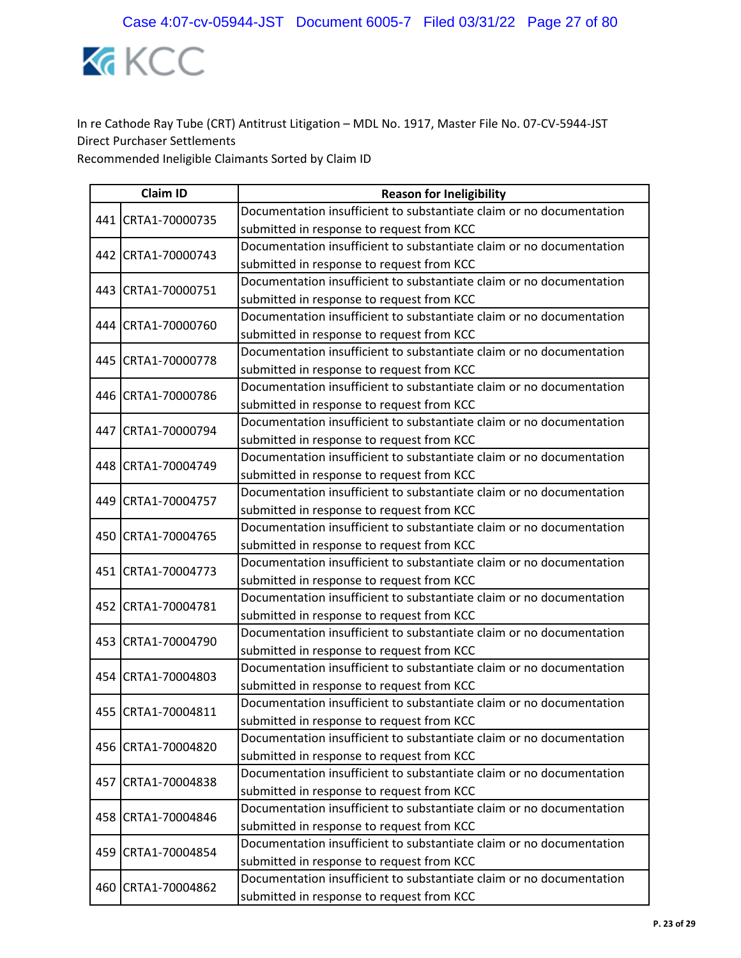

| <b>Claim ID</b> |                    | <b>Reason for Ineligibility</b>                                      |  |
|-----------------|--------------------|----------------------------------------------------------------------|--|
|                 | 441 CRTA1-70000735 | Documentation insufficient to substantiate claim or no documentation |  |
|                 |                    | submitted in response to request from KCC                            |  |
|                 | 442 CRTA1-70000743 | Documentation insufficient to substantiate claim or no documentation |  |
|                 |                    | submitted in response to request from KCC                            |  |
|                 | 443 CRTA1-70000751 | Documentation insufficient to substantiate claim or no documentation |  |
|                 |                    | submitted in response to request from KCC                            |  |
|                 | 444 CRTA1-70000760 | Documentation insufficient to substantiate claim or no documentation |  |
|                 |                    | submitted in response to request from KCC                            |  |
|                 | 445 CRTA1-70000778 | Documentation insufficient to substantiate claim or no documentation |  |
|                 |                    | submitted in response to request from KCC                            |  |
|                 | 446 CRTA1-70000786 | Documentation insufficient to substantiate claim or no documentation |  |
|                 |                    | submitted in response to request from KCC                            |  |
|                 | 447 CRTA1-70000794 | Documentation insufficient to substantiate claim or no documentation |  |
|                 |                    | submitted in response to request from KCC                            |  |
|                 | 448 CRTA1-70004749 | Documentation insufficient to substantiate claim or no documentation |  |
|                 |                    | submitted in response to request from KCC                            |  |
|                 | 449 CRTA1-70004757 | Documentation insufficient to substantiate claim or no documentation |  |
|                 |                    | submitted in response to request from KCC                            |  |
|                 | 450 CRTA1-70004765 | Documentation insufficient to substantiate claim or no documentation |  |
|                 |                    | submitted in response to request from KCC                            |  |
|                 | 451 CRTA1-70004773 | Documentation insufficient to substantiate claim or no documentation |  |
|                 |                    | submitted in response to request from KCC                            |  |
|                 | 452 CRTA1-70004781 | Documentation insufficient to substantiate claim or no documentation |  |
|                 |                    | submitted in response to request from KCC                            |  |
|                 | 453 CRTA1-70004790 | Documentation insufficient to substantiate claim or no documentation |  |
|                 |                    | submitted in response to request from KCC                            |  |
|                 | 454 CRTA1-70004803 | Documentation insufficient to substantiate claim or no documentation |  |
|                 |                    | submitted in response to request from KCC                            |  |
|                 | 455 CRTA1-70004811 | Documentation insufficient to substantiate claim or no documentation |  |
|                 |                    | submitted in response to request from KCC                            |  |
|                 | 456 CRTA1-70004820 | Documentation insufficient to substantiate claim or no documentation |  |
|                 |                    | submitted in response to request from KCC                            |  |
|                 | 457 CRTA1-70004838 | Documentation insufficient to substantiate claim or no documentation |  |
|                 |                    | submitted in response to request from KCC                            |  |
|                 | 458 CRTA1-70004846 | Documentation insufficient to substantiate claim or no documentation |  |
|                 |                    | submitted in response to request from KCC                            |  |
|                 | 459 CRTA1-70004854 | Documentation insufficient to substantiate claim or no documentation |  |
|                 |                    | submitted in response to request from KCC                            |  |
|                 | 460 CRTA1-70004862 | Documentation insufficient to substantiate claim or no documentation |  |
|                 |                    | submitted in response to request from KCC                            |  |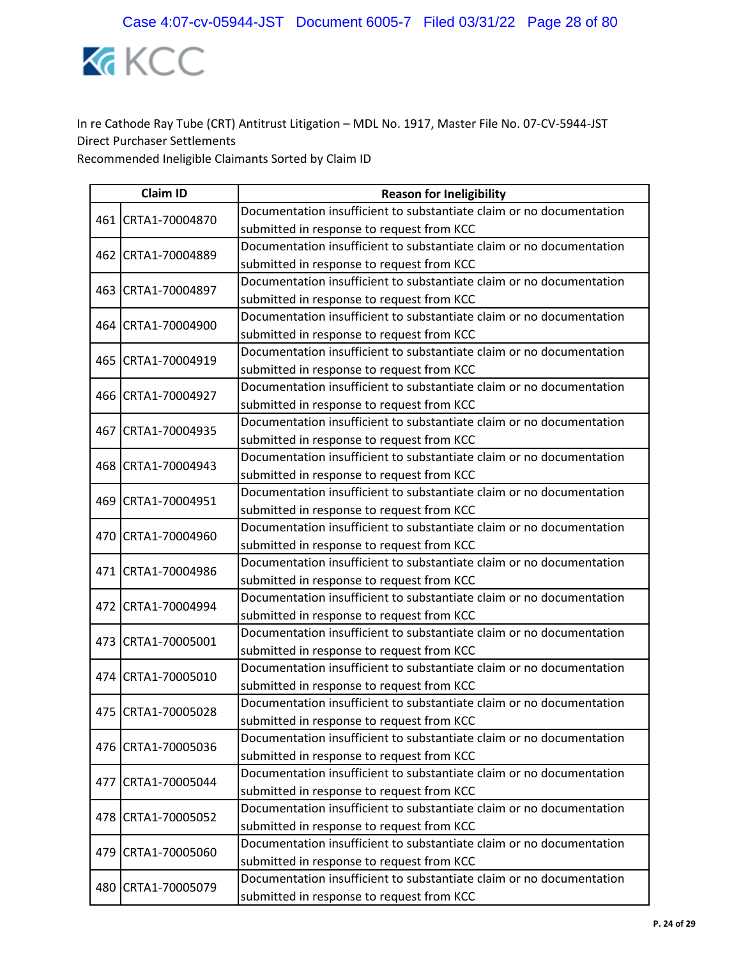

|     | <b>Claim ID</b>    | <b>Reason for Ineligibility</b>                                      |
|-----|--------------------|----------------------------------------------------------------------|
|     | 461 CRTA1-70004870 | Documentation insufficient to substantiate claim or no documentation |
|     |                    | submitted in response to request from KCC                            |
|     | 462 CRTA1-70004889 | Documentation insufficient to substantiate claim or no documentation |
|     |                    | submitted in response to request from KCC                            |
| 463 | CRTA1-70004897     | Documentation insufficient to substantiate claim or no documentation |
|     |                    | submitted in response to request from KCC                            |
|     | 464 CRTA1-70004900 | Documentation insufficient to substantiate claim or no documentation |
|     |                    | submitted in response to request from KCC                            |
|     | 465 CRTA1-70004919 | Documentation insufficient to substantiate claim or no documentation |
|     |                    | submitted in response to request from KCC                            |
|     | 466 CRTA1-70004927 | Documentation insufficient to substantiate claim or no documentation |
|     |                    | submitted in response to request from KCC                            |
|     | 467 CRTA1-70004935 | Documentation insufficient to substantiate claim or no documentation |
|     |                    | submitted in response to request from KCC                            |
|     | 468 CRTA1-70004943 | Documentation insufficient to substantiate claim or no documentation |
|     |                    | submitted in response to request from KCC                            |
|     | 469 CRTA1-70004951 | Documentation insufficient to substantiate claim or no documentation |
|     |                    | submitted in response to request from KCC                            |
|     | 470 CRTA1-70004960 | Documentation insufficient to substantiate claim or no documentation |
|     |                    | submitted in response to request from KCC                            |
|     | 471 CRTA1-70004986 | Documentation insufficient to substantiate claim or no documentation |
|     |                    | submitted in response to request from KCC                            |
|     | 472 CRTA1-70004994 | Documentation insufficient to substantiate claim or no documentation |
|     |                    | submitted in response to request from KCC                            |
|     | 473 CRTA1-70005001 | Documentation insufficient to substantiate claim or no documentation |
|     |                    | submitted in response to request from KCC                            |
|     | 474 CRTA1-70005010 | Documentation insufficient to substantiate claim or no documentation |
|     |                    | submitted in response to request from KCC                            |
|     | 475 CRTA1-70005028 | Documentation insufficient to substantiate claim or no documentation |
|     |                    | submitted in response to request from KCC                            |
|     | 476 CRTA1-70005036 | Documentation insufficient to substantiate claim or no documentation |
|     |                    | submitted in response to request from KCC                            |
|     | 477 CRTA1-70005044 | Documentation insufficient to substantiate claim or no documentation |
|     |                    | submitted in response to request from KCC                            |
|     | 478 CRTA1-70005052 | Documentation insufficient to substantiate claim or no documentation |
|     |                    | submitted in response to request from KCC                            |
|     | 479 CRTA1-70005060 | Documentation insufficient to substantiate claim or no documentation |
|     |                    | submitted in response to request from KCC                            |
|     | 480 CRTA1-70005079 | Documentation insufficient to substantiate claim or no documentation |
|     |                    | submitted in response to request from KCC                            |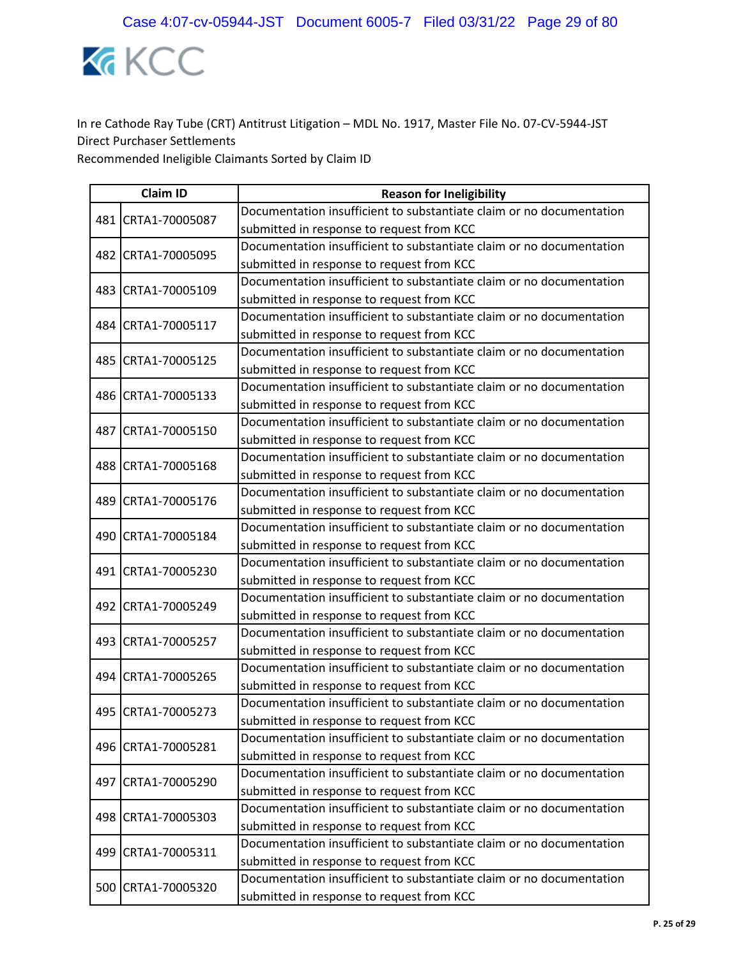

| <b>Claim ID</b> |                    | <b>Reason for Ineligibility</b>                                      |  |
|-----------------|--------------------|----------------------------------------------------------------------|--|
|                 | 481 CRTA1-70005087 | Documentation insufficient to substantiate claim or no documentation |  |
|                 |                    | submitted in response to request from KCC                            |  |
|                 | 482 CRTA1-70005095 | Documentation insufficient to substantiate claim or no documentation |  |
|                 |                    | submitted in response to request from KCC                            |  |
|                 | 483 CRTA1-70005109 | Documentation insufficient to substantiate claim or no documentation |  |
|                 |                    | submitted in response to request from KCC                            |  |
|                 | 484 CRTA1-70005117 | Documentation insufficient to substantiate claim or no documentation |  |
|                 |                    | submitted in response to request from KCC                            |  |
|                 | 485 CRTA1-70005125 | Documentation insufficient to substantiate claim or no documentation |  |
|                 |                    | submitted in response to request from KCC                            |  |
|                 | 486 CRTA1-70005133 | Documentation insufficient to substantiate claim or no documentation |  |
|                 |                    | submitted in response to request from KCC                            |  |
|                 | 487 CRTA1-70005150 | Documentation insufficient to substantiate claim or no documentation |  |
|                 |                    | submitted in response to request from KCC                            |  |
|                 | 488 CRTA1-70005168 | Documentation insufficient to substantiate claim or no documentation |  |
|                 |                    | submitted in response to request from KCC                            |  |
|                 | 489 CRTA1-70005176 | Documentation insufficient to substantiate claim or no documentation |  |
|                 |                    | submitted in response to request from KCC                            |  |
|                 | 490 CRTA1-70005184 | Documentation insufficient to substantiate claim or no documentation |  |
|                 |                    | submitted in response to request from KCC                            |  |
|                 | 491 CRTA1-70005230 | Documentation insufficient to substantiate claim or no documentation |  |
|                 |                    | submitted in response to request from KCC                            |  |
|                 | 492 CRTA1-70005249 | Documentation insufficient to substantiate claim or no documentation |  |
|                 |                    | submitted in response to request from KCC                            |  |
|                 | 493 CRTA1-70005257 | Documentation insufficient to substantiate claim or no documentation |  |
|                 |                    | submitted in response to request from KCC                            |  |
|                 | 494 CRTA1-70005265 | Documentation insufficient to substantiate claim or no documentation |  |
|                 |                    | submitted in response to request from KCC                            |  |
|                 | 495 CRTA1-70005273 | Documentation insufficient to substantiate claim or no documentation |  |
|                 |                    | submitted in response to request from KCC                            |  |
|                 | 496 CRTA1-70005281 | Documentation insufficient to substantiate claim or no documentation |  |
|                 |                    | submitted in response to request from KCC                            |  |
|                 | 497 CRTA1-70005290 | Documentation insufficient to substantiate claim or no documentation |  |
|                 |                    | submitted in response to request from KCC                            |  |
|                 | 498 CRTA1-70005303 | Documentation insufficient to substantiate claim or no documentation |  |
|                 |                    | submitted in response to request from KCC                            |  |
|                 | 499 CRTA1-70005311 | Documentation insufficient to substantiate claim or no documentation |  |
|                 |                    | submitted in response to request from KCC                            |  |
|                 | 500 CRTA1-70005320 | Documentation insufficient to substantiate claim or no documentation |  |
|                 |                    | submitted in response to request from KCC                            |  |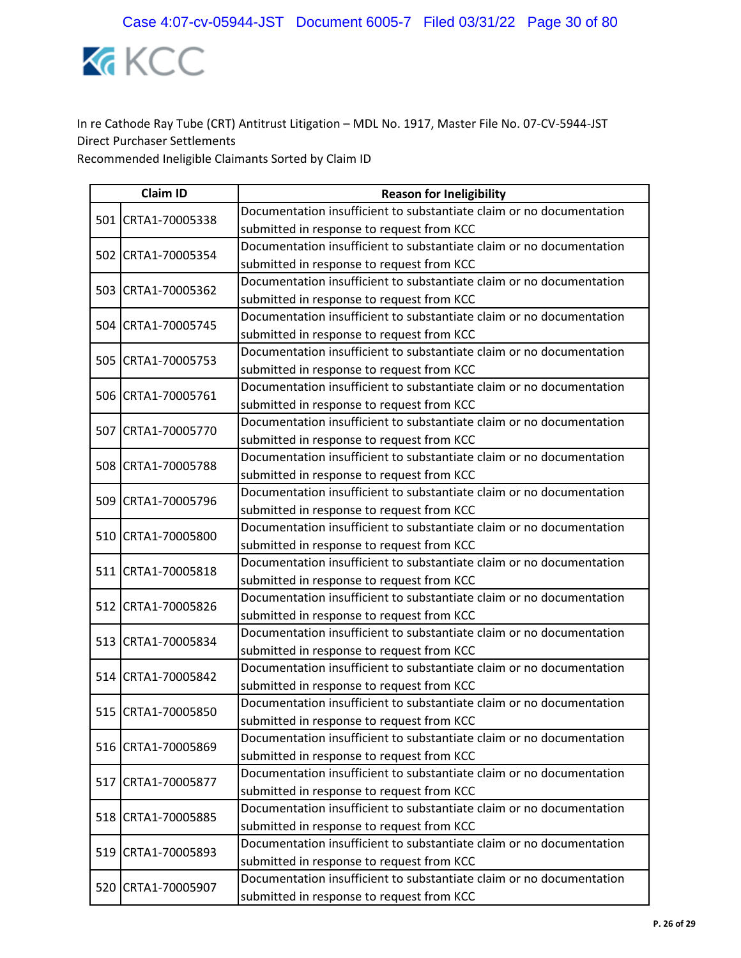

|  | <b>Claim ID</b>    | <b>Reason for Ineligibility</b>                                      |  |
|--|--------------------|----------------------------------------------------------------------|--|
|  | 501 CRTA1-70005338 | Documentation insufficient to substantiate claim or no documentation |  |
|  |                    | submitted in response to request from KCC                            |  |
|  | 502 CRTA1-70005354 | Documentation insufficient to substantiate claim or no documentation |  |
|  |                    | submitted in response to request from KCC                            |  |
|  | 503 CRTA1-70005362 | Documentation insufficient to substantiate claim or no documentation |  |
|  |                    | submitted in response to request from KCC                            |  |
|  | 504 CRTA1-70005745 | Documentation insufficient to substantiate claim or no documentation |  |
|  |                    | submitted in response to request from KCC                            |  |
|  | 505 CRTA1-70005753 | Documentation insufficient to substantiate claim or no documentation |  |
|  |                    | submitted in response to request from KCC                            |  |
|  | 506 CRTA1-70005761 | Documentation insufficient to substantiate claim or no documentation |  |
|  |                    | submitted in response to request from KCC                            |  |
|  | 507 CRTA1-70005770 | Documentation insufficient to substantiate claim or no documentation |  |
|  |                    | submitted in response to request from KCC                            |  |
|  | 508 CRTA1-70005788 | Documentation insufficient to substantiate claim or no documentation |  |
|  |                    | submitted in response to request from KCC                            |  |
|  | 509 CRTA1-70005796 | Documentation insufficient to substantiate claim or no documentation |  |
|  |                    | submitted in response to request from KCC                            |  |
|  | 510 CRTA1-70005800 | Documentation insufficient to substantiate claim or no documentation |  |
|  |                    | submitted in response to request from KCC                            |  |
|  | 511 CRTA1-70005818 | Documentation insufficient to substantiate claim or no documentation |  |
|  |                    | submitted in response to request from KCC                            |  |
|  | 512 CRTA1-70005826 | Documentation insufficient to substantiate claim or no documentation |  |
|  |                    | submitted in response to request from KCC                            |  |
|  | 513 CRTA1-70005834 | Documentation insufficient to substantiate claim or no documentation |  |
|  |                    | submitted in response to request from KCC                            |  |
|  | 514 CRTA1-70005842 | Documentation insufficient to substantiate claim or no documentation |  |
|  |                    | submitted in response to request from KCC                            |  |
|  | 515 CRTA1-70005850 | Documentation insufficient to substantiate claim or no documentation |  |
|  |                    | submitted in response to request from KCC                            |  |
|  | 516 CRTA1-70005869 | Documentation insufficient to substantiate claim or no documentation |  |
|  |                    | submitted in response to request from KCC                            |  |
|  | 517 CRTA1-70005877 | Documentation insufficient to substantiate claim or no documentation |  |
|  |                    | submitted in response to request from KCC                            |  |
|  | 518 CRTA1-70005885 | Documentation insufficient to substantiate claim or no documentation |  |
|  |                    | submitted in response to request from KCC                            |  |
|  | 519 CRTA1-70005893 | Documentation insufficient to substantiate claim or no documentation |  |
|  |                    | submitted in response to request from KCC                            |  |
|  | 520 CRTA1-70005907 | Documentation insufficient to substantiate claim or no documentation |  |
|  |                    | submitted in response to request from KCC                            |  |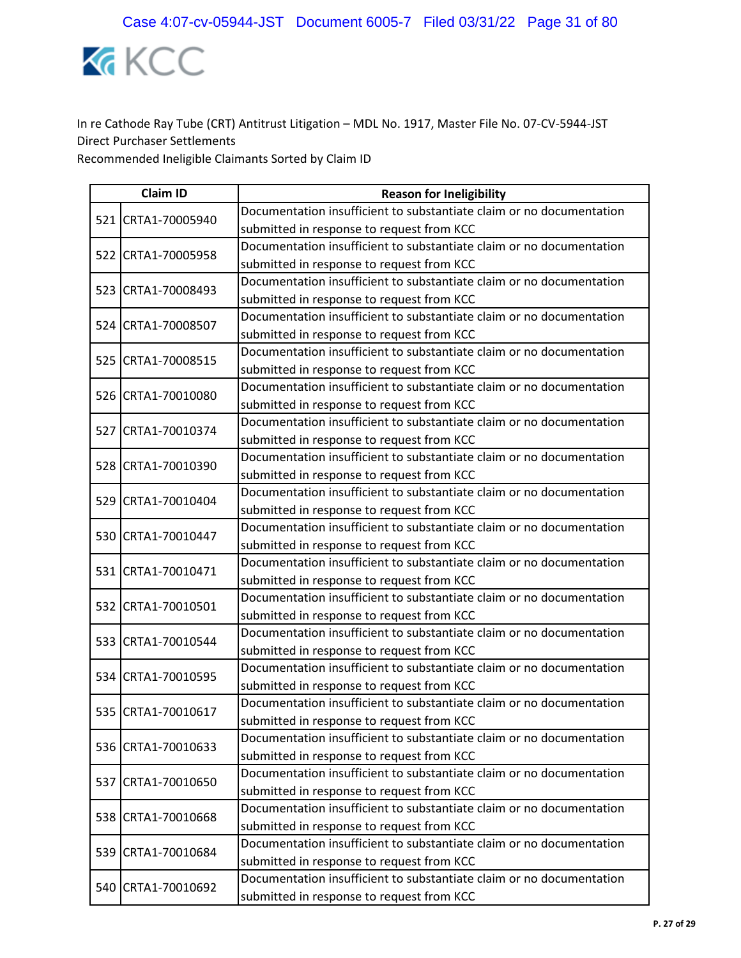

| <b>Claim ID</b> |                    | <b>Reason for Ineligibility</b>                                      |  |
|-----------------|--------------------|----------------------------------------------------------------------|--|
|                 | 521 CRTA1-70005940 | Documentation insufficient to substantiate claim or no documentation |  |
|                 |                    | submitted in response to request from KCC                            |  |
|                 | 522 CRTA1-70005958 | Documentation insufficient to substantiate claim or no documentation |  |
|                 |                    | submitted in response to request from KCC                            |  |
|                 | 523 CRTA1-70008493 | Documentation insufficient to substantiate claim or no documentation |  |
|                 |                    | submitted in response to request from KCC                            |  |
|                 | 524 CRTA1-70008507 | Documentation insufficient to substantiate claim or no documentation |  |
|                 |                    | submitted in response to request from KCC                            |  |
|                 | 525 CRTA1-70008515 | Documentation insufficient to substantiate claim or no documentation |  |
|                 |                    | submitted in response to request from KCC                            |  |
|                 | 526 CRTA1-70010080 | Documentation insufficient to substantiate claim or no documentation |  |
|                 |                    | submitted in response to request from KCC                            |  |
|                 | 527 CRTA1-70010374 | Documentation insufficient to substantiate claim or no documentation |  |
|                 |                    | submitted in response to request from KCC                            |  |
|                 | 528 CRTA1-70010390 | Documentation insufficient to substantiate claim or no documentation |  |
|                 |                    | submitted in response to request from KCC                            |  |
|                 | 529 CRTA1-70010404 | Documentation insufficient to substantiate claim or no documentation |  |
|                 |                    | submitted in response to request from KCC                            |  |
|                 | 530 CRTA1-70010447 | Documentation insufficient to substantiate claim or no documentation |  |
|                 |                    | submitted in response to request from KCC                            |  |
|                 | 531 CRTA1-70010471 | Documentation insufficient to substantiate claim or no documentation |  |
|                 |                    | submitted in response to request from KCC                            |  |
|                 | 532 CRTA1-70010501 | Documentation insufficient to substantiate claim or no documentation |  |
|                 |                    | submitted in response to request from KCC                            |  |
|                 | 533 CRTA1-70010544 | Documentation insufficient to substantiate claim or no documentation |  |
|                 |                    | submitted in response to request from KCC                            |  |
|                 | 534 CRTA1-70010595 | Documentation insufficient to substantiate claim or no documentation |  |
|                 |                    | submitted in response to request from KCC                            |  |
|                 | 535 CRTA1-70010617 | Documentation insufficient to substantiate claim or no documentation |  |
|                 |                    | submitted in response to request from KCC                            |  |
|                 | 536 CRTA1-70010633 | Documentation insufficient to substantiate claim or no documentation |  |
|                 |                    | submitted in response to request from KCC                            |  |
|                 | 537 CRTA1-70010650 | Documentation insufficient to substantiate claim or no documentation |  |
|                 |                    | submitted in response to request from KCC                            |  |
|                 | 538 CRTA1-70010668 | Documentation insufficient to substantiate claim or no documentation |  |
|                 |                    | submitted in response to request from KCC                            |  |
|                 | 539 CRTA1-70010684 | Documentation insufficient to substantiate claim or no documentation |  |
|                 |                    | submitted in response to request from KCC                            |  |
|                 | 540 CRTA1-70010692 | Documentation insufficient to substantiate claim or no documentation |  |
|                 |                    | submitted in response to request from KCC                            |  |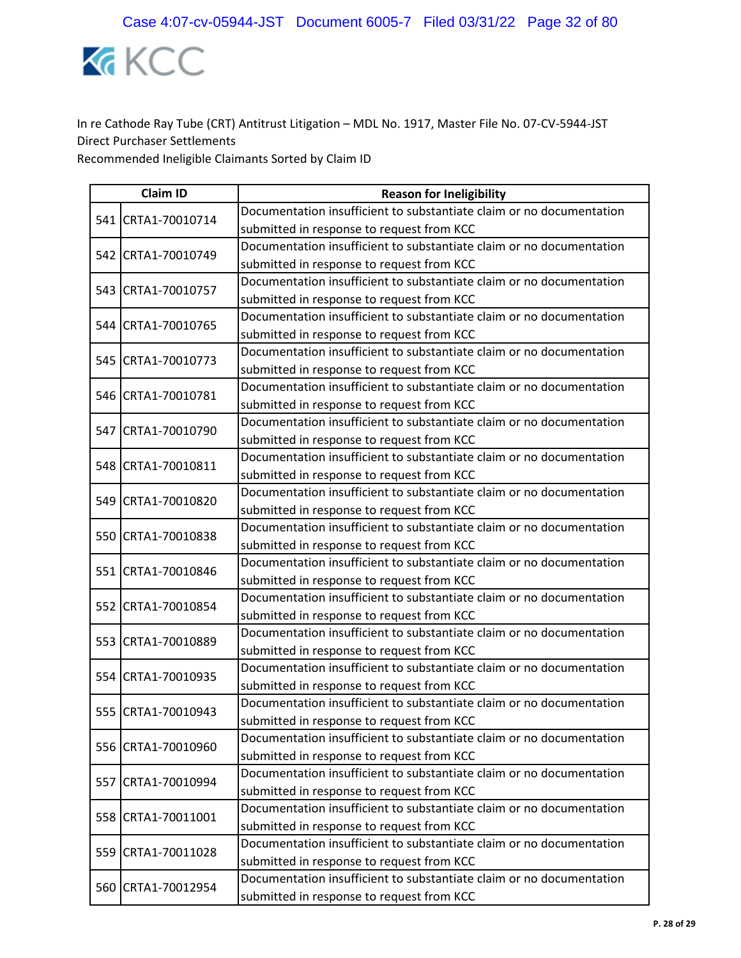

| <b>Claim ID</b> |                    | <b>Reason for Ineligibility</b>                                      |  |
|-----------------|--------------------|----------------------------------------------------------------------|--|
|                 | 541 CRTA1-70010714 | Documentation insufficient to substantiate claim or no documentation |  |
|                 |                    | submitted in response to request from KCC                            |  |
|                 | 542 CRTA1-70010749 | Documentation insufficient to substantiate claim or no documentation |  |
|                 |                    | submitted in response to request from KCC                            |  |
|                 | 543 CRTA1-70010757 | Documentation insufficient to substantiate claim or no documentation |  |
|                 |                    | submitted in response to request from KCC                            |  |
|                 | 544 CRTA1-70010765 | Documentation insufficient to substantiate claim or no documentation |  |
|                 |                    | submitted in response to request from KCC                            |  |
|                 | 545 CRTA1-70010773 | Documentation insufficient to substantiate claim or no documentation |  |
|                 |                    | submitted in response to request from KCC                            |  |
|                 | 546 CRTA1-70010781 | Documentation insufficient to substantiate claim or no documentation |  |
|                 |                    | submitted in response to request from KCC                            |  |
|                 | 547 CRTA1-70010790 | Documentation insufficient to substantiate claim or no documentation |  |
|                 |                    | submitted in response to request from KCC                            |  |
|                 | 548 CRTA1-70010811 | Documentation insufficient to substantiate claim or no documentation |  |
|                 |                    | submitted in response to request from KCC                            |  |
|                 | 549 CRTA1-70010820 | Documentation insufficient to substantiate claim or no documentation |  |
|                 |                    | submitted in response to request from KCC                            |  |
|                 | 550 CRTA1-70010838 | Documentation insufficient to substantiate claim or no documentation |  |
|                 |                    | submitted in response to request from KCC                            |  |
|                 | 551 CRTA1-70010846 | Documentation insufficient to substantiate claim or no documentation |  |
|                 |                    | submitted in response to request from KCC                            |  |
|                 | 552 CRTA1-70010854 | Documentation insufficient to substantiate claim or no documentation |  |
|                 |                    | submitted in response to request from KCC                            |  |
|                 | 553 CRTA1-70010889 | Documentation insufficient to substantiate claim or no documentation |  |
|                 |                    | submitted in response to request from KCC                            |  |
|                 | 554 CRTA1-70010935 | Documentation insufficient to substantiate claim or no documentation |  |
|                 |                    | submitted in response to request from KCC                            |  |
|                 | 555 CRTA1-70010943 | Documentation insufficient to substantiate claim or no documentation |  |
|                 |                    | submitted in response to request from KCC                            |  |
|                 | 556 CRTA1-70010960 | Documentation insufficient to substantiate claim or no documentation |  |
|                 |                    | submitted in response to request from KCC                            |  |
|                 | 557 CRTA1-70010994 | Documentation insufficient to substantiate claim or no documentation |  |
|                 |                    | submitted in response to request from KCC                            |  |
|                 | 558 CRTA1-70011001 | Documentation insufficient to substantiate claim or no documentation |  |
|                 |                    | submitted in response to request from KCC                            |  |
|                 | 559 CRTA1-70011028 | Documentation insufficient to substantiate claim or no documentation |  |
|                 |                    | submitted in response to request from KCC                            |  |
|                 | 560 CRTA1-70012954 | Documentation insufficient to substantiate claim or no documentation |  |
|                 |                    | submitted in response to request from KCC                            |  |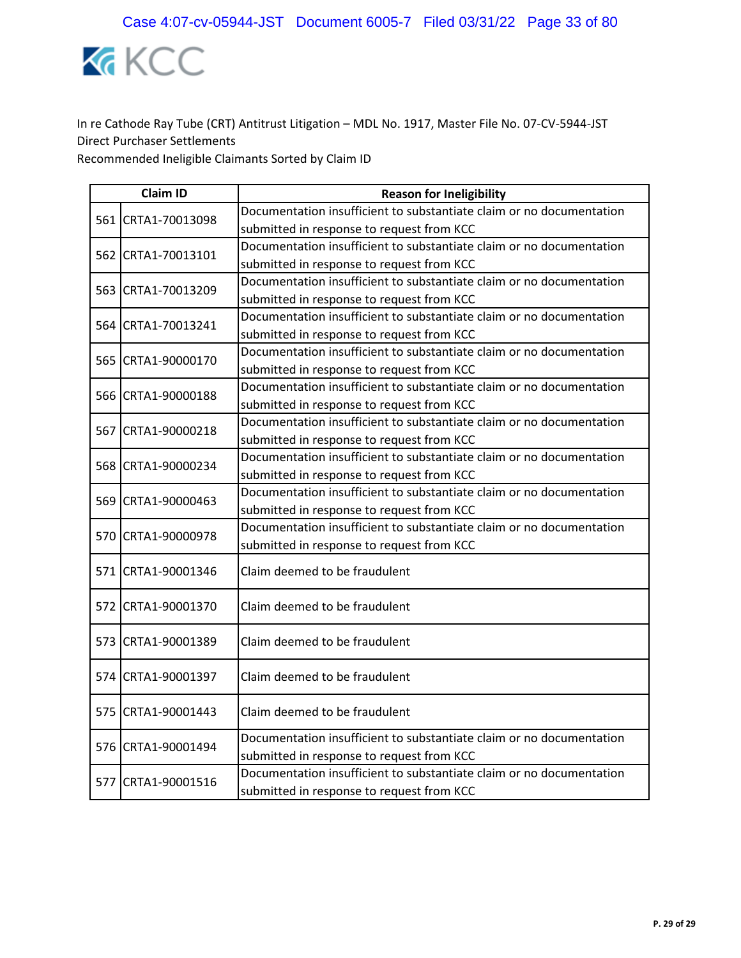

| <b>Claim ID</b> |                    | <b>Reason for Ineligibility</b>                                                                                   |  |
|-----------------|--------------------|-------------------------------------------------------------------------------------------------------------------|--|
|                 | 561 CRTA1-70013098 | Documentation insufficient to substantiate claim or no documentation                                              |  |
|                 |                    | submitted in response to request from KCC                                                                         |  |
|                 | 562 CRTA1-70013101 | Documentation insufficient to substantiate claim or no documentation                                              |  |
|                 |                    | submitted in response to request from KCC                                                                         |  |
|                 | 563 CRTA1-70013209 | Documentation insufficient to substantiate claim or no documentation                                              |  |
|                 |                    | submitted in response to request from KCC                                                                         |  |
|                 | 564 CRTA1-70013241 | Documentation insufficient to substantiate claim or no documentation                                              |  |
|                 |                    | submitted in response to request from KCC                                                                         |  |
|                 | 565 CRTA1-90000170 | Documentation insufficient to substantiate claim or no documentation                                              |  |
|                 |                    | submitted in response to request from KCC                                                                         |  |
|                 | 566 CRTA1-90000188 | Documentation insufficient to substantiate claim or no documentation                                              |  |
|                 |                    | submitted in response to request from KCC                                                                         |  |
|                 | 567 CRTA1-90000218 | Documentation insufficient to substantiate claim or no documentation                                              |  |
|                 |                    | submitted in response to request from KCC                                                                         |  |
|                 | 568 CRTA1-90000234 | Documentation insufficient to substantiate claim or no documentation                                              |  |
|                 |                    | submitted in response to request from KCC                                                                         |  |
|                 | 569 CRTA1-90000463 | Documentation insufficient to substantiate claim or no documentation                                              |  |
|                 |                    | submitted in response to request from KCC                                                                         |  |
|                 | 570 CRTA1-90000978 | Documentation insufficient to substantiate claim or no documentation                                              |  |
|                 |                    | submitted in response to request from KCC                                                                         |  |
|                 | 571 CRTA1-90001346 | Claim deemed to be fraudulent                                                                                     |  |
|                 | 572 CRTA1-90001370 | Claim deemed to be fraudulent                                                                                     |  |
|                 | 573 CRTA1-90001389 | Claim deemed to be fraudulent                                                                                     |  |
|                 | 574 CRTA1-90001397 | Claim deemed to be fraudulent                                                                                     |  |
|                 | 575 CRTA1-90001443 | Claim deemed to be fraudulent                                                                                     |  |
|                 | 576 CRTA1-90001494 | Documentation insufficient to substantiate claim or no documentation<br>submitted in response to request from KCC |  |
|                 | 577 CRTA1-90001516 | Documentation insufficient to substantiate claim or no documentation<br>submitted in response to request from KCC |  |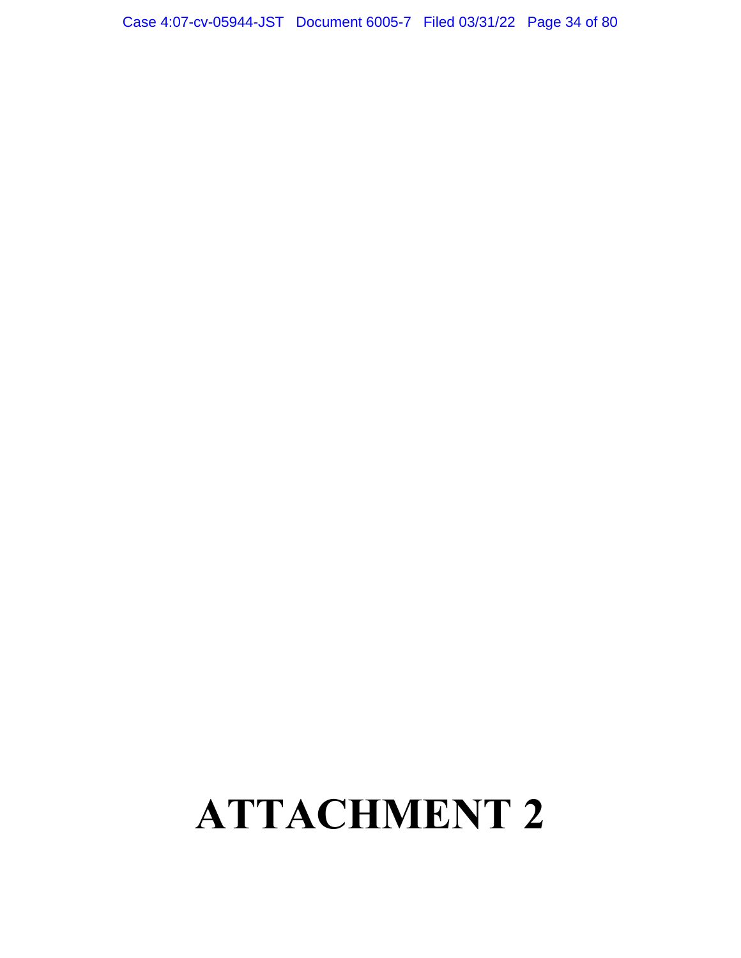## **ATTACHMENT 2**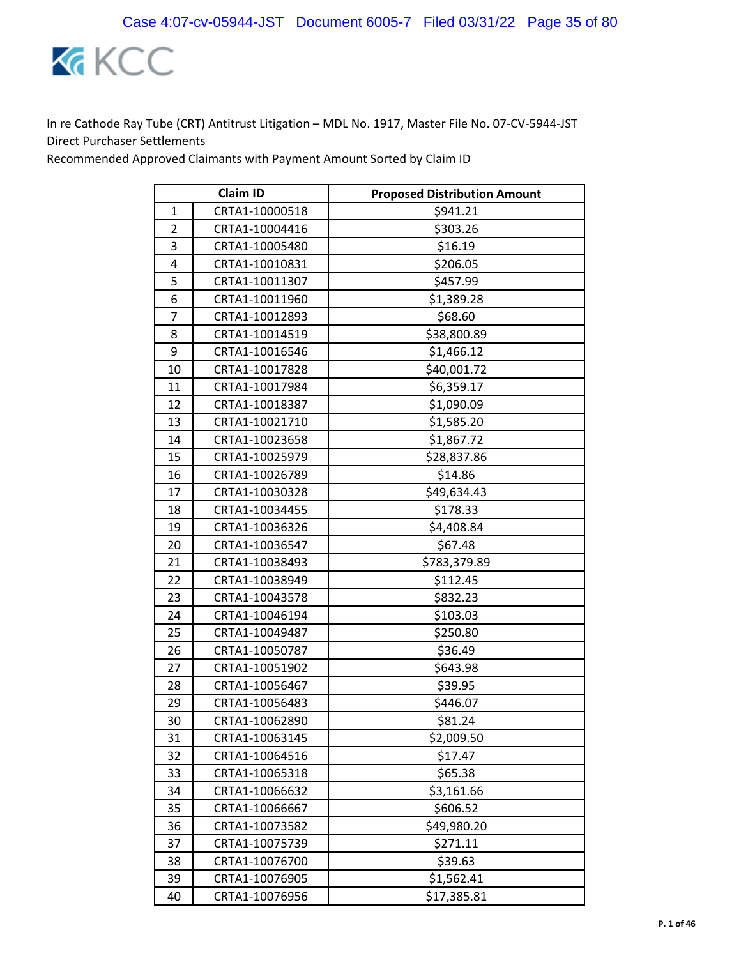

Recommended Approved Claimants with Payment Amount Sorted by Claim ID

| <b>Claim ID</b> |                | <b>Proposed Distribution Amount</b> |
|-----------------|----------------|-------------------------------------|
| 1               | CRTA1-10000518 | \$941.21                            |
| $\overline{2}$  | CRTA1-10004416 | \$303.26                            |
| 3               | CRTA1-10005480 | \$16.19                             |
| 4               | CRTA1-10010831 | \$206.05                            |
| 5               | CRTA1-10011307 | \$457.99                            |
| 6               | CRTA1-10011960 | \$1,389.28                          |
| 7               | CRTA1-10012893 | \$68.60                             |
| 8               | CRTA1-10014519 | \$38,800.89                         |
| 9               | CRTA1-10016546 | \$1,466.12                          |
| 10              | CRTA1-10017828 | \$40,001.72                         |
| 11              | CRTA1-10017984 | \$6,359.17                          |
| 12              | CRTA1-10018387 | \$1,090.09                          |
| 13              | CRTA1-10021710 | \$1,585.20                          |
| 14              | CRTA1-10023658 | \$1,867.72                          |
| 15              | CRTA1-10025979 | \$28,837.86                         |
| 16              | CRTA1-10026789 | \$14.86                             |
| 17              | CRTA1-10030328 | \$49,634.43                         |
| 18              | CRTA1-10034455 | \$178.33                            |
| 19              | CRTA1-10036326 | \$4,408.84                          |
| 20              | CRTA1-10036547 | \$67.48                             |
| 21              | CRTA1-10038493 | \$783,379.89                        |
| 22              | CRTA1-10038949 | \$112.45                            |
| 23              | CRTA1-10043578 | \$832.23                            |
| 24              | CRTA1-10046194 | \$103.03                            |
| 25              | CRTA1-10049487 | \$250.80                            |
| 26              | CRTA1-10050787 | \$36.49                             |
| 27              | CRTA1-10051902 | \$643.98                            |
| 28              | CRTA1-10056467 | \$39.95                             |
| 29              | CRTA1-10056483 | \$446.07                            |
| 30              | CRTA1-10062890 | \$81.24                             |
| 31              | CRTA1-10063145 | \$2,009.50                          |
| 32              | CRTA1-10064516 | \$17.47                             |
| 33              | CRTA1-10065318 | \$65.38                             |
| 34              | CRTA1-10066632 | \$3,161.66                          |
| 35              | CRTA1-10066667 | \$606.52                            |
| 36              | CRTA1-10073582 | \$49,980.20                         |
| 37              | CRTA1-10075739 | \$271.11                            |
| 38              | CRTA1-10076700 | \$39.63                             |
| 39              | CRTA1-10076905 | \$1,562.41                          |
| 40              | CRTA1-10076956 | \$17,385.81                         |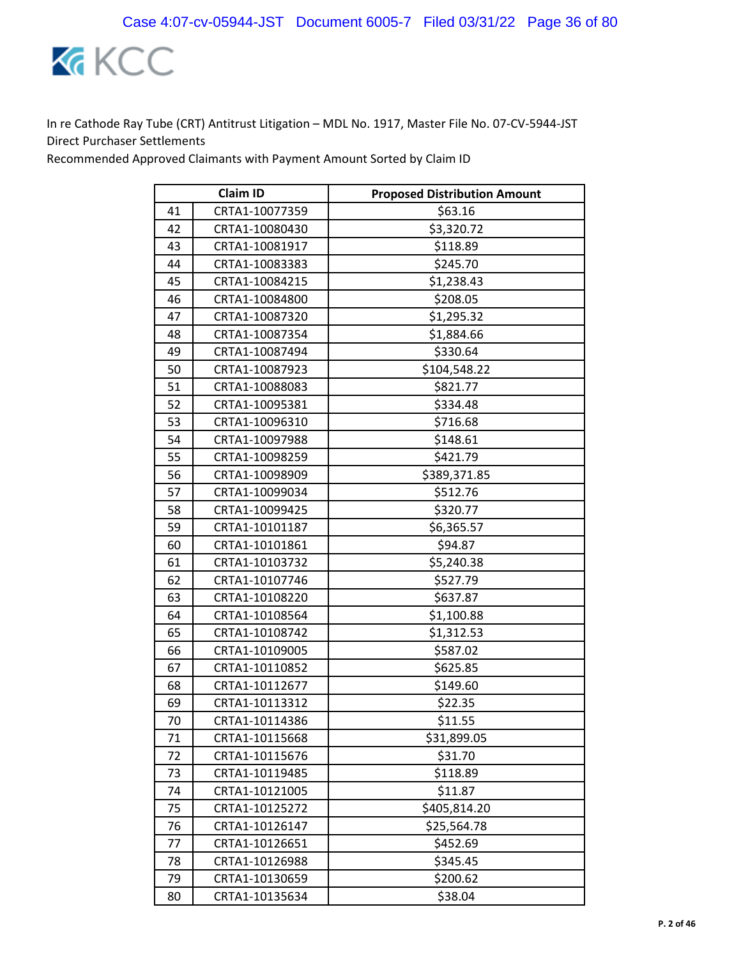

Recommended Approved Claimants with Payment Amount Sorted by Claim ID

| <b>Claim ID</b> |                | <b>Proposed Distribution Amount</b> |
|-----------------|----------------|-------------------------------------|
| 41              | CRTA1-10077359 | \$63.16                             |
| 42              | CRTA1-10080430 | \$3,320.72                          |
| 43              | CRTA1-10081917 | \$118.89                            |
| 44              | CRTA1-10083383 | \$245.70                            |
| 45              | CRTA1-10084215 | \$1,238.43                          |
| 46              | CRTA1-10084800 | \$208.05                            |
| 47              | CRTA1-10087320 | \$1,295.32                          |
| 48              | CRTA1-10087354 | \$1,884.66                          |
| 49              | CRTA1-10087494 | \$330.64                            |
| 50              | CRTA1-10087923 | \$104,548.22                        |
| 51              | CRTA1-10088083 | \$821.77                            |
| 52              | CRTA1-10095381 | \$334.48                            |
| 53              | CRTA1-10096310 | \$716.68                            |
| 54              | CRTA1-10097988 | \$148.61                            |
| 55              | CRTA1-10098259 | \$421.79                            |
| 56              | CRTA1-10098909 | \$389,371.85                        |
| 57              | CRTA1-10099034 | \$512.76                            |
| 58              | CRTA1-10099425 | \$320.77                            |
| 59              | CRTA1-10101187 | \$6,365.57                          |
| 60              | CRTA1-10101861 | \$94.87                             |
| 61              | CRTA1-10103732 | \$5,240.38                          |
| 62              | CRTA1-10107746 | \$527.79                            |
| 63              | CRTA1-10108220 | \$637.87                            |
| 64              | CRTA1-10108564 | \$1,100.88                          |
| 65              | CRTA1-10108742 | \$1,312.53                          |
| 66              | CRTA1-10109005 | \$587.02                            |
| 67              | CRTA1-10110852 | \$625.85                            |
| 68              | CRTA1-10112677 | \$149.60                            |
| 69              | CRTA1-10113312 | \$22.35                             |
| 70              | CRTA1-10114386 | \$11.55                             |
| 71              | CRTA1-10115668 | \$31,899.05                         |
| 72              | CRTA1-10115676 | \$31.70                             |
| 73              | CRTA1-10119485 | \$118.89                            |
| 74              | CRTA1-10121005 | \$11.87                             |
| 75              | CRTA1-10125272 | \$405,814.20                        |
| 76              | CRTA1-10126147 | \$25,564.78                         |
| 77              | CRTA1-10126651 | \$452.69                            |
| 78              | CRTA1-10126988 | \$345.45                            |
| 79              | CRTA1-10130659 | \$200.62                            |
| 80              | CRTA1-10135634 | \$38.04                             |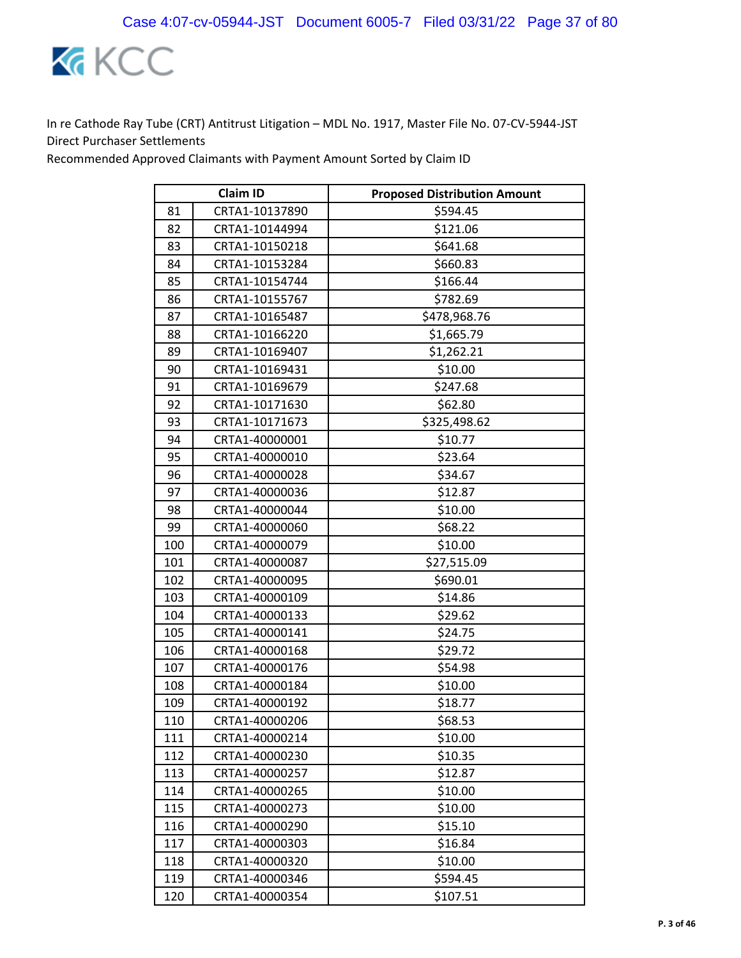

|     | <b>Claim ID</b> | <b>Proposed Distribution Amount</b> |
|-----|-----------------|-------------------------------------|
| 81  | CRTA1-10137890  | \$594.45                            |
| 82  | CRTA1-10144994  | \$121.06                            |
| 83  | CRTA1-10150218  | \$641.68                            |
| 84  | CRTA1-10153284  | \$660.83                            |
| 85  | CRTA1-10154744  | \$166.44                            |
| 86  | CRTA1-10155767  | \$782.69                            |
| 87  | CRTA1-10165487  | \$478,968.76                        |
| 88  | CRTA1-10166220  | \$1,665.79                          |
| 89  | CRTA1-10169407  | \$1,262.21                          |
| 90  | CRTA1-10169431  | \$10.00                             |
| 91  | CRTA1-10169679  | \$247.68                            |
| 92  | CRTA1-10171630  | \$62.80                             |
| 93  | CRTA1-10171673  | \$325,498.62                        |
| 94  | CRTA1-40000001  | \$10.77                             |
| 95  | CRTA1-40000010  | \$23.64                             |
| 96  | CRTA1-40000028  | \$34.67                             |
| 97  | CRTA1-40000036  | \$12.87                             |
| 98  | CRTA1-40000044  | \$10.00                             |
| 99  | CRTA1-40000060  | \$68.22                             |
| 100 | CRTA1-40000079  | \$10.00                             |
| 101 | CRTA1-40000087  | \$27,515.09                         |
| 102 | CRTA1-40000095  | \$690.01                            |
| 103 | CRTA1-40000109  | \$14.86                             |
| 104 | CRTA1-40000133  | \$29.62                             |
| 105 | CRTA1-40000141  | \$24.75                             |
| 106 | CRTA1-40000168  | \$29.72                             |
| 107 | CRTA1-40000176  | \$54.98                             |
| 108 | CRTA1-40000184  | \$10.00                             |
| 109 | CRTA1-40000192  | \$18.77                             |
| 110 | CRTA1-40000206  | \$68.53                             |
| 111 | CRTA1-40000214  | \$10.00                             |
| 112 | CRTA1-40000230  | \$10.35                             |
| 113 | CRTA1-40000257  | \$12.87                             |
| 114 | CRTA1-40000265  | \$10.00                             |
| 115 | CRTA1-40000273  | \$10.00                             |
| 116 | CRTA1-40000290  | \$15.10                             |
| 117 | CRTA1-40000303  | \$16.84                             |
| 118 | CRTA1-40000320  | \$10.00                             |
| 119 | CRTA1-40000346  | \$594.45                            |
| 120 | CRTA1-40000354  | \$107.51                            |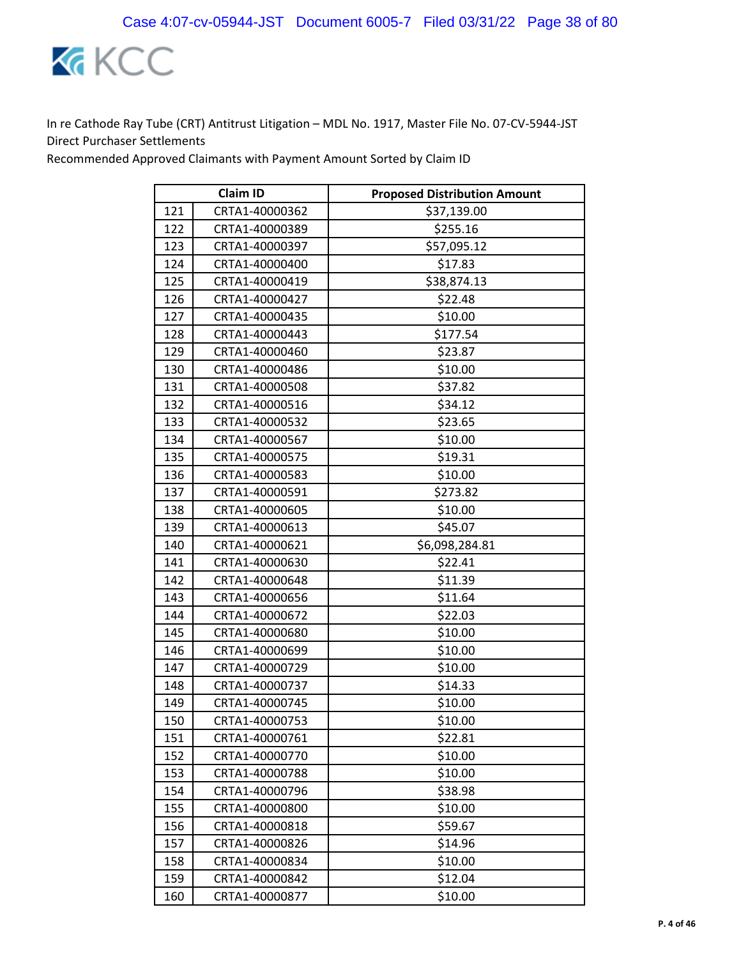

|     | <b>Claim ID</b> | <b>Proposed Distribution Amount</b> |
|-----|-----------------|-------------------------------------|
| 121 | CRTA1-40000362  | \$37,139.00                         |
| 122 | CRTA1-40000389  | \$255.16                            |
| 123 | CRTA1-40000397  | \$57,095.12                         |
| 124 | CRTA1-40000400  | \$17.83                             |
| 125 | CRTA1-40000419  | \$38,874.13                         |
| 126 | CRTA1-40000427  | \$22.48                             |
| 127 | CRTA1-40000435  | \$10.00                             |
| 128 | CRTA1-40000443  | \$177.54                            |
| 129 | CRTA1-40000460  | \$23.87                             |
| 130 | CRTA1-40000486  | \$10.00                             |
| 131 | CRTA1-40000508  | \$37.82                             |
| 132 | CRTA1-40000516  | \$34.12                             |
| 133 | CRTA1-40000532  | \$23.65                             |
| 134 | CRTA1-40000567  | \$10.00                             |
| 135 | CRTA1-40000575  | \$19.31                             |
| 136 | CRTA1-40000583  | \$10.00                             |
| 137 | CRTA1-40000591  | \$273.82                            |
| 138 | CRTA1-40000605  | \$10.00                             |
| 139 | CRTA1-40000613  | \$45.07                             |
| 140 | CRTA1-40000621  | \$6,098,284.81                      |
| 141 | CRTA1-40000630  | \$22.41                             |
| 142 | CRTA1-40000648  | \$11.39                             |
| 143 | CRTA1-40000656  | \$11.64                             |
| 144 | CRTA1-40000672  | \$22.03                             |
| 145 | CRTA1-40000680  | \$10.00                             |
| 146 | CRTA1-40000699  | \$10.00                             |
| 147 | CRTA1-40000729  | \$10.00                             |
| 148 | CRTA1-40000737  | \$14.33                             |
| 149 | CRTA1-40000745  | \$10.00                             |
| 150 | CRTA1-40000753  | \$10.00                             |
| 151 | CRTA1-40000761  | \$22.81                             |
| 152 | CRTA1-40000770  | \$10.00                             |
| 153 | CRTA1-40000788  | \$10.00                             |
| 154 | CRTA1-40000796  | \$38.98                             |
| 155 | CRTA1-40000800  | \$10.00                             |
| 156 | CRTA1-40000818  | \$59.67                             |
| 157 | CRTA1-40000826  | \$14.96                             |
| 158 | CRTA1-40000834  | \$10.00                             |
| 159 | CRTA1-40000842  | \$12.04                             |
| 160 | CRTA1-40000877  | \$10.00                             |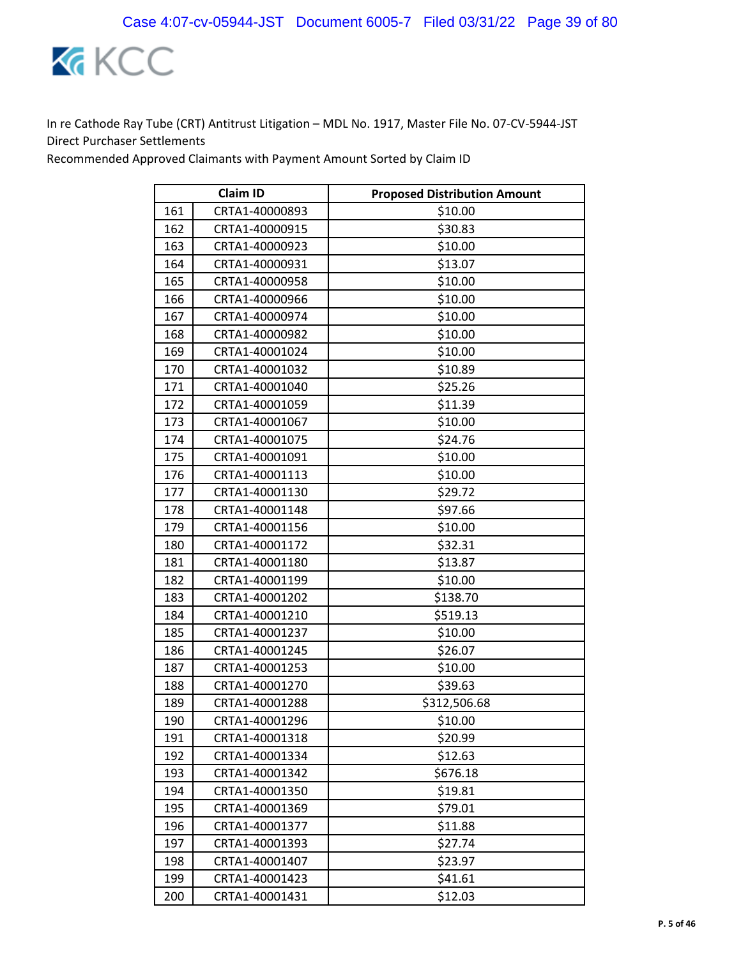

|     | <b>Claim ID</b> | <b>Proposed Distribution Amount</b> |
|-----|-----------------|-------------------------------------|
| 161 | CRTA1-40000893  | \$10.00                             |
| 162 | CRTA1-40000915  | \$30.83                             |
| 163 | CRTA1-40000923  | \$10.00                             |
| 164 | CRTA1-40000931  | \$13.07                             |
| 165 | CRTA1-40000958  | \$10.00                             |
| 166 | CRTA1-40000966  | \$10.00                             |
| 167 | CRTA1-40000974  | \$10.00                             |
| 168 | CRTA1-40000982  | \$10.00                             |
| 169 | CRTA1-40001024  | \$10.00                             |
| 170 | CRTA1-40001032  | \$10.89                             |
| 171 | CRTA1-40001040  | \$25.26                             |
| 172 | CRTA1-40001059  | \$11.39                             |
| 173 | CRTA1-40001067  | \$10.00                             |
| 174 | CRTA1-40001075  | \$24.76                             |
| 175 | CRTA1-40001091  | \$10.00                             |
| 176 | CRTA1-40001113  | \$10.00                             |
| 177 | CRTA1-40001130  | \$29.72                             |
| 178 | CRTA1-40001148  | \$97.66                             |
| 179 | CRTA1-40001156  | \$10.00                             |
| 180 | CRTA1-40001172  | \$32.31                             |
| 181 | CRTA1-40001180  | \$13.87                             |
| 182 | CRTA1-40001199  | \$10.00                             |
| 183 | CRTA1-40001202  | \$138.70                            |
| 184 | CRTA1-40001210  | \$519.13                            |
| 185 | CRTA1-40001237  | \$10.00                             |
| 186 | CRTA1-40001245  | \$26.07                             |
| 187 | CRTA1-40001253  | \$10.00                             |
| 188 | CRTA1-40001270  | \$39.63                             |
| 189 | CRTA1-40001288  | \$312,506.68                        |
| 190 | CRTA1-40001296  | \$10.00                             |
| 191 | CRTA1-40001318  | \$20.99                             |
| 192 | CRTA1-40001334  | \$12.63                             |
| 193 | CRTA1-40001342  | \$676.18                            |
| 194 | CRTA1-40001350  | \$19.81                             |
| 195 | CRTA1-40001369  | \$79.01                             |
| 196 | CRTA1-40001377  | \$11.88                             |
| 197 | CRTA1-40001393  | \$27.74                             |
| 198 | CRTA1-40001407  | \$23.97                             |
| 199 | CRTA1-40001423  | \$41.61                             |
| 200 | CRTA1-40001431  | \$12.03                             |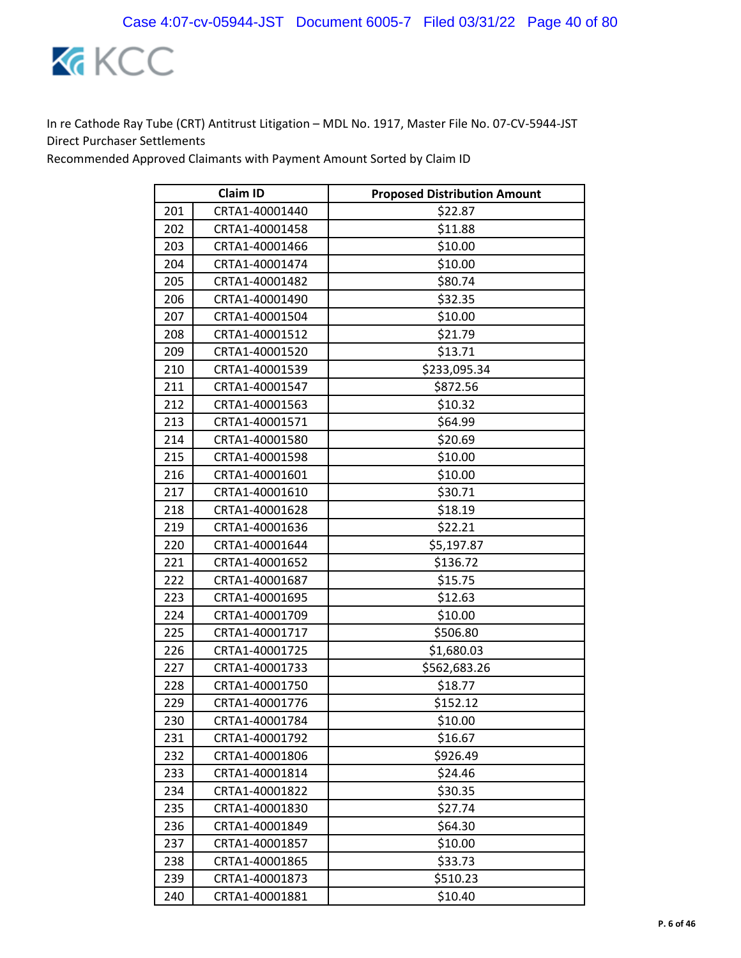

|     | <b>Claim ID</b> | <b>Proposed Distribution Amount</b> |
|-----|-----------------|-------------------------------------|
| 201 | CRTA1-40001440  | \$22.87                             |
| 202 | CRTA1-40001458  | \$11.88                             |
| 203 | CRTA1-40001466  | \$10.00                             |
| 204 | CRTA1-40001474  | \$10.00                             |
| 205 | CRTA1-40001482  | \$80.74                             |
| 206 | CRTA1-40001490  | \$32.35                             |
| 207 | CRTA1-40001504  | \$10.00                             |
| 208 | CRTA1-40001512  | \$21.79                             |
| 209 | CRTA1-40001520  | \$13.71                             |
| 210 | CRTA1-40001539  | \$233,095.34                        |
| 211 | CRTA1-40001547  | \$872.56                            |
| 212 | CRTA1-40001563  | \$10.32                             |
| 213 | CRTA1-40001571  | \$64.99                             |
| 214 | CRTA1-40001580  | \$20.69                             |
| 215 | CRTA1-40001598  | \$10.00                             |
| 216 | CRTA1-40001601  | \$10.00                             |
| 217 | CRTA1-40001610  | \$30.71                             |
| 218 | CRTA1-40001628  | \$18.19                             |
| 219 | CRTA1-40001636  | \$22.21                             |
| 220 | CRTA1-40001644  | \$5,197.87                          |
| 221 | CRTA1-40001652  | \$136.72                            |
| 222 | CRTA1-40001687  | \$15.75                             |
| 223 | CRTA1-40001695  | \$12.63                             |
| 224 | CRTA1-40001709  | \$10.00                             |
| 225 | CRTA1-40001717  | \$506.80                            |
| 226 | CRTA1-40001725  | \$1,680.03                          |
| 227 | CRTA1-40001733  | \$562,683.26                        |
| 228 | CRTA1-40001750  | \$18.77                             |
| 229 | CRTA1-40001776  | \$152.12                            |
| 230 | CRTA1-40001784  | \$10.00                             |
| 231 | CRTA1-40001792  | \$16.67                             |
| 232 | CRTA1-40001806  | \$926.49                            |
| 233 | CRTA1-40001814  | \$24.46                             |
| 234 | CRTA1-40001822  | \$30.35                             |
| 235 | CRTA1-40001830  | \$27.74                             |
| 236 | CRTA1-40001849  | \$64.30                             |
| 237 | CRTA1-40001857  | \$10.00                             |
| 238 | CRTA1-40001865  | \$33.73                             |
| 239 | CRTA1-40001873  | \$510.23                            |
| 240 | CRTA1-40001881  | \$10.40                             |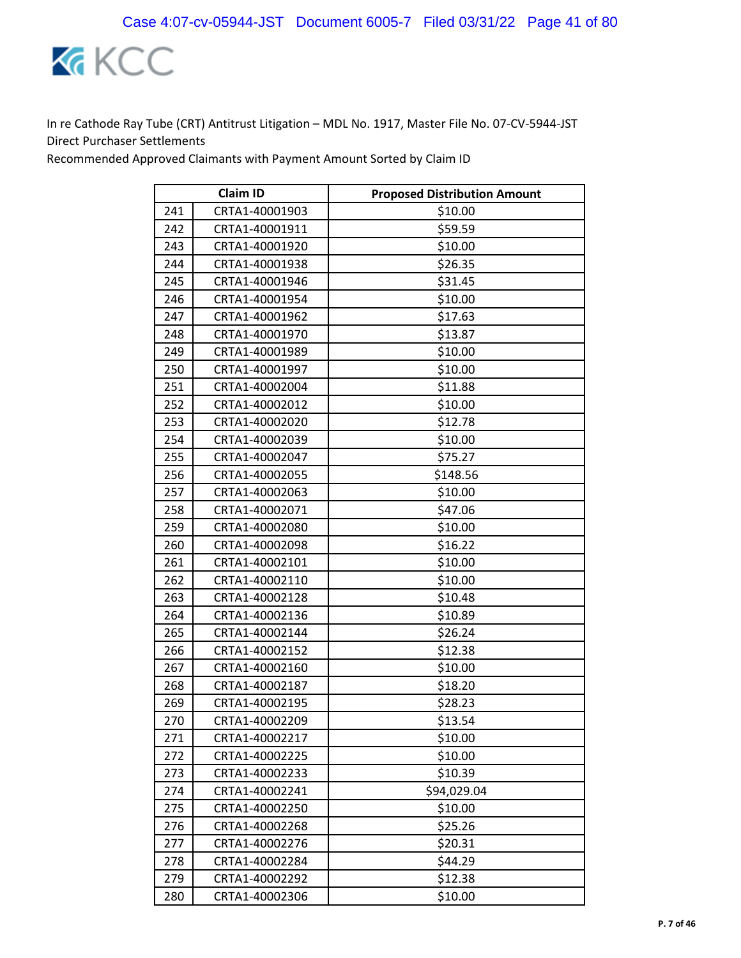

|     | <b>Claim ID</b> | <b>Proposed Distribution Amount</b> |
|-----|-----------------|-------------------------------------|
| 241 | CRTA1-40001903  | \$10.00                             |
| 242 | CRTA1-40001911  | \$59.59                             |
| 243 | CRTA1-40001920  | \$10.00                             |
| 244 | CRTA1-40001938  | \$26.35                             |
| 245 | CRTA1-40001946  | \$31.45                             |
| 246 | CRTA1-40001954  | \$10.00                             |
| 247 | CRTA1-40001962  | \$17.63                             |
| 248 | CRTA1-40001970  | \$13.87                             |
| 249 | CRTA1-40001989  | \$10.00                             |
| 250 | CRTA1-40001997  | \$10.00                             |
| 251 | CRTA1-40002004  | \$11.88                             |
| 252 | CRTA1-40002012  | \$10.00                             |
| 253 | CRTA1-40002020  | \$12.78                             |
| 254 | CRTA1-40002039  | \$10.00                             |
| 255 | CRTA1-40002047  | \$75.27                             |
| 256 | CRTA1-40002055  | \$148.56                            |
| 257 | CRTA1-40002063  | \$10.00                             |
| 258 | CRTA1-40002071  | \$47.06                             |
| 259 | CRTA1-40002080  | \$10.00                             |
| 260 | CRTA1-40002098  | \$16.22                             |
| 261 | CRTA1-40002101  | \$10.00                             |
| 262 | CRTA1-40002110  | \$10.00                             |
| 263 | CRTA1-40002128  | \$10.48                             |
| 264 | CRTA1-40002136  | \$10.89                             |
| 265 | CRTA1-40002144  | \$26.24                             |
| 266 | CRTA1-40002152  | \$12.38                             |
| 267 | CRTA1-40002160  | \$10.00                             |
| 268 | CRTA1-40002187  | \$18.20                             |
| 269 | CRTA1-40002195  | \$28.23                             |
| 270 | CRTA1-40002209  | \$13.54                             |
| 271 | CRTA1-40002217  | \$10.00                             |
| 272 | CRTA1-40002225  | \$10.00                             |
| 273 | CRTA1-40002233  | \$10.39                             |
| 274 | CRTA1-40002241  | \$94,029.04                         |
| 275 | CRTA1-40002250  | \$10.00                             |
| 276 | CRTA1-40002268  | \$25.26                             |
| 277 | CRTA1-40002276  | \$20.31                             |
| 278 | CRTA1-40002284  | \$44.29                             |
| 279 | CRTA1-40002292  | \$12.38                             |
| 280 | CRTA1-40002306  | \$10.00                             |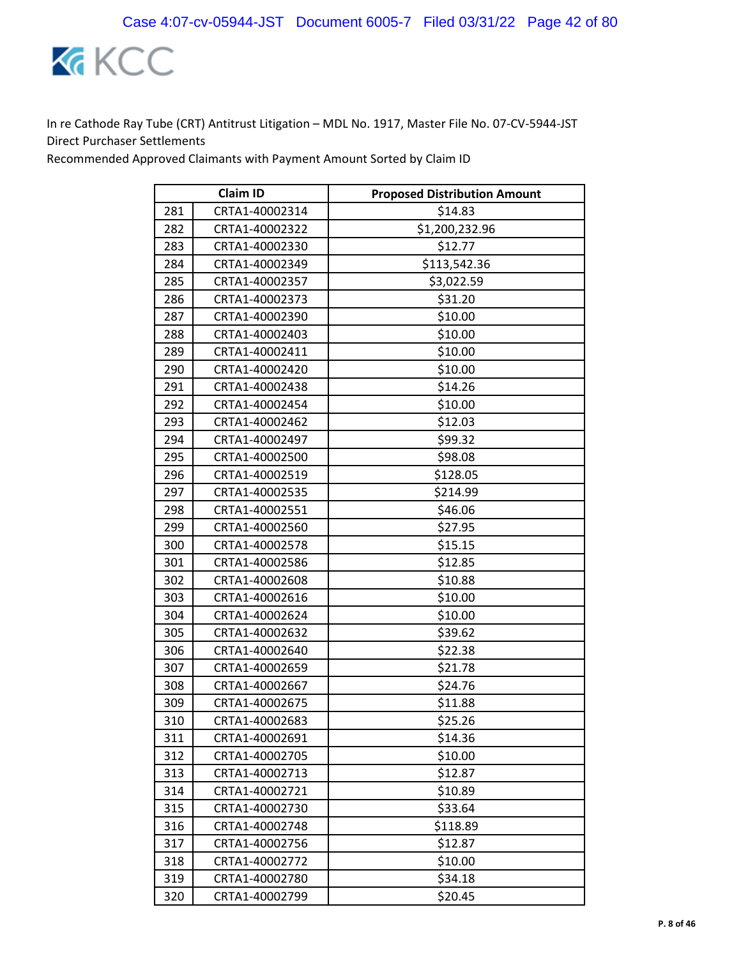

|     | <b>Claim ID</b> | <b>Proposed Distribution Amount</b> |
|-----|-----------------|-------------------------------------|
| 281 | CRTA1-40002314  | \$14.83                             |
| 282 | CRTA1-40002322  | \$1,200,232.96                      |
| 283 | CRTA1-40002330  | \$12.77                             |
| 284 | CRTA1-40002349  | \$113,542.36                        |
| 285 | CRTA1-40002357  | \$3,022.59                          |
| 286 | CRTA1-40002373  | \$31.20                             |
| 287 | CRTA1-40002390  | \$10.00                             |
| 288 | CRTA1-40002403  | \$10.00                             |
| 289 | CRTA1-40002411  | \$10.00                             |
| 290 | CRTA1-40002420  | \$10.00                             |
| 291 | CRTA1-40002438  | \$14.26                             |
| 292 | CRTA1-40002454  | \$10.00                             |
| 293 | CRTA1-40002462  | \$12.03                             |
| 294 | CRTA1-40002497  | \$99.32                             |
| 295 | CRTA1-40002500  | \$98.08                             |
| 296 | CRTA1-40002519  | \$128.05                            |
| 297 | CRTA1-40002535  | \$214.99                            |
| 298 | CRTA1-40002551  | \$46.06                             |
| 299 | CRTA1-40002560  | \$27.95                             |
| 300 | CRTA1-40002578  | \$15.15                             |
| 301 | CRTA1-40002586  | \$12.85                             |
| 302 | CRTA1-40002608  | \$10.88                             |
| 303 | CRTA1-40002616  | \$10.00                             |
| 304 | CRTA1-40002624  | \$10.00                             |
| 305 | CRTA1-40002632  | \$39.62                             |
| 306 | CRTA1-40002640  | \$22.38                             |
| 307 | CRTA1-40002659  | \$21.78                             |
| 308 | CRTA1-40002667  | \$24.76                             |
| 309 | CRTA1-40002675  | \$11.88                             |
| 310 | CRTA1-40002683  | \$25.26                             |
| 311 | CRTA1-40002691  | \$14.36                             |
| 312 | CRTA1-40002705  | \$10.00                             |
| 313 | CRTA1-40002713  | \$12.87                             |
| 314 | CRTA1-40002721  | \$10.89                             |
| 315 | CRTA1-40002730  | \$33.64                             |
| 316 | CRTA1-40002748  | \$118.89                            |
| 317 | CRTA1-40002756  | \$12.87                             |
| 318 | CRTA1-40002772  | \$10.00                             |
| 319 | CRTA1-40002780  | \$34.18                             |
| 320 | CRTA1-40002799  | \$20.45                             |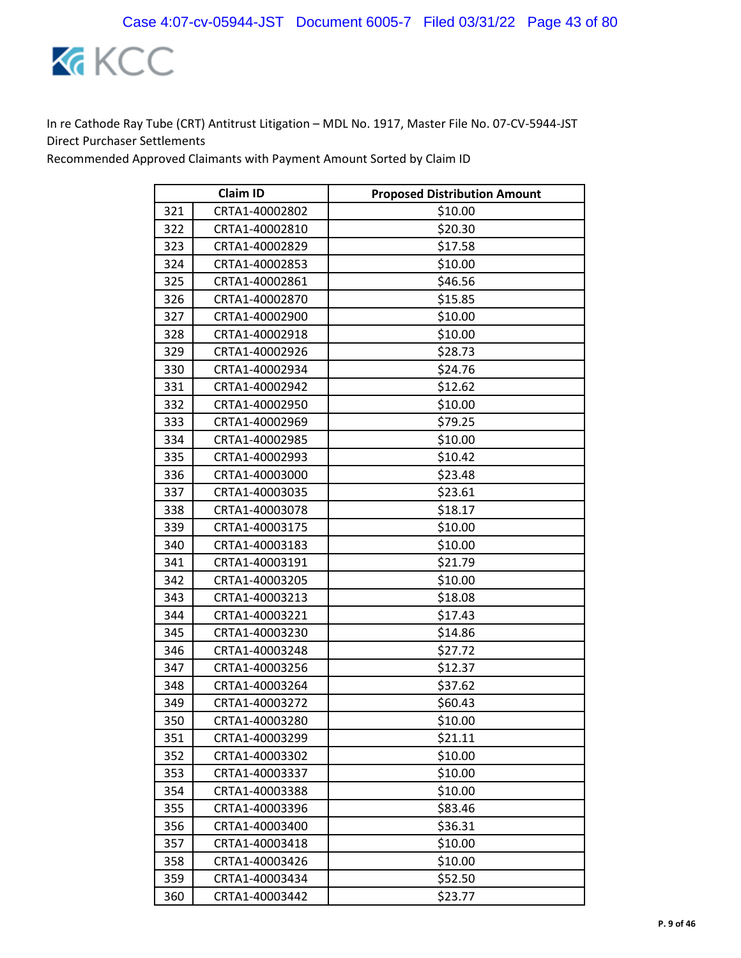

|     | <b>Claim ID</b> | <b>Proposed Distribution Amount</b> |
|-----|-----------------|-------------------------------------|
| 321 | CRTA1-40002802  | \$10.00                             |
| 322 | CRTA1-40002810  | \$20.30                             |
| 323 | CRTA1-40002829  | \$17.58                             |
| 324 | CRTA1-40002853  | \$10.00                             |
| 325 | CRTA1-40002861  | \$46.56                             |
| 326 | CRTA1-40002870  | \$15.85                             |
| 327 | CRTA1-40002900  | \$10.00                             |
| 328 | CRTA1-40002918  | \$10.00                             |
| 329 | CRTA1-40002926  | \$28.73                             |
| 330 | CRTA1-40002934  | \$24.76                             |
| 331 | CRTA1-40002942  | \$12.62                             |
| 332 | CRTA1-40002950  | \$10.00                             |
| 333 | CRTA1-40002969  | \$79.25                             |
| 334 | CRTA1-40002985  | \$10.00                             |
| 335 | CRTA1-40002993  | \$10.42                             |
| 336 | CRTA1-40003000  | \$23.48                             |
| 337 | CRTA1-40003035  | \$23.61                             |
| 338 | CRTA1-40003078  | \$18.17                             |
| 339 | CRTA1-40003175  | \$10.00                             |
| 340 | CRTA1-40003183  | \$10.00                             |
| 341 | CRTA1-40003191  | \$21.79                             |
| 342 | CRTA1-40003205  | \$10.00                             |
| 343 | CRTA1-40003213  | \$18.08                             |
| 344 | CRTA1-40003221  | \$17.43                             |
| 345 | CRTA1-40003230  | \$14.86                             |
| 346 | CRTA1-40003248  | \$27.72                             |
| 347 | CRTA1-40003256  | \$12.37                             |
| 348 | CRTA1-40003264  | \$37.62                             |
| 349 | CRTA1-40003272  | \$60.43                             |
| 350 | CRTA1-40003280  | \$10.00                             |
| 351 | CRTA1-40003299  | \$21.11                             |
| 352 | CRTA1-40003302  | \$10.00                             |
| 353 | CRTA1-40003337  | \$10.00                             |
| 354 | CRTA1-40003388  | \$10.00                             |
| 355 | CRTA1-40003396  | \$83.46                             |
| 356 | CRTA1-40003400  | \$36.31                             |
| 357 | CRTA1-40003418  | \$10.00                             |
| 358 | CRTA1-40003426  | \$10.00                             |
| 359 | CRTA1-40003434  | \$52.50                             |
| 360 | CRTA1-40003442  | \$23.77                             |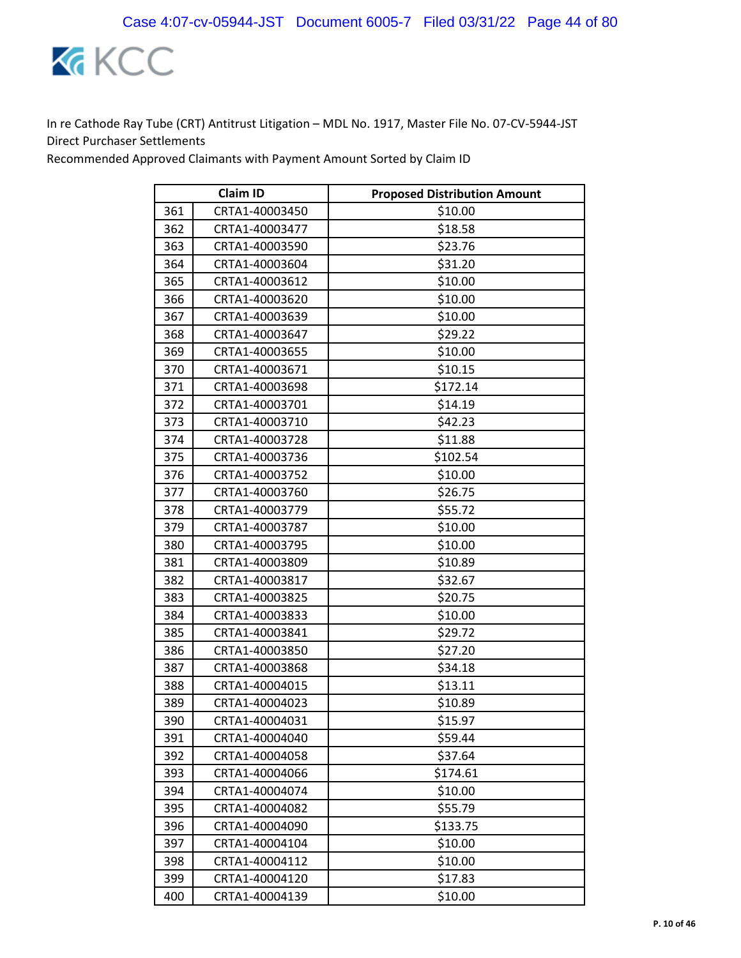

|     | <b>Claim ID</b> | <b>Proposed Distribution Amount</b> |
|-----|-----------------|-------------------------------------|
| 361 | CRTA1-40003450  | \$10.00                             |
| 362 | CRTA1-40003477  | \$18.58                             |
| 363 | CRTA1-40003590  | \$23.76                             |
| 364 | CRTA1-40003604  | \$31.20                             |
| 365 | CRTA1-40003612  | \$10.00                             |
| 366 | CRTA1-40003620  | \$10.00                             |
| 367 | CRTA1-40003639  | \$10.00                             |
| 368 | CRTA1-40003647  | \$29.22                             |
| 369 | CRTA1-40003655  | \$10.00                             |
| 370 | CRTA1-40003671  | \$10.15                             |
| 371 | CRTA1-40003698  | \$172.14                            |
| 372 | CRTA1-40003701  | \$14.19                             |
| 373 | CRTA1-40003710  | \$42.23                             |
| 374 | CRTA1-40003728  | \$11.88                             |
| 375 | CRTA1-40003736  | \$102.54                            |
| 376 | CRTA1-40003752  | \$10.00                             |
| 377 | CRTA1-40003760  | \$26.75                             |
| 378 | CRTA1-40003779  | \$55.72                             |
| 379 | CRTA1-40003787  | \$10.00                             |
| 380 | CRTA1-40003795  | \$10.00                             |
| 381 | CRTA1-40003809  | \$10.89                             |
| 382 | CRTA1-40003817  | \$32.67                             |
| 383 | CRTA1-40003825  | \$20.75                             |
| 384 | CRTA1-40003833  | \$10.00                             |
| 385 | CRTA1-40003841  | \$29.72                             |
| 386 | CRTA1-40003850  | \$27.20                             |
| 387 | CRTA1-40003868  | \$34.18                             |
| 388 | CRTA1-40004015  | \$13.11                             |
| 389 | CRTA1-40004023  | \$10.89                             |
| 390 | CRTA1-40004031  | \$15.97                             |
| 391 | CRTA1-40004040  | \$59.44                             |
| 392 | CRTA1-40004058  | \$37.64                             |
| 393 | CRTA1-40004066  | \$174.61                            |
| 394 | CRTA1-40004074  | \$10.00                             |
| 395 | CRTA1-40004082  | \$55.79                             |
| 396 | CRTA1-40004090  | \$133.75                            |
| 397 | CRTA1-40004104  | \$10.00                             |
| 398 | CRTA1-40004112  | \$10.00                             |
| 399 | CRTA1-40004120  | \$17.83                             |
| 400 | CRTA1-40004139  | \$10.00                             |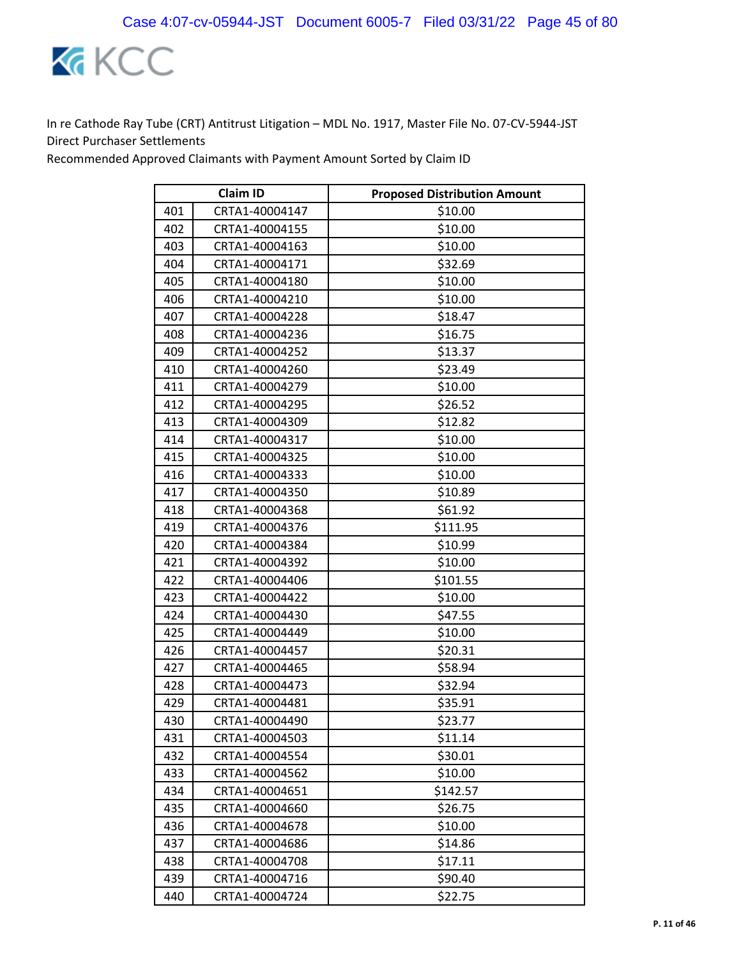

|     | <b>Claim ID</b> | <b>Proposed Distribution Amount</b> |
|-----|-----------------|-------------------------------------|
| 401 | CRTA1-40004147  | \$10.00                             |
| 402 | CRTA1-40004155  | \$10.00                             |
| 403 | CRTA1-40004163  | \$10.00                             |
| 404 | CRTA1-40004171  | \$32.69                             |
| 405 | CRTA1-40004180  | \$10.00                             |
| 406 | CRTA1-40004210  | \$10.00                             |
| 407 | CRTA1-40004228  | \$18.47                             |
| 408 | CRTA1-40004236  | \$16.75                             |
| 409 | CRTA1-40004252  | \$13.37                             |
| 410 | CRTA1-40004260  | \$23.49                             |
| 411 | CRTA1-40004279  | \$10.00                             |
| 412 | CRTA1-40004295  | \$26.52                             |
| 413 | CRTA1-40004309  | \$12.82                             |
| 414 | CRTA1-40004317  | \$10.00                             |
| 415 | CRTA1-40004325  | \$10.00                             |
| 416 | CRTA1-40004333  | \$10.00                             |
| 417 | CRTA1-40004350  | \$10.89                             |
| 418 | CRTA1-40004368  | \$61.92                             |
| 419 | CRTA1-40004376  | \$111.95                            |
| 420 | CRTA1-40004384  | \$10.99                             |
| 421 | CRTA1-40004392  | \$10.00                             |
| 422 | CRTA1-40004406  | \$101.55                            |
| 423 | CRTA1-40004422  | \$10.00                             |
| 424 | CRTA1-40004430  | \$47.55                             |
| 425 | CRTA1-40004449  | \$10.00                             |
| 426 | CRTA1-40004457  | \$20.31                             |
| 427 | CRTA1-40004465  | \$58.94                             |
| 428 | CRTA1-40004473  | \$32.94                             |
| 429 | CRTA1-40004481  | \$35.91                             |
| 430 | CRTA1-40004490  | \$23.77                             |
| 431 | CRTA1-40004503  | \$11.14                             |
| 432 | CRTA1-40004554  | \$30.01                             |
| 433 | CRTA1-40004562  | \$10.00                             |
| 434 | CRTA1-40004651  | \$142.57                            |
| 435 | CRTA1-40004660  | \$26.75                             |
| 436 | CRTA1-40004678  | \$10.00                             |
| 437 | CRTA1-40004686  | \$14.86                             |
| 438 | CRTA1-40004708  | \$17.11                             |
| 439 | CRTA1-40004716  | \$90.40                             |
| 440 | CRTA1-40004724  | \$22.75                             |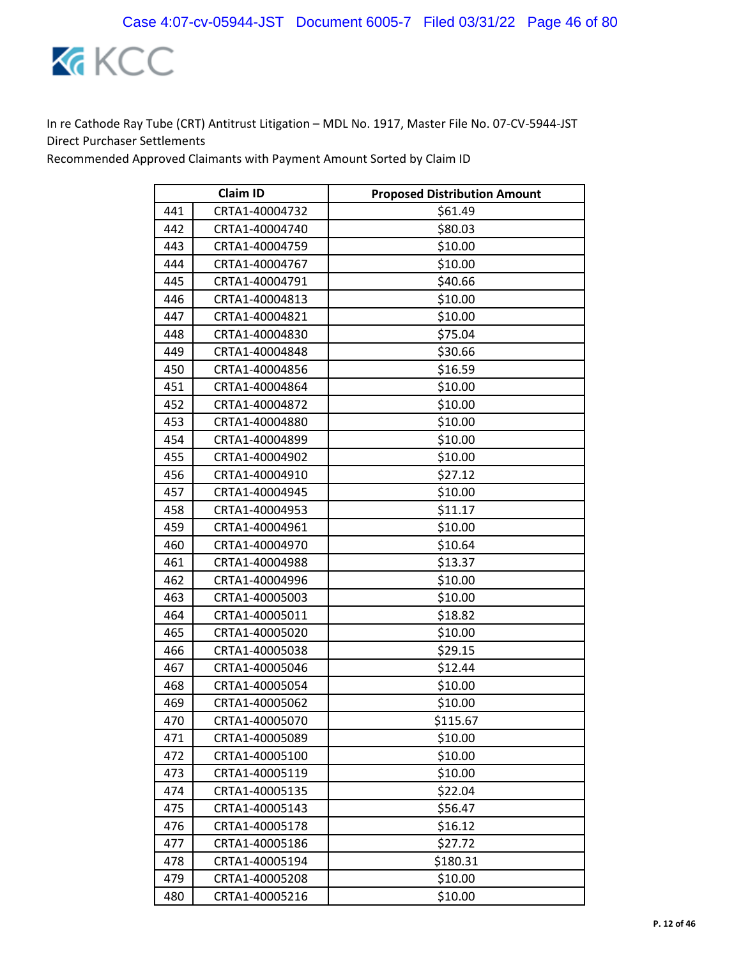

|     | <b>Claim ID</b> | <b>Proposed Distribution Amount</b> |
|-----|-----------------|-------------------------------------|
| 441 | CRTA1-40004732  | \$61.49                             |
| 442 | CRTA1-40004740  | \$80.03                             |
| 443 | CRTA1-40004759  | \$10.00                             |
| 444 | CRTA1-40004767  | \$10.00                             |
| 445 | CRTA1-40004791  | \$40.66                             |
| 446 | CRTA1-40004813  | \$10.00                             |
| 447 | CRTA1-40004821  | \$10.00                             |
| 448 | CRTA1-40004830  | \$75.04                             |
| 449 | CRTA1-40004848  | \$30.66                             |
| 450 | CRTA1-40004856  | \$16.59                             |
| 451 | CRTA1-40004864  | \$10.00                             |
| 452 | CRTA1-40004872  | \$10.00                             |
| 453 | CRTA1-40004880  | \$10.00                             |
| 454 | CRTA1-40004899  | \$10.00                             |
| 455 | CRTA1-40004902  | \$10.00                             |
| 456 | CRTA1-40004910  | \$27.12                             |
| 457 | CRTA1-40004945  | \$10.00                             |
| 458 | CRTA1-40004953  | \$11.17                             |
| 459 | CRTA1-40004961  | \$10.00                             |
| 460 | CRTA1-40004970  | \$10.64                             |
| 461 | CRTA1-40004988  | \$13.37                             |
| 462 | CRTA1-40004996  | \$10.00                             |
| 463 | CRTA1-40005003  | \$10.00                             |
| 464 | CRTA1-40005011  | \$18.82                             |
| 465 | CRTA1-40005020  | \$10.00                             |
| 466 | CRTA1-40005038  | \$29.15                             |
| 467 | CRTA1-40005046  | \$12.44                             |
| 468 | CRTA1-40005054  | \$10.00                             |
| 469 | CRTA1-40005062  | \$10.00                             |
| 470 | CRTA1-40005070  | \$115.67                            |
| 471 | CRTA1-40005089  | \$10.00                             |
| 472 | CRTA1-40005100  | \$10.00                             |
| 473 | CRTA1-40005119  | \$10.00                             |
| 474 | CRTA1-40005135  | \$22.04                             |
| 475 | CRTA1-40005143  | \$56.47                             |
| 476 | CRTA1-40005178  | \$16.12                             |
| 477 | CRTA1-40005186  | \$27.72                             |
| 478 | CRTA1-40005194  | \$180.31                            |
| 479 | CRTA1-40005208  | \$10.00                             |
| 480 | CRTA1-40005216  | \$10.00                             |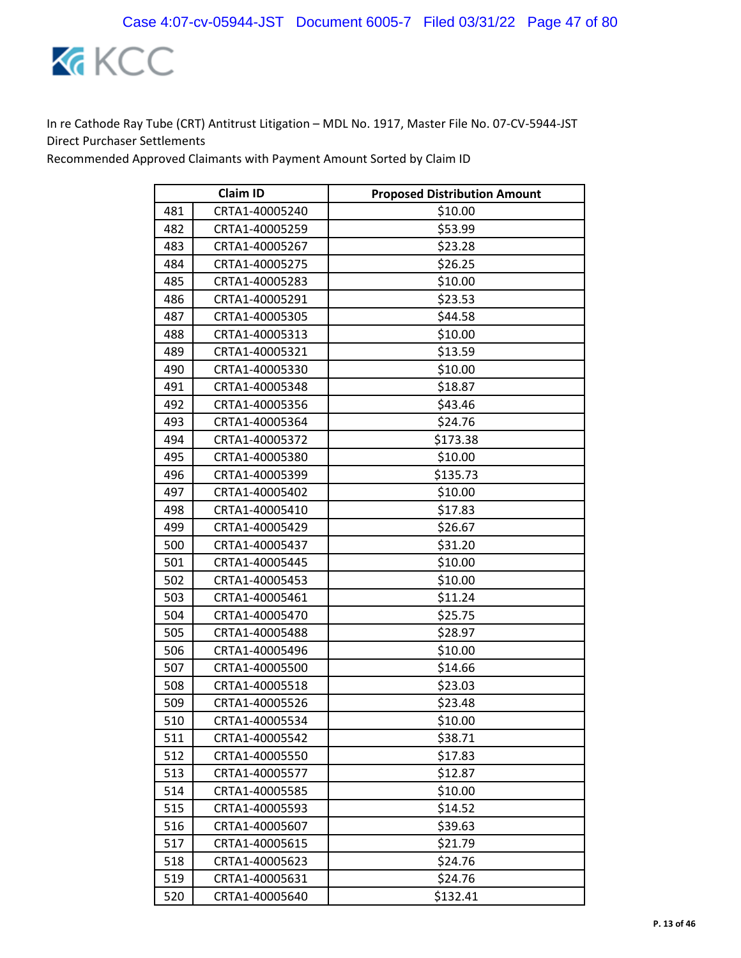

|     | <b>Claim ID</b> | <b>Proposed Distribution Amount</b> |
|-----|-----------------|-------------------------------------|
| 481 | CRTA1-40005240  | \$10.00                             |
| 482 | CRTA1-40005259  | \$53.99                             |
| 483 | CRTA1-40005267  | \$23.28                             |
| 484 | CRTA1-40005275  | \$26.25                             |
| 485 | CRTA1-40005283  | \$10.00                             |
| 486 | CRTA1-40005291  | \$23.53                             |
| 487 | CRTA1-40005305  | \$44.58                             |
| 488 | CRTA1-40005313  | \$10.00                             |
| 489 | CRTA1-40005321  | \$13.59                             |
| 490 | CRTA1-40005330  | \$10.00                             |
| 491 | CRTA1-40005348  | \$18.87                             |
| 492 | CRTA1-40005356  | \$43.46                             |
| 493 | CRTA1-40005364  | \$24.76                             |
| 494 | CRTA1-40005372  | \$173.38                            |
| 495 | CRTA1-40005380  | \$10.00                             |
| 496 | CRTA1-40005399  | \$135.73                            |
| 497 | CRTA1-40005402  | \$10.00                             |
| 498 | CRTA1-40005410  | \$17.83                             |
| 499 | CRTA1-40005429  | \$26.67                             |
| 500 | CRTA1-40005437  | \$31.20                             |
| 501 | CRTA1-40005445  | \$10.00                             |
| 502 | CRTA1-40005453  | \$10.00                             |
| 503 | CRTA1-40005461  | \$11.24                             |
| 504 | CRTA1-40005470  | \$25.75                             |
| 505 | CRTA1-40005488  | \$28.97                             |
| 506 | CRTA1-40005496  | \$10.00                             |
| 507 | CRTA1-40005500  | \$14.66                             |
| 508 | CRTA1-40005518  | \$23.03                             |
| 509 | CRTA1-40005526  | \$23.48                             |
| 510 | CRTA1-40005534  | \$10.00                             |
| 511 | CRTA1-40005542  | \$38.71                             |
| 512 | CRTA1-40005550  | \$17.83                             |
| 513 | CRTA1-40005577  | \$12.87                             |
| 514 | CRTA1-40005585  | \$10.00                             |
| 515 | CRTA1-40005593  | \$14.52                             |
| 516 | CRTA1-40005607  | \$39.63                             |
| 517 | CRTA1-40005615  | \$21.79                             |
| 518 | CRTA1-40005623  | \$24.76                             |
| 519 | CRTA1-40005631  | \$24.76                             |
| 520 | CRTA1-40005640  | \$132.41                            |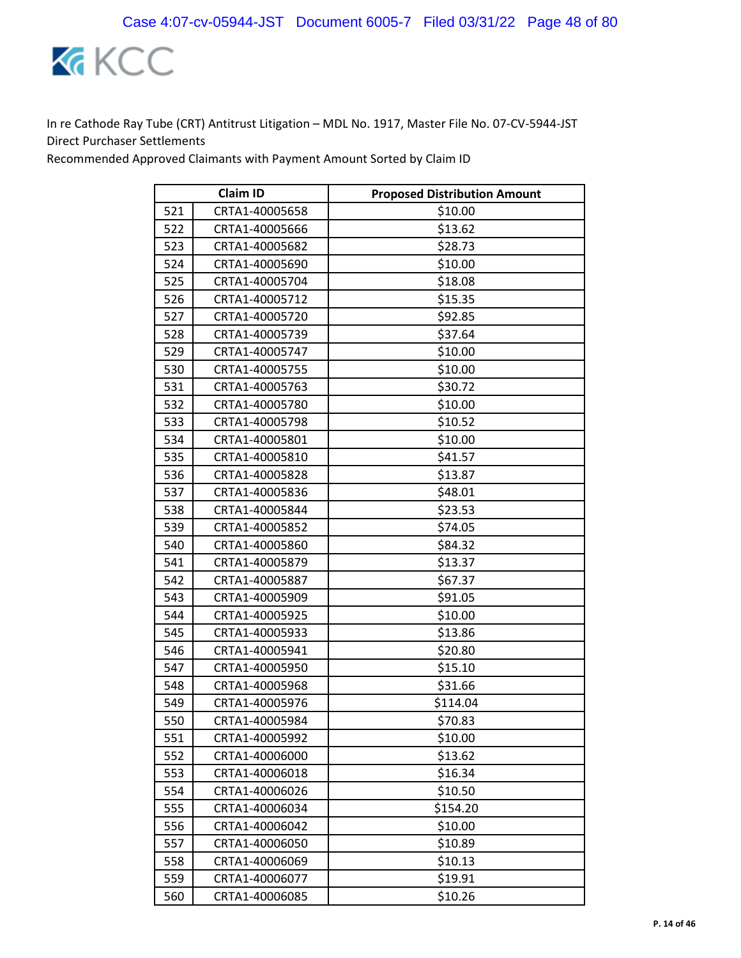

|     | <b>Claim ID</b> | <b>Proposed Distribution Amount</b> |
|-----|-----------------|-------------------------------------|
| 521 | CRTA1-40005658  | \$10.00                             |
| 522 | CRTA1-40005666  | \$13.62                             |
| 523 | CRTA1-40005682  | \$28.73                             |
| 524 | CRTA1-40005690  | \$10.00                             |
| 525 | CRTA1-40005704  | \$18.08                             |
| 526 | CRTA1-40005712  | \$15.35                             |
| 527 | CRTA1-40005720  | \$92.85                             |
| 528 | CRTA1-40005739  | \$37.64                             |
| 529 | CRTA1-40005747  | \$10.00                             |
| 530 | CRTA1-40005755  | \$10.00                             |
| 531 | CRTA1-40005763  | \$30.72                             |
| 532 | CRTA1-40005780  | \$10.00                             |
| 533 | CRTA1-40005798  | \$10.52                             |
| 534 | CRTA1-40005801  | \$10.00                             |
| 535 | CRTA1-40005810  | \$41.57                             |
| 536 | CRTA1-40005828  | \$13.87                             |
| 537 | CRTA1-40005836  | \$48.01                             |
| 538 | CRTA1-40005844  | \$23.53                             |
| 539 | CRTA1-40005852  | \$74.05                             |
| 540 | CRTA1-40005860  | \$84.32                             |
| 541 | CRTA1-40005879  | \$13.37                             |
| 542 | CRTA1-40005887  | \$67.37                             |
| 543 | CRTA1-40005909  | \$91.05                             |
| 544 | CRTA1-40005925  | \$10.00                             |
| 545 | CRTA1-40005933  | \$13.86                             |
| 546 | CRTA1-40005941  | \$20.80                             |
| 547 | CRTA1-40005950  | \$15.10                             |
| 548 | CRTA1-40005968  | \$31.66                             |
| 549 | CRTA1-40005976  | \$114.04                            |
| 550 | CRTA1-40005984  | \$70.83                             |
| 551 | CRTA1-40005992  | \$10.00                             |
| 552 | CRTA1-40006000  | \$13.62                             |
| 553 | CRTA1-40006018  | \$16.34                             |
| 554 | CRTA1-40006026  | \$10.50                             |
| 555 | CRTA1-40006034  | \$154.20                            |
| 556 | CRTA1-40006042  | \$10.00                             |
| 557 | CRTA1-40006050  | \$10.89                             |
| 558 | CRTA1-40006069  | \$10.13                             |
| 559 | CRTA1-40006077  | \$19.91                             |
| 560 | CRTA1-40006085  | \$10.26                             |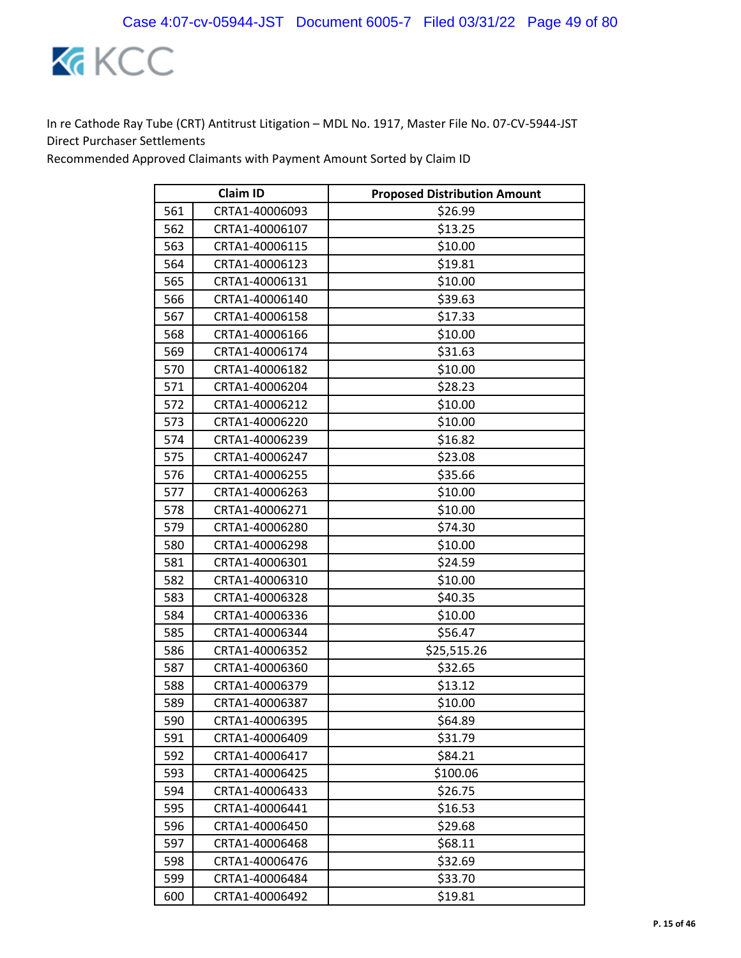

| <b>Claim ID</b> |                | <b>Proposed Distribution Amount</b> |
|-----------------|----------------|-------------------------------------|
| 561             | CRTA1-40006093 | \$26.99                             |
| 562             | CRTA1-40006107 | \$13.25                             |
| 563             | CRTA1-40006115 | \$10.00                             |
| 564             | CRTA1-40006123 | \$19.81                             |
| 565             | CRTA1-40006131 | \$10.00                             |
| 566             | CRTA1-40006140 | \$39.63                             |
| 567             | CRTA1-40006158 | \$17.33                             |
| 568             | CRTA1-40006166 | \$10.00                             |
| 569             | CRTA1-40006174 | \$31.63                             |
| 570             | CRTA1-40006182 | \$10.00                             |
| 571             | CRTA1-40006204 | \$28.23                             |
| 572             | CRTA1-40006212 | \$10.00                             |
| 573             | CRTA1-40006220 | \$10.00                             |
| 574             | CRTA1-40006239 | \$16.82                             |
| 575             | CRTA1-40006247 | \$23.08                             |
| 576             | CRTA1-40006255 | \$35.66                             |
| 577             | CRTA1-40006263 | \$10.00                             |
| 578             | CRTA1-40006271 | \$10.00                             |
| 579             | CRTA1-40006280 | \$74.30                             |
| 580             | CRTA1-40006298 | \$10.00                             |
| 581             | CRTA1-40006301 | \$24.59                             |
| 582             | CRTA1-40006310 | \$10.00                             |
| 583             | CRTA1-40006328 | \$40.35                             |
| 584             | CRTA1-40006336 | \$10.00                             |
| 585             | CRTA1-40006344 | \$56.47                             |
| 586             | CRTA1-40006352 | \$25,515.26                         |
| 587             | CRTA1-40006360 | \$32.65                             |
| 588             | CRTA1-40006379 | \$13.12                             |
| 589             | CRTA1-40006387 | \$10.00                             |
| 590             | CRTA1-40006395 | \$64.89                             |
| 591             | CRTA1-40006409 | \$31.79                             |
| 592             | CRTA1-40006417 | \$84.21                             |
| 593             | CRTA1-40006425 | \$100.06                            |
| 594             | CRTA1-40006433 | \$26.75                             |
| 595             | CRTA1-40006441 | \$16.53                             |
| 596             | CRTA1-40006450 | \$29.68                             |
| 597             | CRTA1-40006468 | \$68.11                             |
| 598             | CRTA1-40006476 | \$32.69                             |
| 599             | CRTA1-40006484 | \$33.70                             |
| 600             | CRTA1-40006492 | \$19.81                             |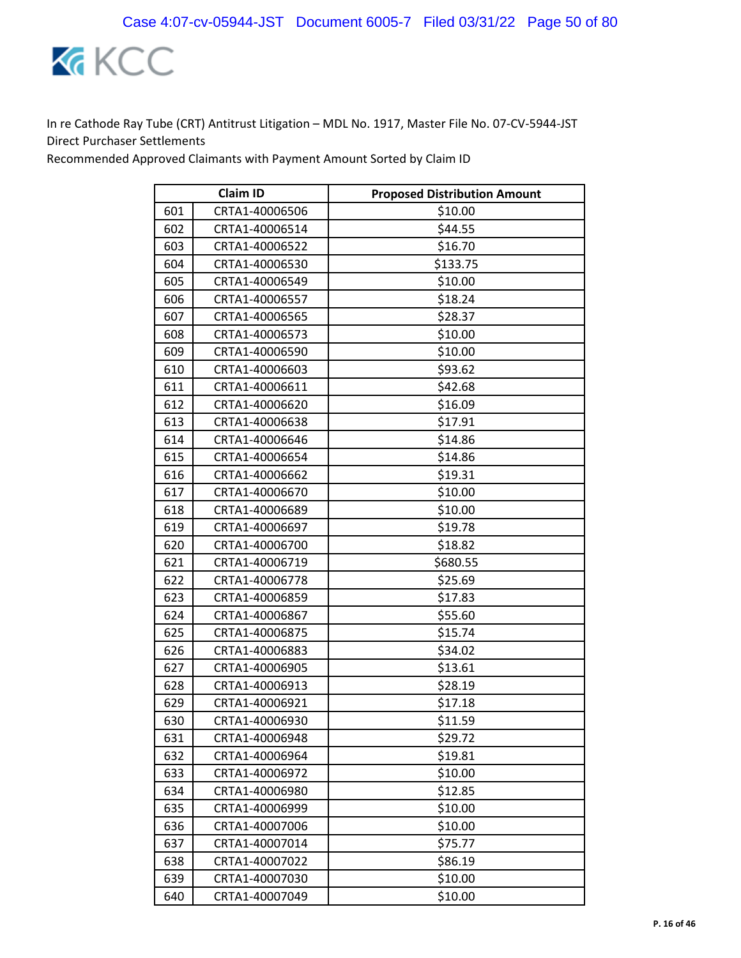

|     | <b>Claim ID</b> | <b>Proposed Distribution Amount</b> |
|-----|-----------------|-------------------------------------|
| 601 | CRTA1-40006506  | \$10.00                             |
| 602 | CRTA1-40006514  | \$44.55                             |
| 603 | CRTA1-40006522  | \$16.70                             |
| 604 | CRTA1-40006530  | \$133.75                            |
| 605 | CRTA1-40006549  | \$10.00                             |
| 606 | CRTA1-40006557  | \$18.24                             |
| 607 | CRTA1-40006565  | \$28.37                             |
| 608 | CRTA1-40006573  | \$10.00                             |
| 609 | CRTA1-40006590  | \$10.00                             |
| 610 | CRTA1-40006603  | \$93.62                             |
| 611 | CRTA1-40006611  | \$42.68                             |
| 612 | CRTA1-40006620  | \$16.09                             |
| 613 | CRTA1-40006638  | \$17.91                             |
| 614 | CRTA1-40006646  | \$14.86                             |
| 615 | CRTA1-40006654  | \$14.86                             |
| 616 | CRTA1-40006662  | \$19.31                             |
| 617 | CRTA1-40006670  | \$10.00                             |
| 618 | CRTA1-40006689  | \$10.00                             |
| 619 | CRTA1-40006697  | \$19.78                             |
| 620 | CRTA1-40006700  | \$18.82                             |
| 621 | CRTA1-40006719  | \$680.55                            |
| 622 | CRTA1-40006778  | \$25.69                             |
| 623 | CRTA1-40006859  | \$17.83                             |
| 624 | CRTA1-40006867  | \$55.60                             |
| 625 | CRTA1-40006875  | \$15.74                             |
| 626 | CRTA1-40006883  | \$34.02                             |
| 627 | CRTA1-40006905  | \$13.61                             |
| 628 | CRTA1-40006913  | \$28.19                             |
| 629 | CRTA1-40006921  | \$17.18                             |
| 630 | CRTA1-40006930  | \$11.59                             |
| 631 | CRTA1-40006948  | \$29.72                             |
| 632 | CRTA1-40006964  | \$19.81                             |
| 633 | CRTA1-40006972  | \$10.00                             |
| 634 | CRTA1-40006980  | \$12.85                             |
| 635 | CRTA1-40006999  | \$10.00                             |
| 636 | CRTA1-40007006  | \$10.00                             |
| 637 | CRTA1-40007014  | \$75.77                             |
| 638 | CRTA1-40007022  | \$86.19                             |
| 639 | CRTA1-40007030  | \$10.00                             |
| 640 | CRTA1-40007049  | \$10.00                             |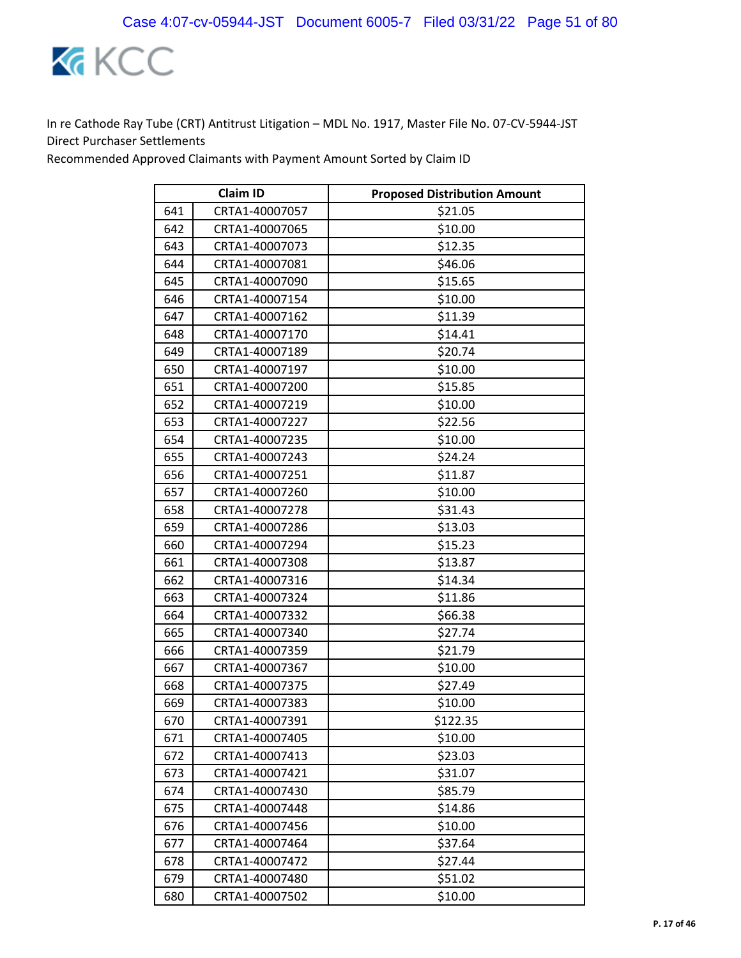

|     | <b>Claim ID</b> | <b>Proposed Distribution Amount</b> |
|-----|-----------------|-------------------------------------|
| 641 | CRTA1-40007057  | \$21.05                             |
| 642 | CRTA1-40007065  | \$10.00                             |
| 643 | CRTA1-40007073  | \$12.35                             |
| 644 | CRTA1-40007081  | \$46.06                             |
| 645 | CRTA1-40007090  | \$15.65                             |
| 646 | CRTA1-40007154  | \$10.00                             |
| 647 | CRTA1-40007162  | \$11.39                             |
| 648 | CRTA1-40007170  | \$14.41                             |
| 649 | CRTA1-40007189  | \$20.74                             |
| 650 | CRTA1-40007197  | \$10.00                             |
| 651 | CRTA1-40007200  | \$15.85                             |
| 652 | CRTA1-40007219  | \$10.00                             |
| 653 | CRTA1-40007227  | \$22.56                             |
| 654 | CRTA1-40007235  | \$10.00                             |
| 655 | CRTA1-40007243  | \$24.24                             |
| 656 | CRTA1-40007251  | \$11.87                             |
| 657 | CRTA1-40007260  | \$10.00                             |
| 658 | CRTA1-40007278  | \$31.43                             |
| 659 | CRTA1-40007286  | \$13.03                             |
| 660 | CRTA1-40007294  | \$15.23                             |
| 661 | CRTA1-40007308  | \$13.87                             |
| 662 | CRTA1-40007316  | \$14.34                             |
| 663 | CRTA1-40007324  | \$11.86                             |
| 664 | CRTA1-40007332  | \$66.38                             |
| 665 | CRTA1-40007340  | \$27.74                             |
| 666 | CRTA1-40007359  | \$21.79                             |
| 667 | CRTA1-40007367  | \$10.00                             |
| 668 | CRTA1-40007375  | \$27.49                             |
| 669 | CRTA1-40007383  | \$10.00                             |
| 670 | CRTA1-40007391  | \$122.35                            |
| 671 | CRTA1-40007405  | \$10.00                             |
| 672 | CRTA1-40007413  | \$23.03                             |
| 673 | CRTA1-40007421  | \$31.07                             |
| 674 | CRTA1-40007430  | \$85.79                             |
| 675 | CRTA1-40007448  | \$14.86                             |
| 676 | CRTA1-40007456  | \$10.00                             |
| 677 | CRTA1-40007464  | \$37.64                             |
| 678 | CRTA1-40007472  | \$27.44                             |
| 679 | CRTA1-40007480  | \$51.02                             |
| 680 | CRTA1-40007502  | \$10.00                             |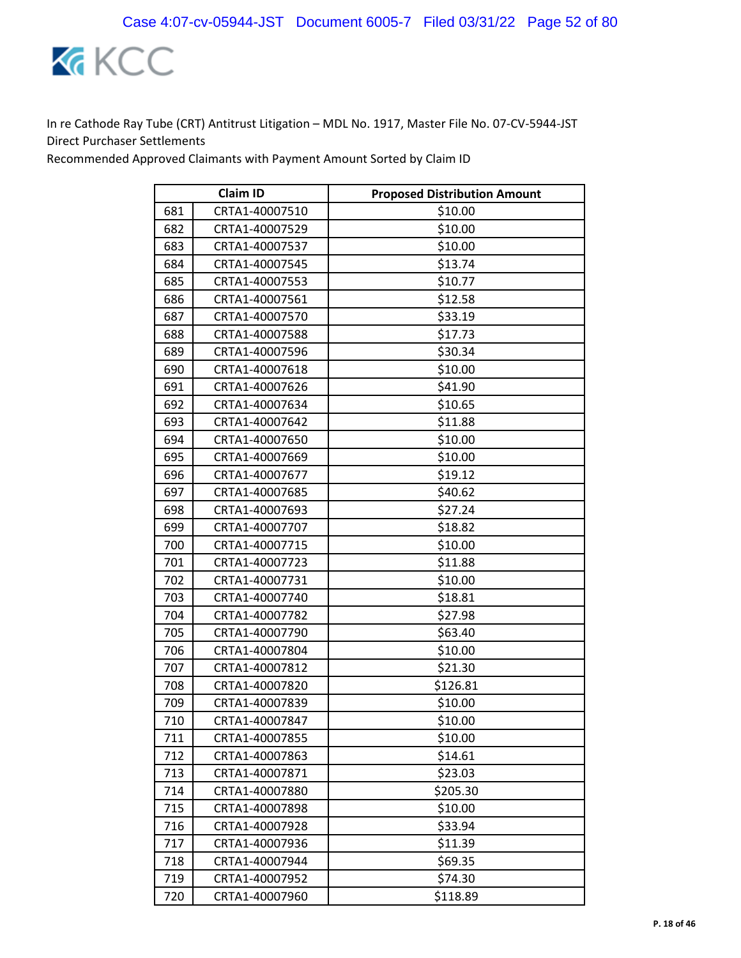

|     | <b>Claim ID</b> | <b>Proposed Distribution Amount</b> |
|-----|-----------------|-------------------------------------|
| 681 | CRTA1-40007510  | \$10.00                             |
| 682 | CRTA1-40007529  | \$10.00                             |
| 683 | CRTA1-40007537  | \$10.00                             |
| 684 | CRTA1-40007545  | \$13.74                             |
| 685 | CRTA1-40007553  | \$10.77                             |
| 686 | CRTA1-40007561  | \$12.58                             |
| 687 | CRTA1-40007570  | \$33.19                             |
| 688 | CRTA1-40007588  | \$17.73                             |
| 689 | CRTA1-40007596  | \$30.34                             |
| 690 | CRTA1-40007618  | \$10.00                             |
| 691 | CRTA1-40007626  | \$41.90                             |
| 692 | CRTA1-40007634  | \$10.65                             |
| 693 | CRTA1-40007642  | \$11.88                             |
| 694 | CRTA1-40007650  | \$10.00                             |
| 695 | CRTA1-40007669  | \$10.00                             |
| 696 | CRTA1-40007677  | \$19.12                             |
| 697 | CRTA1-40007685  | \$40.62                             |
| 698 | CRTA1-40007693  | \$27.24                             |
| 699 | CRTA1-40007707  | \$18.82                             |
| 700 | CRTA1-40007715  | \$10.00                             |
| 701 | CRTA1-40007723  | \$11.88                             |
| 702 | CRTA1-40007731  | \$10.00                             |
| 703 | CRTA1-40007740  | \$18.81                             |
| 704 | CRTA1-40007782  | \$27.98                             |
| 705 | CRTA1-40007790  | \$63.40                             |
| 706 | CRTA1-40007804  | \$10.00                             |
| 707 | CRTA1-40007812  | \$21.30                             |
| 708 | CRTA1-40007820  | \$126.81                            |
| 709 | CRTA1-40007839  | \$10.00                             |
| 710 | CRTA1-40007847  | \$10.00                             |
| 711 | CRTA1-40007855  | \$10.00                             |
| 712 | CRTA1-40007863  | \$14.61                             |
| 713 | CRTA1-40007871  | \$23.03                             |
| 714 | CRTA1-40007880  | \$205.30                            |
| 715 | CRTA1-40007898  | \$10.00                             |
| 716 | CRTA1-40007928  | \$33.94                             |
| 717 | CRTA1-40007936  | \$11.39                             |
| 718 | CRTA1-40007944  | \$69.35                             |
| 719 | CRTA1-40007952  | \$74.30                             |
| 720 | CRTA1-40007960  | \$118.89                            |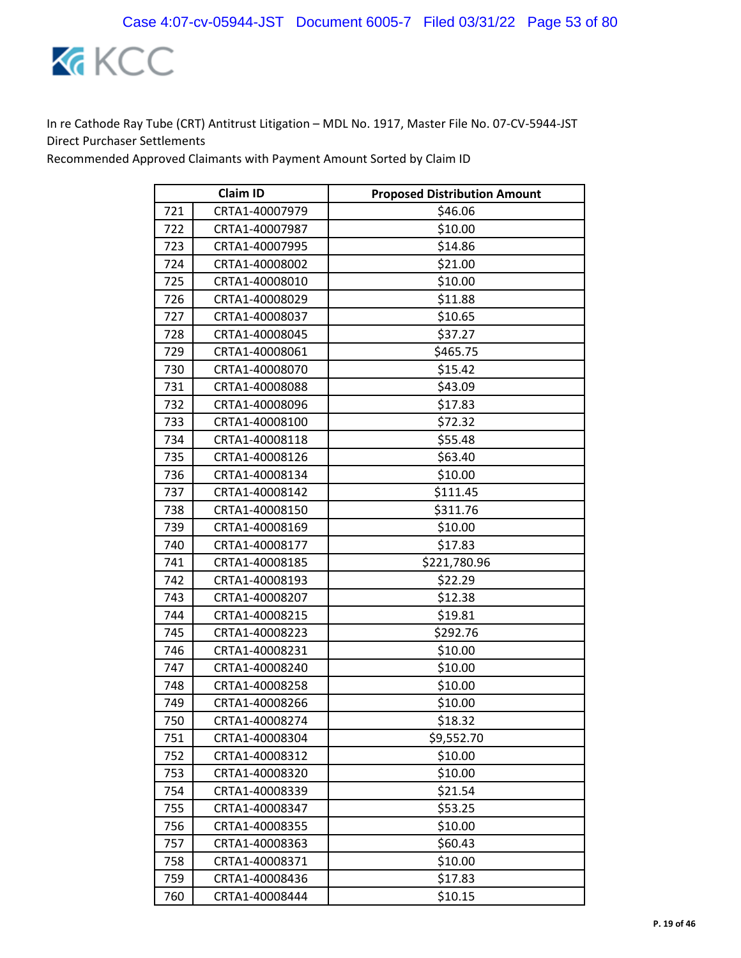

|     | <b>Claim ID</b> | <b>Proposed Distribution Amount</b> |
|-----|-----------------|-------------------------------------|
| 721 | CRTA1-40007979  | \$46.06                             |
| 722 | CRTA1-40007987  | \$10.00                             |
| 723 | CRTA1-40007995  | \$14.86                             |
| 724 | CRTA1-40008002  | \$21.00                             |
| 725 | CRTA1-40008010  | \$10.00                             |
| 726 | CRTA1-40008029  | \$11.88                             |
| 727 | CRTA1-40008037  | \$10.65                             |
| 728 | CRTA1-40008045  | \$37.27                             |
| 729 | CRTA1-40008061  | \$465.75                            |
| 730 | CRTA1-40008070  | \$15.42                             |
| 731 | CRTA1-40008088  | \$43.09                             |
| 732 | CRTA1-40008096  | \$17.83                             |
| 733 | CRTA1-40008100  | \$72.32                             |
| 734 | CRTA1-40008118  | \$55.48                             |
| 735 | CRTA1-40008126  | \$63.40                             |
| 736 | CRTA1-40008134  | \$10.00                             |
| 737 | CRTA1-40008142  | \$111.45                            |
| 738 | CRTA1-40008150  | \$311.76                            |
| 739 | CRTA1-40008169  | \$10.00                             |
| 740 | CRTA1-40008177  | \$17.83                             |
| 741 | CRTA1-40008185  | \$221,780.96                        |
| 742 | CRTA1-40008193  | \$22.29                             |
| 743 | CRTA1-40008207  | \$12.38                             |
| 744 | CRTA1-40008215  | \$19.81                             |
| 745 | CRTA1-40008223  | \$292.76                            |
| 746 | CRTA1-40008231  | \$10.00                             |
| 747 | CRTA1-40008240  | \$10.00                             |
| 748 | CRTA1-40008258  | \$10.00                             |
| 749 | CRTA1-40008266  | \$10.00                             |
| 750 | CRTA1-40008274  | \$18.32                             |
| 751 | CRTA1-40008304  | \$9,552.70                          |
| 752 | CRTA1-40008312  | \$10.00                             |
| 753 | CRTA1-40008320  | \$10.00                             |
| 754 | CRTA1-40008339  | \$21.54                             |
| 755 | CRTA1-40008347  | \$53.25                             |
| 756 | CRTA1-40008355  | \$10.00                             |
| 757 | CRTA1-40008363  | \$60.43                             |
| 758 | CRTA1-40008371  | \$10.00                             |
| 759 | CRTA1-40008436  | \$17.83                             |
| 760 | CRTA1-40008444  | \$10.15                             |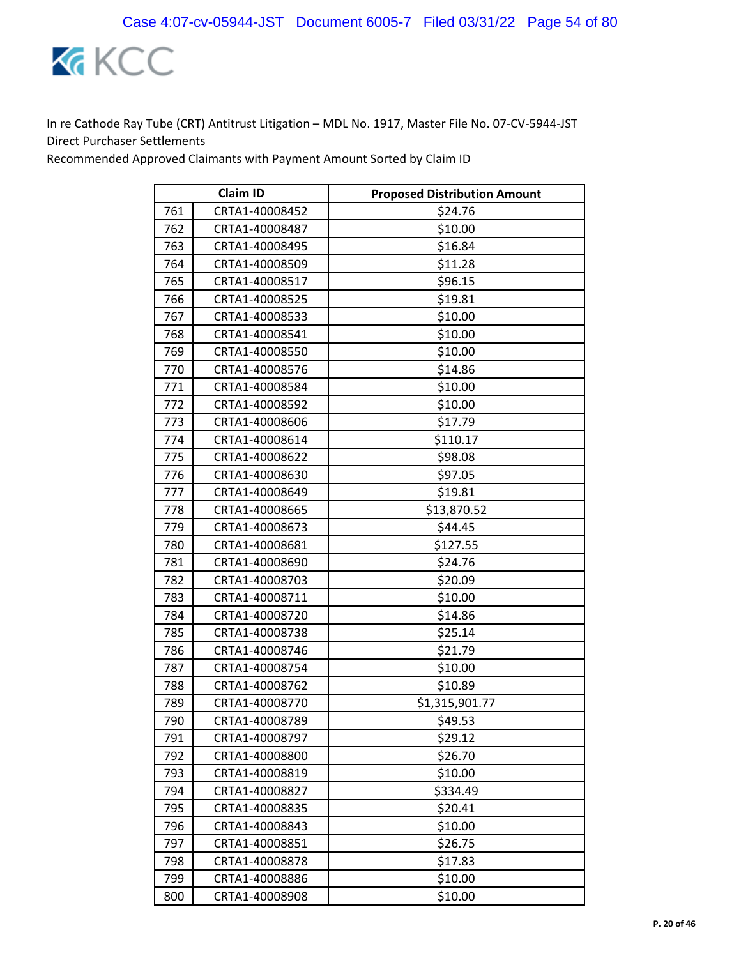

|     | <b>Claim ID</b> | <b>Proposed Distribution Amount</b> |
|-----|-----------------|-------------------------------------|
| 761 | CRTA1-40008452  | \$24.76                             |
| 762 | CRTA1-40008487  | \$10.00                             |
| 763 | CRTA1-40008495  | \$16.84                             |
| 764 | CRTA1-40008509  | \$11.28                             |
| 765 | CRTA1-40008517  | \$96.15                             |
| 766 | CRTA1-40008525  | \$19.81                             |
| 767 | CRTA1-40008533  | \$10.00                             |
| 768 | CRTA1-40008541  | \$10.00                             |
| 769 | CRTA1-40008550  | \$10.00                             |
| 770 | CRTA1-40008576  | \$14.86                             |
| 771 | CRTA1-40008584  | \$10.00                             |
| 772 | CRTA1-40008592  | \$10.00                             |
| 773 | CRTA1-40008606  | \$17.79                             |
| 774 | CRTA1-40008614  | \$110.17                            |
| 775 | CRTA1-40008622  | \$98.08                             |
| 776 | CRTA1-40008630  | \$97.05                             |
| 777 | CRTA1-40008649  | \$19.81                             |
| 778 | CRTA1-40008665  | \$13,870.52                         |
| 779 | CRTA1-40008673  | \$44.45                             |
| 780 | CRTA1-40008681  | \$127.55                            |
| 781 | CRTA1-40008690  | \$24.76                             |
| 782 | CRTA1-40008703  | \$20.09                             |
| 783 | CRTA1-40008711  | \$10.00                             |
| 784 | CRTA1-40008720  | \$14.86                             |
| 785 | CRTA1-40008738  | \$25.14                             |
| 786 | CRTA1-40008746  | \$21.79                             |
| 787 | CRTA1-40008754  | \$10.00                             |
| 788 | CRTA1-40008762  | \$10.89                             |
| 789 | CRTA1-40008770  | \$1,315,901.77                      |
| 790 | CRTA1-40008789  | \$49.53                             |
| 791 | CRTA1-40008797  | \$29.12                             |
| 792 | CRTA1-40008800  | \$26.70                             |
| 793 | CRTA1-40008819  | \$10.00                             |
| 794 | CRTA1-40008827  | \$334.49                            |
| 795 | CRTA1-40008835  | \$20.41                             |
| 796 | CRTA1-40008843  | \$10.00                             |
| 797 | CRTA1-40008851  | \$26.75                             |
| 798 | CRTA1-40008878  | \$17.83                             |
| 799 | CRTA1-40008886  | \$10.00                             |
| 800 | CRTA1-40008908  | \$10.00                             |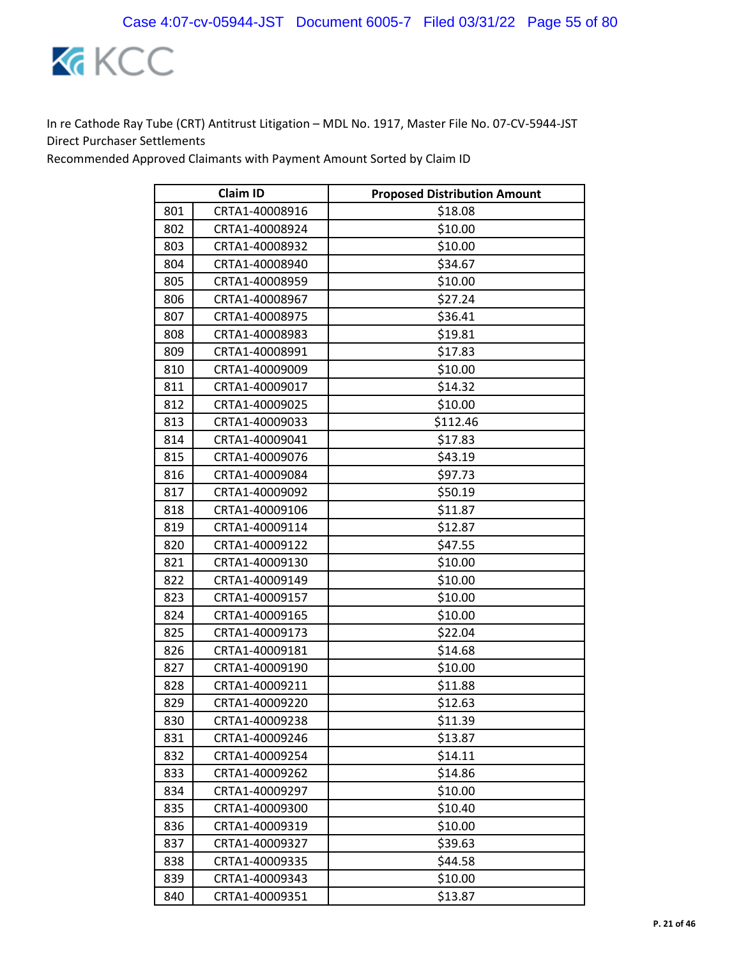

|     | <b>Claim ID</b> | <b>Proposed Distribution Amount</b> |
|-----|-----------------|-------------------------------------|
| 801 | CRTA1-40008916  | \$18.08                             |
| 802 | CRTA1-40008924  | \$10.00                             |
| 803 | CRTA1-40008932  | \$10.00                             |
| 804 | CRTA1-40008940  | \$34.67                             |
| 805 | CRTA1-40008959  | \$10.00                             |
| 806 | CRTA1-40008967  | \$27.24                             |
| 807 | CRTA1-40008975  | \$36.41                             |
| 808 | CRTA1-40008983  | \$19.81                             |
| 809 | CRTA1-40008991  | \$17.83                             |
| 810 | CRTA1-40009009  | \$10.00                             |
| 811 | CRTA1-40009017  | \$14.32                             |
| 812 | CRTA1-40009025  | \$10.00                             |
| 813 | CRTA1-40009033  | \$112.46                            |
| 814 | CRTA1-40009041  | \$17.83                             |
| 815 | CRTA1-40009076  | \$43.19                             |
| 816 | CRTA1-40009084  | \$97.73                             |
| 817 | CRTA1-40009092  | \$50.19                             |
| 818 | CRTA1-40009106  | \$11.87                             |
| 819 | CRTA1-40009114  | \$12.87                             |
| 820 | CRTA1-40009122  | \$47.55                             |
| 821 | CRTA1-40009130  | \$10.00                             |
| 822 | CRTA1-40009149  | \$10.00                             |
| 823 | CRTA1-40009157  | \$10.00                             |
| 824 | CRTA1-40009165  | \$10.00                             |
| 825 | CRTA1-40009173  | \$22.04                             |
| 826 | CRTA1-40009181  | \$14.68                             |
| 827 | CRTA1-40009190  | \$10.00                             |
| 828 | CRTA1-40009211  | \$11.88                             |
| 829 | CRTA1-40009220  | \$12.63                             |
| 830 | CRTA1-40009238  | \$11.39                             |
| 831 | CRTA1-40009246  | \$13.87                             |
| 832 | CRTA1-40009254  | \$14.11                             |
| 833 | CRTA1-40009262  | \$14.86                             |
| 834 | CRTA1-40009297  | \$10.00                             |
| 835 | CRTA1-40009300  | \$10.40                             |
| 836 | CRTA1-40009319  | \$10.00                             |
| 837 | CRTA1-40009327  | \$39.63                             |
| 838 | CRTA1-40009335  | \$44.58                             |
| 839 | CRTA1-40009343  | \$10.00                             |
| 840 | CRTA1-40009351  | \$13.87                             |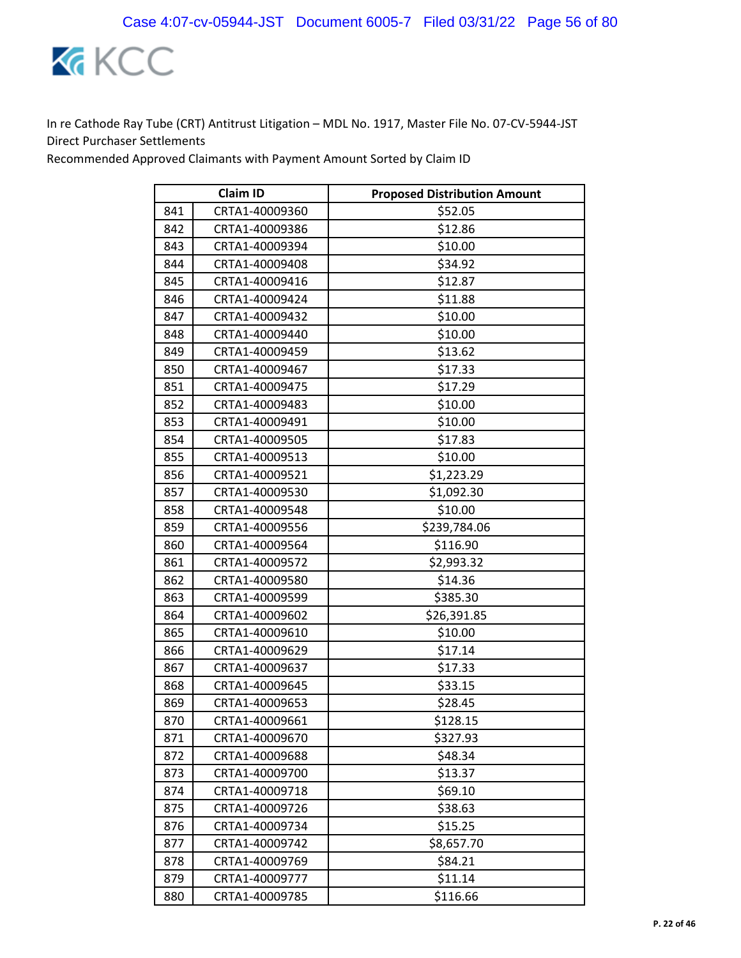

|     | <b>Claim ID</b> | <b>Proposed Distribution Amount</b> |
|-----|-----------------|-------------------------------------|
| 841 | CRTA1-40009360  | \$52.05                             |
| 842 | CRTA1-40009386  | \$12.86                             |
| 843 | CRTA1-40009394  | \$10.00                             |
| 844 | CRTA1-40009408  | \$34.92                             |
| 845 | CRTA1-40009416  | \$12.87                             |
| 846 | CRTA1-40009424  | \$11.88                             |
| 847 | CRTA1-40009432  | \$10.00                             |
| 848 | CRTA1-40009440  | \$10.00                             |
| 849 | CRTA1-40009459  | \$13.62                             |
| 850 | CRTA1-40009467  | \$17.33                             |
| 851 | CRTA1-40009475  | \$17.29                             |
| 852 | CRTA1-40009483  | \$10.00                             |
| 853 | CRTA1-40009491  | \$10.00                             |
| 854 | CRTA1-40009505  | \$17.83                             |
| 855 | CRTA1-40009513  | \$10.00                             |
| 856 | CRTA1-40009521  | \$1,223.29                          |
| 857 | CRTA1-40009530  | \$1,092.30                          |
| 858 | CRTA1-40009548  | \$10.00                             |
| 859 | CRTA1-40009556  | \$239,784.06                        |
| 860 | CRTA1-40009564  | \$116.90                            |
| 861 | CRTA1-40009572  | \$2,993.32                          |
| 862 | CRTA1-40009580  | \$14.36                             |
| 863 | CRTA1-40009599  | \$385.30                            |
| 864 | CRTA1-40009602  | \$26,391.85                         |
| 865 | CRTA1-40009610  | \$10.00                             |
| 866 | CRTA1-40009629  | \$17.14                             |
| 867 | CRTA1-40009637  | \$17.33                             |
| 868 | CRTA1-40009645  | \$33.15                             |
| 869 | CRTA1-40009653  | \$28.45                             |
| 870 | CRTA1-40009661  | \$128.15                            |
| 871 | CRTA1-40009670  | \$327.93                            |
| 872 | CRTA1-40009688  | \$48.34                             |
| 873 | CRTA1-40009700  | \$13.37                             |
| 874 | CRTA1-40009718  | \$69.10                             |
| 875 | CRTA1-40009726  | \$38.63                             |
| 876 | CRTA1-40009734  | \$15.25                             |
| 877 | CRTA1-40009742  | \$8,657.70                          |
| 878 | CRTA1-40009769  | \$84.21                             |
| 879 | CRTA1-40009777  | \$11.14                             |
| 880 | CRTA1-40009785  | \$116.66                            |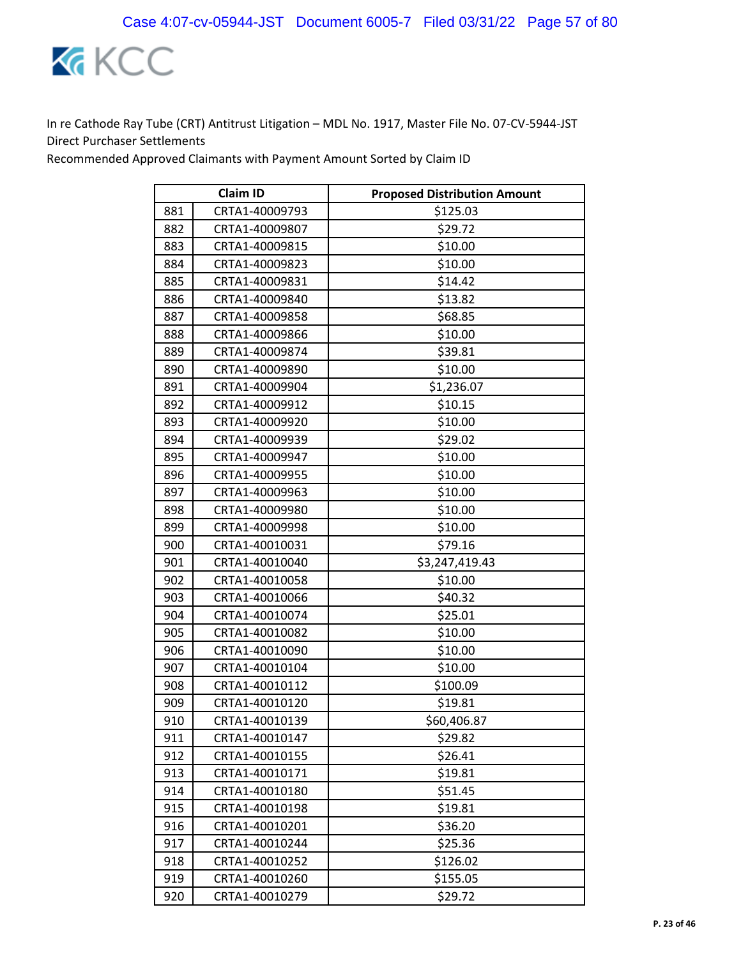

| <b>Claim ID</b> |                | <b>Proposed Distribution Amount</b> |
|-----------------|----------------|-------------------------------------|
| 881             | CRTA1-40009793 | \$125.03                            |
| 882             | CRTA1-40009807 | \$29.72                             |
| 883             | CRTA1-40009815 | \$10.00                             |
| 884             | CRTA1-40009823 | \$10.00                             |
| 885             | CRTA1-40009831 | \$14.42                             |
| 886             | CRTA1-40009840 | \$13.82                             |
| 887             | CRTA1-40009858 | \$68.85                             |
| 888             | CRTA1-40009866 | \$10.00                             |
| 889             | CRTA1-40009874 | \$39.81                             |
| 890             | CRTA1-40009890 | \$10.00                             |
| 891             | CRTA1-40009904 | \$1,236.07                          |
| 892             | CRTA1-40009912 | \$10.15                             |
| 893             | CRTA1-40009920 | \$10.00                             |
| 894             | CRTA1-40009939 | \$29.02                             |
| 895             | CRTA1-40009947 | \$10.00                             |
| 896             | CRTA1-40009955 | \$10.00                             |
| 897             | CRTA1-40009963 | \$10.00                             |
| 898             | CRTA1-40009980 | \$10.00                             |
| 899             | CRTA1-40009998 | \$10.00                             |
| 900             | CRTA1-40010031 | \$79.16                             |
| 901             | CRTA1-40010040 | \$3,247,419.43                      |
| 902             | CRTA1-40010058 | \$10.00                             |
| 903             | CRTA1-40010066 | \$40.32                             |
| 904             | CRTA1-40010074 | \$25.01                             |
| 905             | CRTA1-40010082 | \$10.00                             |
| 906             | CRTA1-40010090 | \$10.00                             |
| 907             | CRTA1-40010104 | \$10.00                             |
| 908             | CRTA1-40010112 | \$100.09                            |
| 909             | CRTA1-40010120 | \$19.81                             |
| 910             | CRTA1-40010139 | \$60,406.87                         |
| 911             | CRTA1-40010147 | \$29.82                             |
| 912             | CRTA1-40010155 | \$26.41                             |
| 913             | CRTA1-40010171 | \$19.81                             |
| 914             | CRTA1-40010180 | \$51.45                             |
| 915             | CRTA1-40010198 | \$19.81                             |
| 916             | CRTA1-40010201 | \$36.20                             |
| 917             | CRTA1-40010244 | \$25.36                             |
| 918             | CRTA1-40010252 | \$126.02                            |
| 919             | CRTA1-40010260 | \$155.05                            |
| 920             | CRTA1-40010279 | \$29.72                             |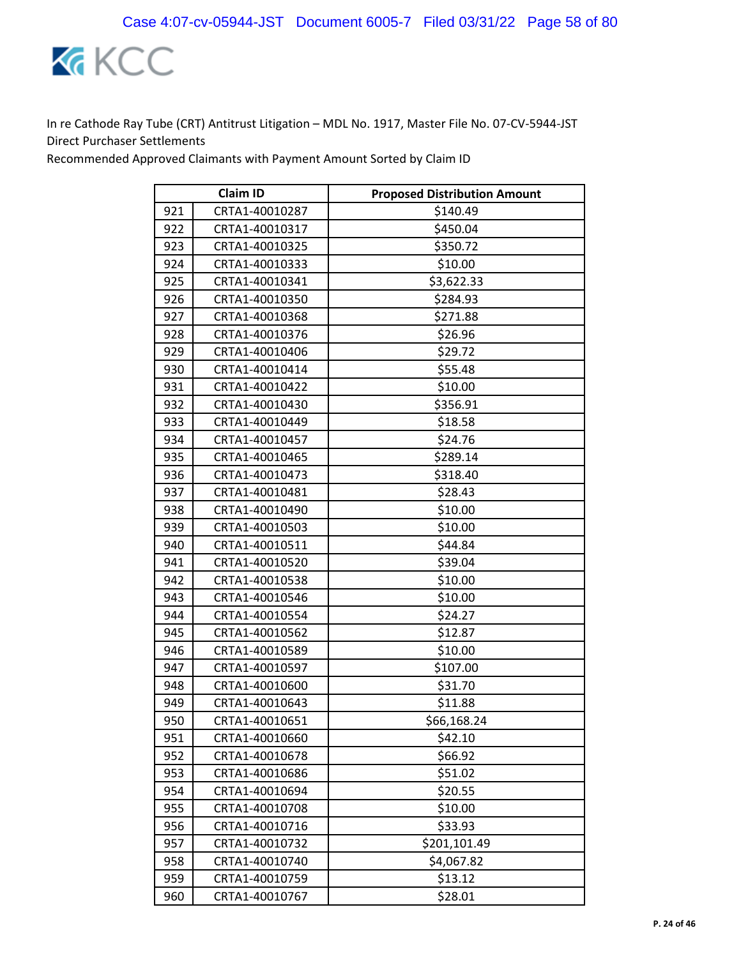

|     | <b>Claim ID</b> | <b>Proposed Distribution Amount</b> |
|-----|-----------------|-------------------------------------|
| 921 | CRTA1-40010287  | \$140.49                            |
| 922 | CRTA1-40010317  | \$450.04                            |
| 923 | CRTA1-40010325  | \$350.72                            |
| 924 | CRTA1-40010333  | \$10.00                             |
| 925 | CRTA1-40010341  | \$3,622.33                          |
| 926 | CRTA1-40010350  | \$284.93                            |
| 927 | CRTA1-40010368  | \$271.88                            |
| 928 | CRTA1-40010376  | \$26.96                             |
| 929 | CRTA1-40010406  | \$29.72                             |
| 930 | CRTA1-40010414  | \$55.48                             |
| 931 | CRTA1-40010422  | \$10.00                             |
| 932 | CRTA1-40010430  | \$356.91                            |
| 933 | CRTA1-40010449  | \$18.58                             |
| 934 | CRTA1-40010457  | \$24.76                             |
| 935 | CRTA1-40010465  | \$289.14                            |
| 936 | CRTA1-40010473  | \$318.40                            |
| 937 | CRTA1-40010481  | \$28.43                             |
| 938 | CRTA1-40010490  | \$10.00                             |
| 939 | CRTA1-40010503  | \$10.00                             |
| 940 | CRTA1-40010511  | \$44.84                             |
| 941 | CRTA1-40010520  | \$39.04                             |
| 942 | CRTA1-40010538  | \$10.00                             |
| 943 | CRTA1-40010546  | \$10.00                             |
| 944 | CRTA1-40010554  | \$24.27                             |
| 945 | CRTA1-40010562  | \$12.87                             |
| 946 | CRTA1-40010589  | \$10.00                             |
| 947 | CRTA1-40010597  | \$107.00                            |
| 948 | CRTA1-40010600  | \$31.70                             |
| 949 | CRTA1-40010643  | \$11.88                             |
| 950 | CRTA1-40010651  | \$66,168.24                         |
| 951 | CRTA1-40010660  | \$42.10                             |
| 952 | CRTA1-40010678  | \$66.92                             |
| 953 | CRTA1-40010686  | \$51.02                             |
| 954 | CRTA1-40010694  | \$20.55                             |
| 955 | CRTA1-40010708  | \$10.00                             |
| 956 | CRTA1-40010716  | \$33.93                             |
| 957 | CRTA1-40010732  | \$201,101.49                        |
| 958 | CRTA1-40010740  | \$4,067.82                          |
| 959 | CRTA1-40010759  | \$13.12                             |
| 960 | CRTA1-40010767  | \$28.01                             |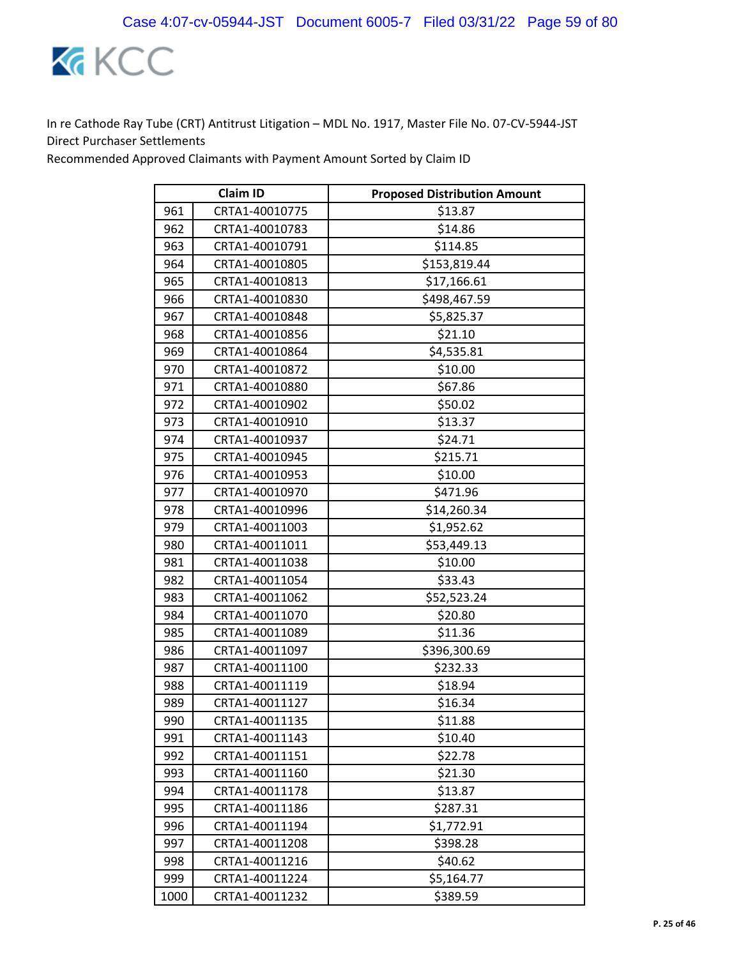

|      | <b>Claim ID</b> | <b>Proposed Distribution Amount</b> |
|------|-----------------|-------------------------------------|
| 961  | CRTA1-40010775  | \$13.87                             |
| 962  | CRTA1-40010783  | \$14.86                             |
| 963  | CRTA1-40010791  | \$114.85                            |
| 964  | CRTA1-40010805  | \$153,819.44                        |
| 965  | CRTA1-40010813  | \$17,166.61                         |
| 966  | CRTA1-40010830  | \$498,467.59                        |
| 967  | CRTA1-40010848  | \$5,825.37                          |
| 968  | CRTA1-40010856  | \$21.10                             |
| 969  | CRTA1-40010864  | \$4,535.81                          |
| 970  | CRTA1-40010872  | \$10.00                             |
| 971  | CRTA1-40010880  | \$67.86                             |
| 972  | CRTA1-40010902  | \$50.02                             |
| 973  | CRTA1-40010910  | \$13.37                             |
| 974  | CRTA1-40010937  | \$24.71                             |
| 975  | CRTA1-40010945  | \$215.71                            |
| 976  | CRTA1-40010953  | \$10.00                             |
| 977  | CRTA1-40010970  | \$471.96                            |
| 978  | CRTA1-40010996  | \$14,260.34                         |
| 979  | CRTA1-40011003  | \$1,952.62                          |
| 980  | CRTA1-40011011  | \$53,449.13                         |
| 981  | CRTA1-40011038  | \$10.00                             |
| 982  | CRTA1-40011054  | \$33.43                             |
| 983  | CRTA1-40011062  | \$52,523.24                         |
| 984  | CRTA1-40011070  | \$20.80                             |
| 985  | CRTA1-40011089  | \$11.36                             |
| 986  | CRTA1-40011097  | \$396,300.69                        |
| 987  | CRTA1-40011100  | \$232.33                            |
| 988  | CRTA1-40011119  | \$18.94                             |
| 989  | CRTA1-40011127  | \$16.34                             |
| 990  | CRTA1-40011135  | \$11.88                             |
| 991  | CRTA1-40011143  | \$10.40                             |
| 992  | CRTA1-40011151  | \$22.78                             |
| 993  | CRTA1-40011160  | \$21.30                             |
| 994  | CRTA1-40011178  | \$13.87                             |
| 995  | CRTA1-40011186  | \$287.31                            |
| 996  | CRTA1-40011194  | \$1,772.91                          |
| 997  | CRTA1-40011208  | \$398.28                            |
| 998  | CRTA1-40011216  | \$40.62                             |
| 999  | CRTA1-40011224  | \$5,164.77                          |
| 1000 | CRTA1-40011232  | \$389.59                            |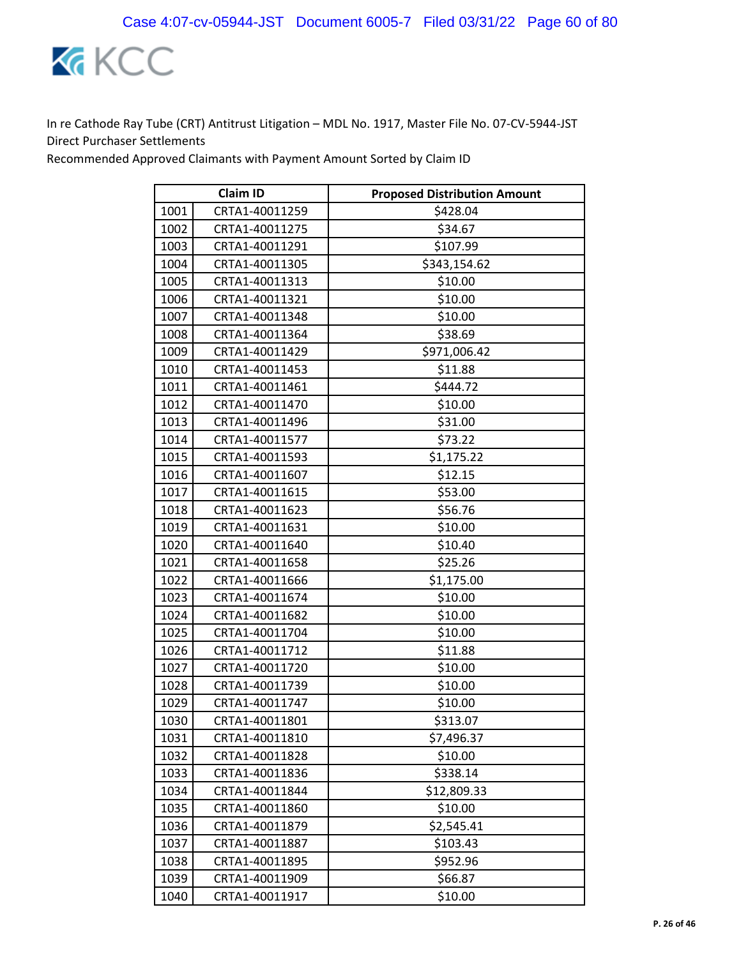

|      | <b>Claim ID</b> | <b>Proposed Distribution Amount</b> |
|------|-----------------|-------------------------------------|
| 1001 | CRTA1-40011259  | \$428.04                            |
| 1002 | CRTA1-40011275  | \$34.67                             |
| 1003 | CRTA1-40011291  | \$107.99                            |
| 1004 | CRTA1-40011305  | \$343,154.62                        |
| 1005 | CRTA1-40011313  | \$10.00                             |
| 1006 | CRTA1-40011321  | \$10.00                             |
| 1007 | CRTA1-40011348  | \$10.00                             |
| 1008 | CRTA1-40011364  | \$38.69                             |
| 1009 | CRTA1-40011429  | \$971,006.42                        |
| 1010 | CRTA1-40011453  | \$11.88                             |
| 1011 | CRTA1-40011461  | \$444.72                            |
| 1012 | CRTA1-40011470  | \$10.00                             |
| 1013 | CRTA1-40011496  | \$31.00                             |
| 1014 | CRTA1-40011577  | \$73.22                             |
| 1015 | CRTA1-40011593  | \$1,175.22                          |
| 1016 | CRTA1-40011607  | \$12.15                             |
| 1017 | CRTA1-40011615  | \$53.00                             |
| 1018 | CRTA1-40011623  | \$56.76                             |
| 1019 | CRTA1-40011631  | \$10.00                             |
| 1020 | CRTA1-40011640  | \$10.40                             |
| 1021 | CRTA1-40011658  | \$25.26                             |
| 1022 | CRTA1-40011666  | \$1,175.00                          |
| 1023 | CRTA1-40011674  | \$10.00                             |
| 1024 | CRTA1-40011682  | \$10.00                             |
| 1025 | CRTA1-40011704  | \$10.00                             |
| 1026 | CRTA1-40011712  | \$11.88                             |
| 1027 | CRTA1-40011720  | \$10.00                             |
| 1028 | CRTA1-40011739  | \$10.00                             |
| 1029 | CRTA1-40011747  | \$10.00                             |
| 1030 | CRTA1-40011801  | \$313.07                            |
| 1031 | CRTA1-40011810  | \$7,496.37                          |
| 1032 | CRTA1-40011828  | \$10.00                             |
| 1033 | CRTA1-40011836  | \$338.14                            |
| 1034 | CRTA1-40011844  | \$12,809.33                         |
| 1035 | CRTA1-40011860  | \$10.00                             |
| 1036 | CRTA1-40011879  | \$2,545.41                          |
| 1037 | CRTA1-40011887  | \$103.43                            |
| 1038 | CRTA1-40011895  | \$952.96                            |
| 1039 | CRTA1-40011909  | \$66.87                             |
| 1040 | CRTA1-40011917  | \$10.00                             |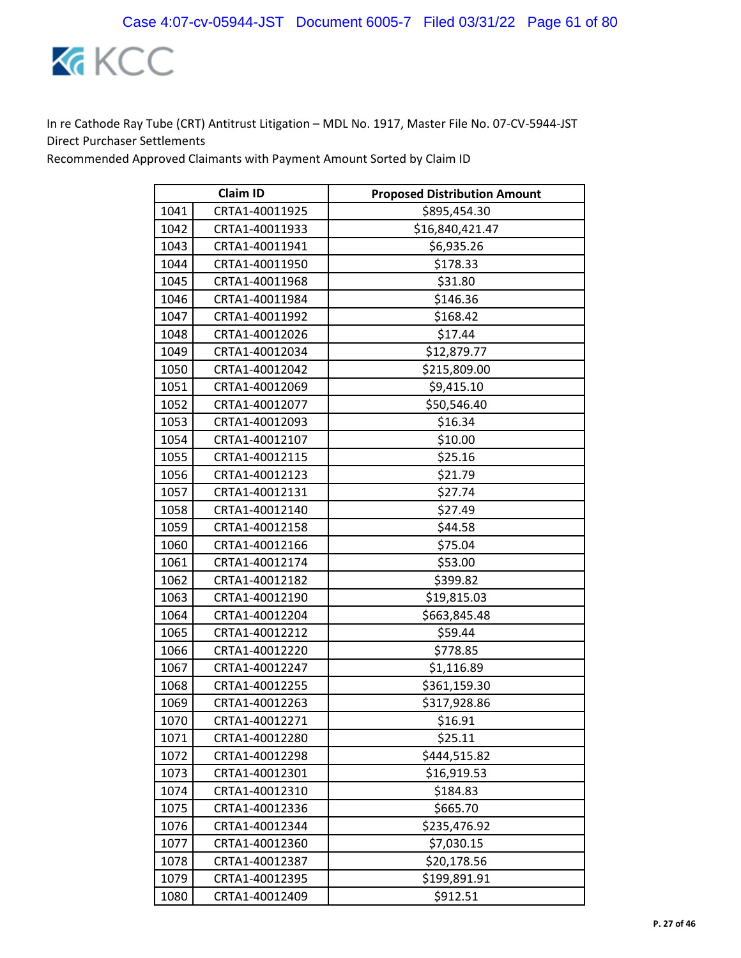

|      | <b>Claim ID</b> | <b>Proposed Distribution Amount</b> |
|------|-----------------|-------------------------------------|
| 1041 | CRTA1-40011925  | \$895,454.30                        |
| 1042 | CRTA1-40011933  | \$16,840,421.47                     |
| 1043 | CRTA1-40011941  | \$6,935.26                          |
| 1044 | CRTA1-40011950  | \$178.33                            |
| 1045 | CRTA1-40011968  | \$31.80                             |
| 1046 | CRTA1-40011984  | \$146.36                            |
| 1047 | CRTA1-40011992  | \$168.42                            |
| 1048 | CRTA1-40012026  | \$17.44                             |
| 1049 | CRTA1-40012034  | \$12,879.77                         |
| 1050 | CRTA1-40012042  | \$215,809.00                        |
| 1051 | CRTA1-40012069  | \$9,415.10                          |
| 1052 | CRTA1-40012077  | \$50,546.40                         |
| 1053 | CRTA1-40012093  | \$16.34                             |
| 1054 | CRTA1-40012107  | \$10.00                             |
| 1055 | CRTA1-40012115  | \$25.16                             |
| 1056 | CRTA1-40012123  | \$21.79                             |
| 1057 | CRTA1-40012131  | \$27.74                             |
| 1058 | CRTA1-40012140  | \$27.49                             |
| 1059 | CRTA1-40012158  | \$44.58                             |
| 1060 | CRTA1-40012166  | \$75.04                             |
| 1061 | CRTA1-40012174  | \$53.00                             |
| 1062 | CRTA1-40012182  | \$399.82                            |
| 1063 | CRTA1-40012190  | \$19,815.03                         |
| 1064 | CRTA1-40012204  | \$663,845.48                        |
| 1065 | CRTA1-40012212  | \$59.44                             |
| 1066 | CRTA1-40012220  | \$778.85                            |
| 1067 | CRTA1-40012247  | \$1,116.89                          |
| 1068 | CRTA1-40012255  | \$361,159.30                        |
| 1069 | CRTA1-40012263  | \$317,928.86                        |
| 1070 | CRTA1-40012271  | \$16.91                             |
| 1071 | CRTA1-40012280  | \$25.11                             |
| 1072 | CRTA1-40012298  | \$444,515.82                        |
| 1073 | CRTA1-40012301  | \$16,919.53                         |
| 1074 | CRTA1-40012310  | \$184.83                            |
| 1075 | CRTA1-40012336  | \$665.70                            |
| 1076 | CRTA1-40012344  | \$235,476.92                        |
| 1077 | CRTA1-40012360  | \$7,030.15                          |
| 1078 | CRTA1-40012387  | \$20,178.56                         |
| 1079 | CRTA1-40012395  | \$199,891.91                        |
| 1080 | CRTA1-40012409  | \$912.51                            |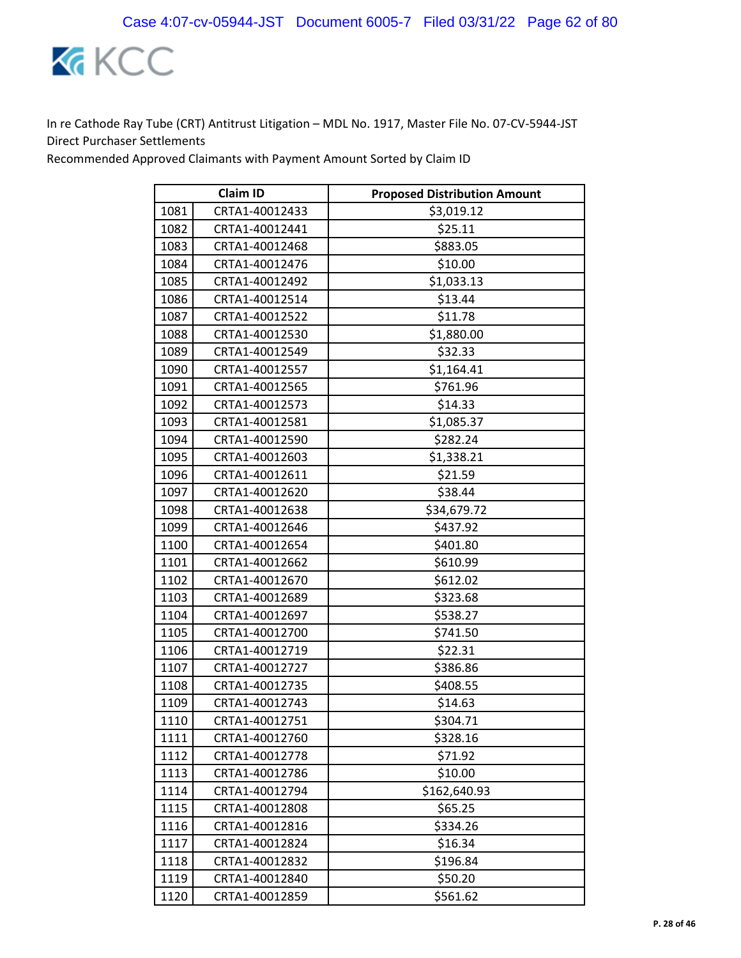

| <b>Claim ID</b> |                | <b>Proposed Distribution Amount</b> |
|-----------------|----------------|-------------------------------------|
| 1081            | CRTA1-40012433 | \$3,019.12                          |
| 1082            | CRTA1-40012441 | \$25.11                             |
| 1083            | CRTA1-40012468 | \$883.05                            |
| 1084            | CRTA1-40012476 | \$10.00                             |
| 1085            | CRTA1-40012492 | \$1,033.13                          |
| 1086            | CRTA1-40012514 | \$13.44                             |
| 1087            | CRTA1-40012522 | \$11.78                             |
| 1088            | CRTA1-40012530 | \$1,880.00                          |
| 1089            | CRTA1-40012549 | \$32.33                             |
| 1090            | CRTA1-40012557 | \$1,164.41                          |
| 1091            | CRTA1-40012565 | \$761.96                            |
| 1092            | CRTA1-40012573 | \$14.33                             |
| 1093            | CRTA1-40012581 | \$1,085.37                          |
| 1094            | CRTA1-40012590 | \$282.24                            |
| 1095            | CRTA1-40012603 | \$1,338.21                          |
| 1096            | CRTA1-40012611 | \$21.59                             |
| 1097            | CRTA1-40012620 | \$38.44                             |
| 1098            | CRTA1-40012638 | \$34,679.72                         |
| 1099            | CRTA1-40012646 | \$437.92                            |
| 1100            | CRTA1-40012654 | \$401.80                            |
| 1101            | CRTA1-40012662 | \$610.99                            |
| 1102            | CRTA1-40012670 | \$612.02                            |
| 1103            | CRTA1-40012689 | \$323.68                            |
| 1104            | CRTA1-40012697 | \$538.27                            |
| 1105            | CRTA1-40012700 | \$741.50                            |
| 1106            | CRTA1-40012719 | \$22.31                             |
| 1107            | CRTA1-40012727 | \$386.86                            |
| 1108            | CRTA1-40012735 | \$408.55                            |
| 1109            | CRTA1-40012743 | \$14.63                             |
| 1110            | CRTA1-40012751 | \$304.71                            |
| 1111            | CRTA1-40012760 | \$328.16                            |
| 1112            | CRTA1-40012778 | \$71.92                             |
| 1113            | CRTA1-40012786 | \$10.00                             |
| 1114            | CRTA1-40012794 | \$162,640.93                        |
| 1115            | CRTA1-40012808 | \$65.25                             |
| 1116            | CRTA1-40012816 | \$334.26                            |
| 1117            | CRTA1-40012824 | \$16.34                             |
| 1118            | CRTA1-40012832 | \$196.84                            |
| 1119            | CRTA1-40012840 | \$50.20                             |
| 1120            | CRTA1-40012859 | \$561.62                            |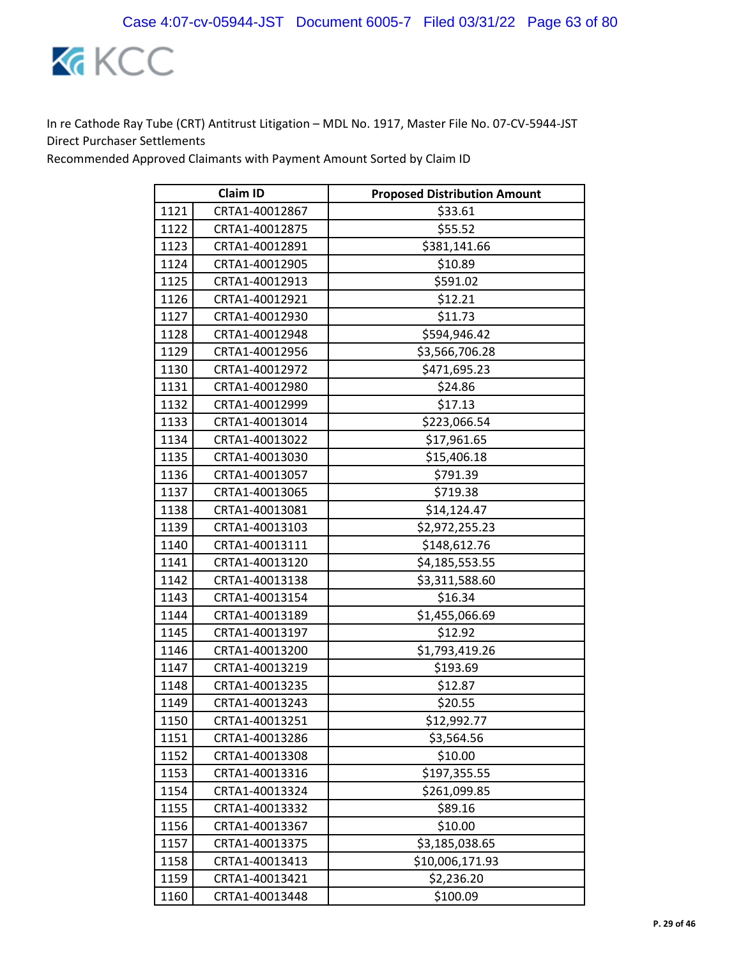

| <b>Claim ID</b> |                | <b>Proposed Distribution Amount</b> |
|-----------------|----------------|-------------------------------------|
| 1121            | CRTA1-40012867 | \$33.61                             |
| 1122            | CRTA1-40012875 | \$55.52                             |
| 1123            | CRTA1-40012891 | \$381,141.66                        |
| 1124            | CRTA1-40012905 | \$10.89                             |
| 1125            | CRTA1-40012913 | \$591.02                            |
| 1126            | CRTA1-40012921 | \$12.21                             |
| 1127            | CRTA1-40012930 | \$11.73                             |
| 1128            | CRTA1-40012948 | \$594,946.42                        |
| 1129            | CRTA1-40012956 | \$3,566,706.28                      |
| 1130            | CRTA1-40012972 | \$471,695.23                        |
| 1131            | CRTA1-40012980 | \$24.86                             |
| 1132            | CRTA1-40012999 | \$17.13                             |
| 1133            | CRTA1-40013014 | \$223,066.54                        |
| 1134            | CRTA1-40013022 | \$17,961.65                         |
| 1135            | CRTA1-40013030 | \$15,406.18                         |
| 1136            | CRTA1-40013057 | \$791.39                            |
| 1137            | CRTA1-40013065 | \$719.38                            |
| 1138            | CRTA1-40013081 | \$14,124.47                         |
| 1139            | CRTA1-40013103 | \$2,972,255.23                      |
| 1140            | CRTA1-40013111 | \$148,612.76                        |
| 1141            | CRTA1-40013120 | \$4,185,553.55                      |
| 1142            | CRTA1-40013138 | \$3,311,588.60                      |
| 1143            | CRTA1-40013154 | \$16.34                             |
| 1144            | CRTA1-40013189 | \$1,455,066.69                      |
| 1145            | CRTA1-40013197 | \$12.92                             |
| 1146            | CRTA1-40013200 | \$1,793,419.26                      |
| 1147            | CRTA1-40013219 | \$193.69                            |
| 1148            | CRTA1-40013235 | \$12.87                             |
| 1149            | CRTA1-40013243 | \$20.55                             |
| 1150            | CRTA1-40013251 | \$12,992.77                         |
| 1151            | CRTA1-40013286 | \$3,564.56                          |
| 1152            | CRTA1-40013308 | \$10.00                             |
| 1153            | CRTA1-40013316 | \$197,355.55                        |
| 1154            | CRTA1-40013324 | \$261,099.85                        |
| 1155            | CRTA1-40013332 | \$89.16                             |
| 1156            | CRTA1-40013367 | \$10.00                             |
| 1157            | CRTA1-40013375 | \$3,185,038.65                      |
| 1158            | CRTA1-40013413 | \$10,006,171.93                     |
| 1159            | CRTA1-40013421 | \$2,236.20                          |
| 1160            | CRTA1-40013448 | \$100.09                            |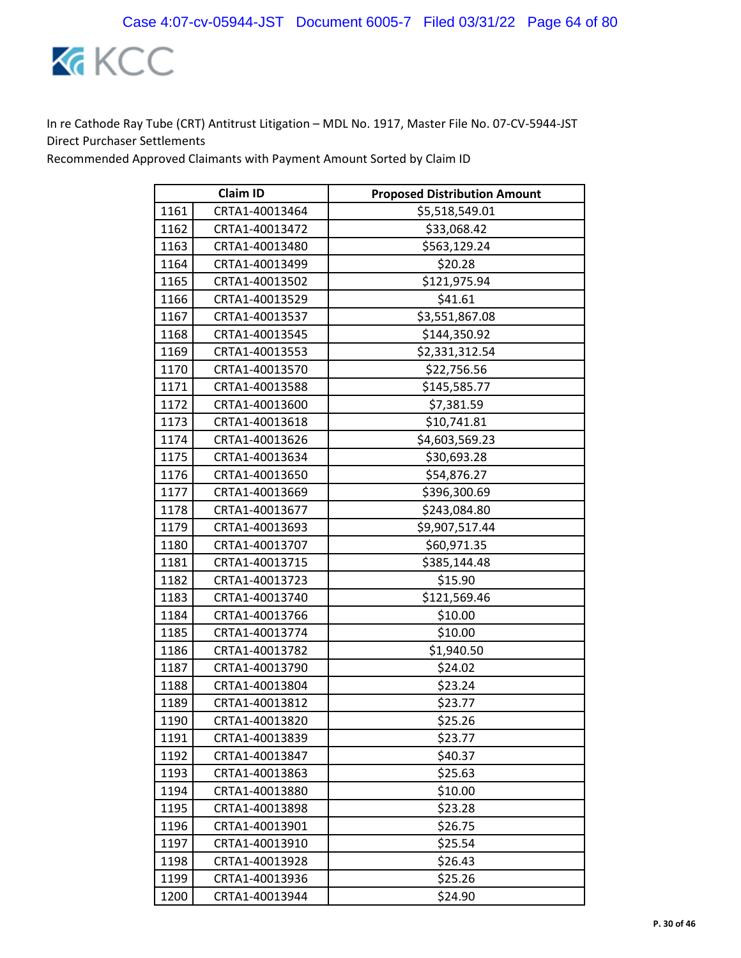

| <b>Claim ID</b> |                | <b>Proposed Distribution Amount</b> |
|-----------------|----------------|-------------------------------------|
| 1161            | CRTA1-40013464 | \$5,518,549.01                      |
| 1162            | CRTA1-40013472 | \$33,068.42                         |
| 1163            | CRTA1-40013480 | \$563,129.24                        |
| 1164            | CRTA1-40013499 | \$20.28                             |
| 1165            | CRTA1-40013502 | \$121,975.94                        |
| 1166            | CRTA1-40013529 | \$41.61                             |
| 1167            | CRTA1-40013537 | \$3,551,867.08                      |
| 1168            | CRTA1-40013545 | \$144,350.92                        |
| 1169            | CRTA1-40013553 | \$2,331,312.54                      |
| 1170            | CRTA1-40013570 | \$22,756.56                         |
| 1171            | CRTA1-40013588 | \$145,585.77                        |
| 1172            | CRTA1-40013600 | \$7,381.59                          |
| 1173            | CRTA1-40013618 | \$10,741.81                         |
| 1174            | CRTA1-40013626 | \$4,603,569.23                      |
| 1175            | CRTA1-40013634 | \$30,693.28                         |
| 1176            | CRTA1-40013650 | \$54,876.27                         |
| 1177            | CRTA1-40013669 | \$396,300.69                        |
| 1178            | CRTA1-40013677 | \$243,084.80                        |
| 1179            | CRTA1-40013693 | \$9,907,517.44                      |
| 1180            | CRTA1-40013707 | \$60,971.35                         |
| 1181            | CRTA1-40013715 | \$385,144.48                        |
| 1182            | CRTA1-40013723 | \$15.90                             |
| 1183            | CRTA1-40013740 | \$121,569.46                        |
| 1184            | CRTA1-40013766 | \$10.00                             |
| 1185            | CRTA1-40013774 | \$10.00                             |
| 1186            | CRTA1-40013782 | \$1,940.50                          |
| 1187            | CRTA1-40013790 | \$24.02                             |
| 1188            | CRTA1-40013804 | \$23.24                             |
| 1189            | CRTA1-40013812 | \$23.77                             |
| 1190            | CRTA1-40013820 | \$25.26                             |
| 1191            | CRTA1-40013839 | \$23.77                             |
| 1192            | CRTA1-40013847 | \$40.37                             |
| 1193            | CRTA1-40013863 | \$25.63                             |
| 1194            | CRTA1-40013880 | \$10.00                             |
| 1195            | CRTA1-40013898 | \$23.28                             |
| 1196            | CRTA1-40013901 | \$26.75                             |
| 1197            | CRTA1-40013910 | \$25.54                             |
| 1198            | CRTA1-40013928 | \$26.43                             |
| 1199            | CRTA1-40013936 | \$25.26                             |
| 1200            | CRTA1-40013944 | \$24.90                             |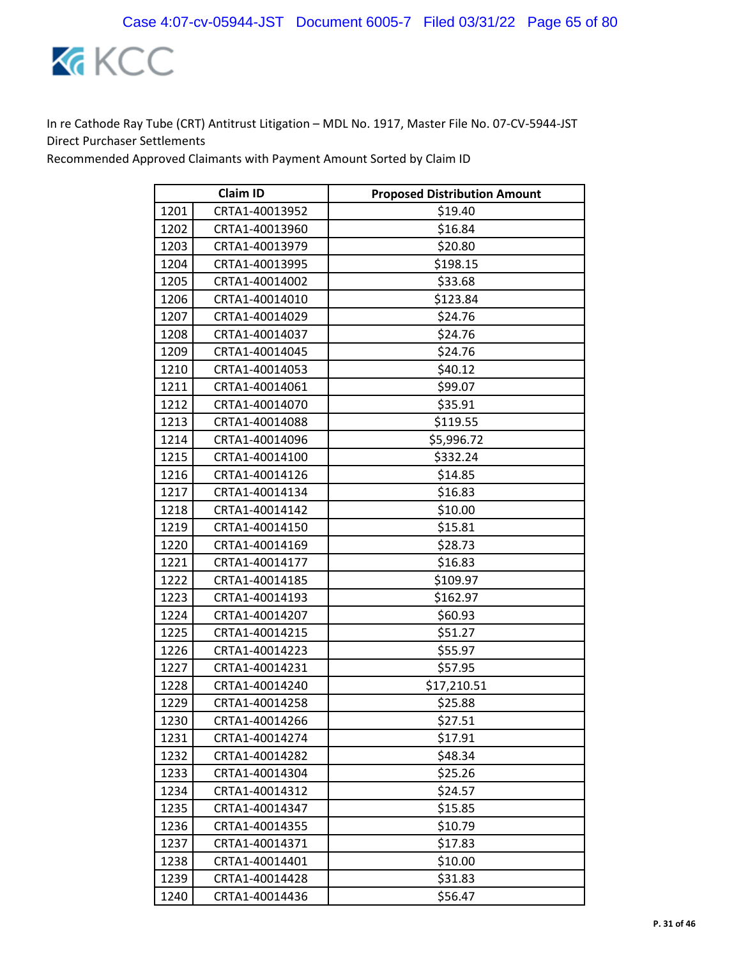

| <b>Claim ID</b> |                | <b>Proposed Distribution Amount</b> |
|-----------------|----------------|-------------------------------------|
| 1201            | CRTA1-40013952 | \$19.40                             |
| 1202            | CRTA1-40013960 | \$16.84                             |
| 1203            | CRTA1-40013979 | \$20.80                             |
| 1204            | CRTA1-40013995 | \$198.15                            |
| 1205            | CRTA1-40014002 | \$33.68                             |
| 1206            | CRTA1-40014010 | \$123.84                            |
| 1207            | CRTA1-40014029 | \$24.76                             |
| 1208            | CRTA1-40014037 | \$24.76                             |
| 1209            | CRTA1-40014045 | \$24.76                             |
| 1210            | CRTA1-40014053 | \$40.12                             |
| 1211            | CRTA1-40014061 | \$99.07                             |
| 1212            | CRTA1-40014070 | \$35.91                             |
| 1213            | CRTA1-40014088 | \$119.55                            |
| 1214            | CRTA1-40014096 | \$5,996.72                          |
| 1215            | CRTA1-40014100 | \$332.24                            |
| 1216            | CRTA1-40014126 | \$14.85                             |
| 1217            | CRTA1-40014134 | \$16.83                             |
| 1218            | CRTA1-40014142 | \$10.00                             |
| 1219            | CRTA1-40014150 | \$15.81                             |
| 1220            | CRTA1-40014169 | \$28.73                             |
| 1221            | CRTA1-40014177 | \$16.83                             |
| 1222            | CRTA1-40014185 | \$109.97                            |
| 1223            | CRTA1-40014193 | \$162.97                            |
| 1224            | CRTA1-40014207 | \$60.93                             |
| 1225            | CRTA1-40014215 | \$51.27                             |
| 1226            | CRTA1-40014223 | \$55.97                             |
| 1227            | CRTA1-40014231 | \$57.95                             |
| 1228            | CRTA1-40014240 | \$17,210.51                         |
| 1229            | CRTA1-40014258 | \$25.88                             |
| 1230            | CRTA1-40014266 | \$27.51                             |
| 1231            | CRTA1-40014274 | \$17.91                             |
| 1232            | CRTA1-40014282 | \$48.34                             |
| 1233            | CRTA1-40014304 | \$25.26                             |
| 1234            | CRTA1-40014312 | \$24.57                             |
| 1235            | CRTA1-40014347 | \$15.85                             |
| 1236            | CRTA1-40014355 | \$10.79                             |
| 1237            | CRTA1-40014371 | \$17.83                             |
| 1238            | CRTA1-40014401 | \$10.00                             |
| 1239            | CRTA1-40014428 | \$31.83                             |
| 1240            | CRTA1-40014436 | \$56.47                             |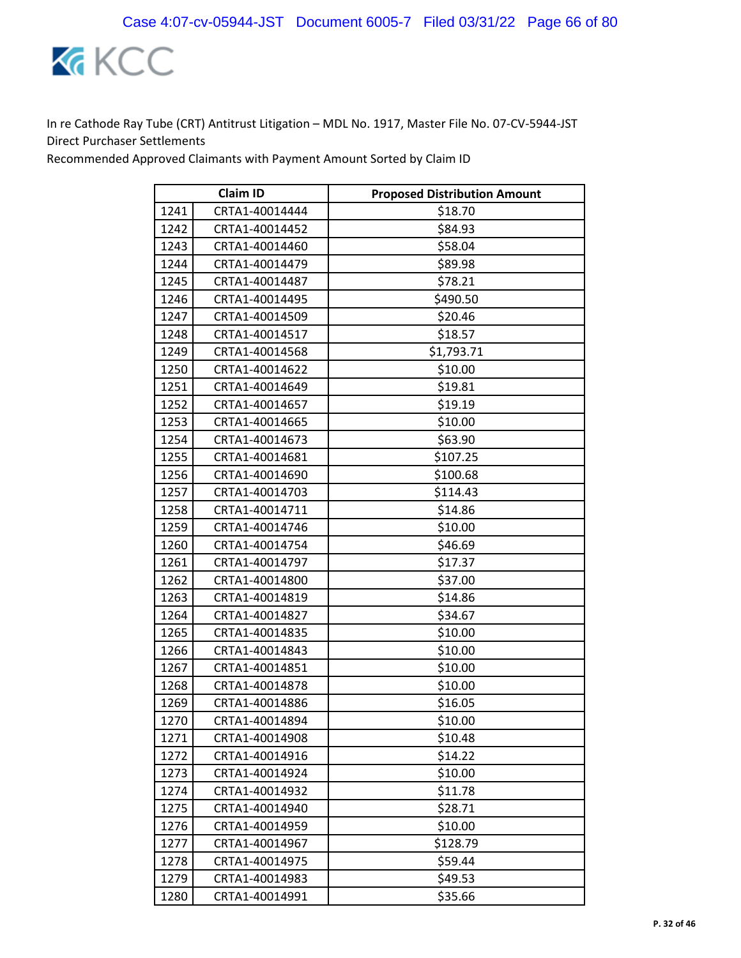

| <b>Claim ID</b> |                | <b>Proposed Distribution Amount</b> |
|-----------------|----------------|-------------------------------------|
| 1241            | CRTA1-40014444 | \$18.70                             |
| 1242            | CRTA1-40014452 | \$84.93                             |
| 1243            | CRTA1-40014460 | \$58.04                             |
| 1244            | CRTA1-40014479 | \$89.98                             |
| 1245            | CRTA1-40014487 | \$78.21                             |
| 1246            | CRTA1-40014495 | \$490.50                            |
| 1247            | CRTA1-40014509 | \$20.46                             |
| 1248            | CRTA1-40014517 | \$18.57                             |
| 1249            | CRTA1-40014568 | \$1,793.71                          |
| 1250            | CRTA1-40014622 | \$10.00                             |
| 1251            | CRTA1-40014649 | \$19.81                             |
| 1252            | CRTA1-40014657 | \$19.19                             |
| 1253            | CRTA1-40014665 | \$10.00                             |
| 1254            | CRTA1-40014673 | \$63.90                             |
| 1255            | CRTA1-40014681 | \$107.25                            |
| 1256            | CRTA1-40014690 | \$100.68                            |
| 1257            | CRTA1-40014703 | \$114.43                            |
| 1258            | CRTA1-40014711 | \$14.86                             |
| 1259            | CRTA1-40014746 | \$10.00                             |
| 1260            | CRTA1-40014754 | \$46.69                             |
| 1261            | CRTA1-40014797 | \$17.37                             |
| 1262            | CRTA1-40014800 | \$37.00                             |
| 1263            | CRTA1-40014819 | \$14.86                             |
| 1264            | CRTA1-40014827 | \$34.67                             |
| 1265            | CRTA1-40014835 | \$10.00                             |
| 1266            | CRTA1-40014843 | \$10.00                             |
| 1267            | CRTA1-40014851 | \$10.00                             |
| 1268            | CRTA1-40014878 | \$10.00                             |
| 1269            | CRTA1-40014886 | \$16.05                             |
| 1270            | CRTA1-40014894 | \$10.00                             |
| 1271            | CRTA1-40014908 | \$10.48                             |
| 1272            | CRTA1-40014916 | \$14.22                             |
| 1273            | CRTA1-40014924 | \$10.00                             |
| 1274            | CRTA1-40014932 | \$11.78                             |
| 1275            | CRTA1-40014940 | \$28.71                             |
| 1276            | CRTA1-40014959 | \$10.00                             |
| 1277            | CRTA1-40014967 | \$128.79                            |
| 1278            | CRTA1-40014975 | \$59.44                             |
| 1279            | CRTA1-40014983 | \$49.53                             |
| 1280            | CRTA1-40014991 | \$35.66                             |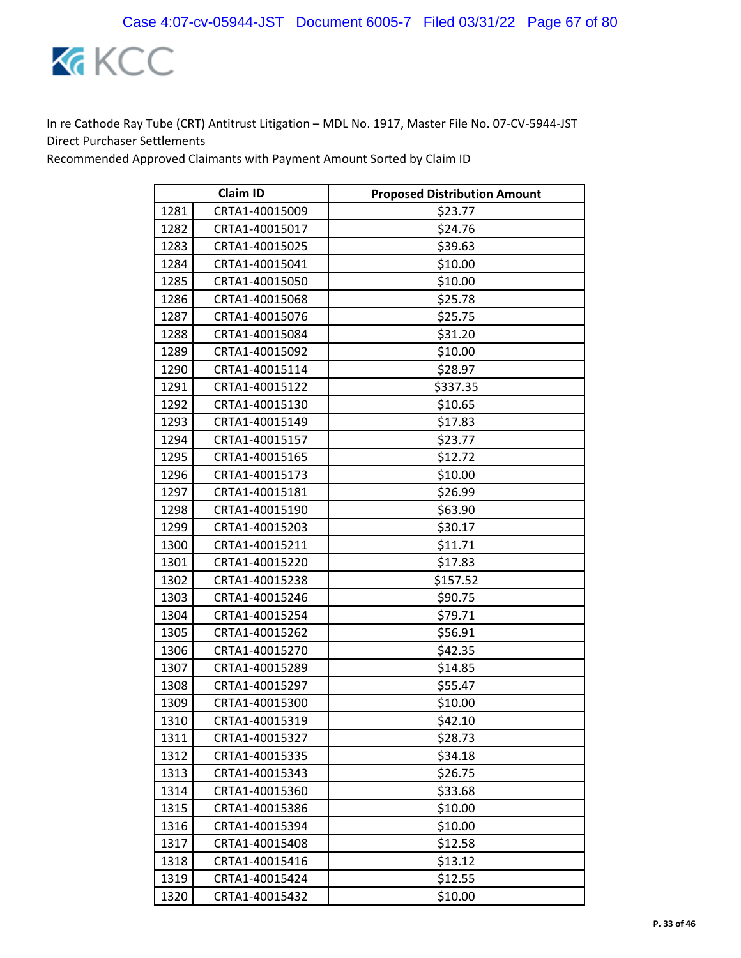

| <b>Claim ID</b> |                | <b>Proposed Distribution Amount</b> |
|-----------------|----------------|-------------------------------------|
| 1281            | CRTA1-40015009 | \$23.77                             |
| 1282            | CRTA1-40015017 | \$24.76                             |
| 1283            | CRTA1-40015025 | \$39.63                             |
| 1284            | CRTA1-40015041 | \$10.00                             |
| 1285            | CRTA1-40015050 | \$10.00                             |
| 1286            | CRTA1-40015068 | \$25.78                             |
| 1287            | CRTA1-40015076 | \$25.75                             |
| 1288            | CRTA1-40015084 | \$31.20                             |
| 1289            | CRTA1-40015092 | \$10.00                             |
| 1290            | CRTA1-40015114 | \$28.97                             |
| 1291            | CRTA1-40015122 | \$337.35                            |
| 1292            | CRTA1-40015130 | \$10.65                             |
| 1293            | CRTA1-40015149 | \$17.83                             |
| 1294            | CRTA1-40015157 | \$23.77                             |
| 1295            | CRTA1-40015165 | \$12.72                             |
| 1296            | CRTA1-40015173 | \$10.00                             |
| 1297            | CRTA1-40015181 | \$26.99                             |
| 1298            | CRTA1-40015190 | \$63.90                             |
| 1299            | CRTA1-40015203 | \$30.17                             |
| 1300            | CRTA1-40015211 | \$11.71                             |
| 1301            | CRTA1-40015220 | \$17.83                             |
| 1302            | CRTA1-40015238 | \$157.52                            |
| 1303            | CRTA1-40015246 | \$90.75                             |
| 1304            | CRTA1-40015254 | \$79.71                             |
| 1305            | CRTA1-40015262 | \$56.91                             |
| 1306            | CRTA1-40015270 | \$42.35                             |
| 1307            | CRTA1-40015289 | \$14.85                             |
| 1308            | CRTA1-40015297 | \$55.47                             |
| 1309            | CRTA1-40015300 | \$10.00                             |
| 1310            | CRTA1-40015319 | \$42.10                             |
| 1311            | CRTA1-40015327 | \$28.73                             |
| 1312            | CRTA1-40015335 | \$34.18                             |
| 1313            | CRTA1-40015343 | \$26.75                             |
| 1314            | CRTA1-40015360 | \$33.68                             |
| 1315            | CRTA1-40015386 | \$10.00                             |
| 1316            | CRTA1-40015394 | \$10.00                             |
| 1317            | CRTA1-40015408 | \$12.58                             |
| 1318            | CRTA1-40015416 | \$13.12                             |
| 1319            | CRTA1-40015424 | \$12.55                             |
| 1320            | CRTA1-40015432 | \$10.00                             |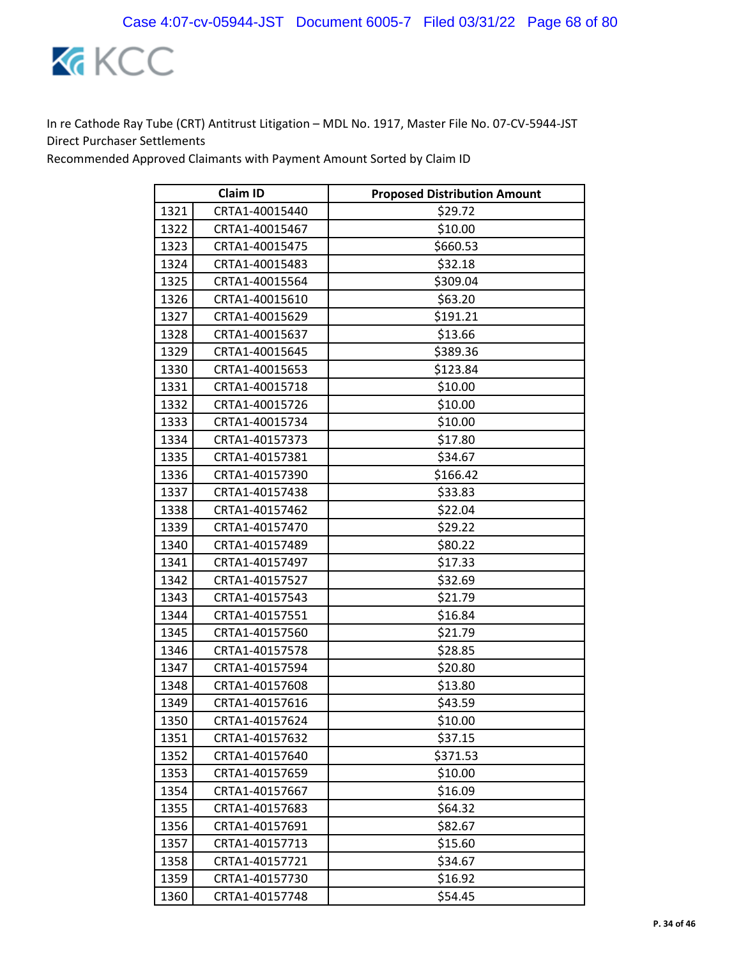

| <b>Claim ID</b> |                | <b>Proposed Distribution Amount</b> |
|-----------------|----------------|-------------------------------------|
| 1321            | CRTA1-40015440 | \$29.72                             |
| 1322            | CRTA1-40015467 | \$10.00                             |
| 1323            | CRTA1-40015475 | \$660.53                            |
| 1324            | CRTA1-40015483 | \$32.18                             |
| 1325            | CRTA1-40015564 | \$309.04                            |
| 1326            | CRTA1-40015610 | \$63.20                             |
| 1327            | CRTA1-40015629 | \$191.21                            |
| 1328            | CRTA1-40015637 | \$13.66                             |
| 1329            | CRTA1-40015645 | \$389.36                            |
| 1330            | CRTA1-40015653 | \$123.84                            |
| 1331            | CRTA1-40015718 | \$10.00                             |
| 1332            | CRTA1-40015726 | \$10.00                             |
| 1333            | CRTA1-40015734 | \$10.00                             |
| 1334            | CRTA1-40157373 | \$17.80                             |
| 1335            | CRTA1-40157381 | \$34.67                             |
| 1336            | CRTA1-40157390 | \$166.42                            |
| 1337            | CRTA1-40157438 | \$33.83                             |
| 1338            | CRTA1-40157462 | \$22.04                             |
| 1339            | CRTA1-40157470 | \$29.22                             |
| 1340            | CRTA1-40157489 | \$80.22                             |
| 1341            | CRTA1-40157497 | \$17.33                             |
| 1342            | CRTA1-40157527 | \$32.69                             |
| 1343            | CRTA1-40157543 | \$21.79                             |
| 1344            | CRTA1-40157551 | \$16.84                             |
| 1345            | CRTA1-40157560 | \$21.79                             |
| 1346            | CRTA1-40157578 | \$28.85                             |
| 1347            | CRTA1-40157594 | \$20.80                             |
| 1348            | CRTA1-40157608 | \$13.80                             |
| 1349            | CRTA1-40157616 | \$43.59                             |
| 1350            | CRTA1-40157624 | \$10.00                             |
| 1351            | CRTA1-40157632 | \$37.15                             |
| 1352            | CRTA1-40157640 | \$371.53                            |
| 1353            | CRTA1-40157659 | \$10.00                             |
| 1354            | CRTA1-40157667 | \$16.09                             |
| 1355            | CRTA1-40157683 | \$64.32                             |
| 1356            | CRTA1-40157691 | \$82.67                             |
| 1357            | CRTA1-40157713 | \$15.60                             |
| 1358            | CRTA1-40157721 | \$34.67                             |
| 1359            | CRTA1-40157730 | \$16.92                             |
| 1360            | CRTA1-40157748 | \$54.45                             |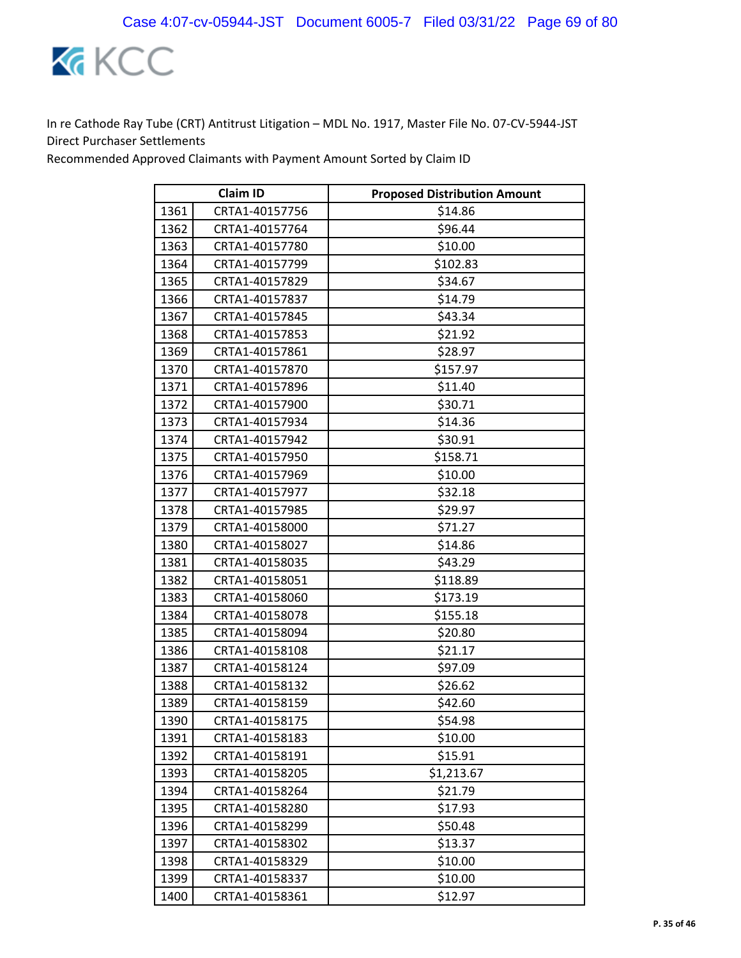

| <b>Claim ID</b> |                | <b>Proposed Distribution Amount</b> |
|-----------------|----------------|-------------------------------------|
| 1361            | CRTA1-40157756 | \$14.86                             |
| 1362            | CRTA1-40157764 | \$96.44                             |
| 1363            | CRTA1-40157780 | \$10.00                             |
| 1364            | CRTA1-40157799 | \$102.83                            |
| 1365            | CRTA1-40157829 | \$34.67                             |
| 1366            | CRTA1-40157837 | \$14.79                             |
| 1367            | CRTA1-40157845 | \$43.34                             |
| 1368            | CRTA1-40157853 | \$21.92                             |
| 1369            | CRTA1-40157861 | \$28.97                             |
| 1370            | CRTA1-40157870 | \$157.97                            |
| 1371            | CRTA1-40157896 | \$11.40                             |
| 1372            | CRTA1-40157900 | \$30.71                             |
| 1373            | CRTA1-40157934 | \$14.36                             |
| 1374            | CRTA1-40157942 | \$30.91                             |
| 1375            | CRTA1-40157950 | \$158.71                            |
| 1376            | CRTA1-40157969 | \$10.00                             |
| 1377            | CRTA1-40157977 | \$32.18                             |
| 1378            | CRTA1-40157985 | \$29.97                             |
| 1379            | CRTA1-40158000 | \$71.27                             |
| 1380            | CRTA1-40158027 | \$14.86                             |
| 1381            | CRTA1-40158035 | \$43.29                             |
| 1382            | CRTA1-40158051 | \$118.89                            |
| 1383            | CRTA1-40158060 | \$173.19                            |
| 1384            | CRTA1-40158078 | \$155.18                            |
| 1385            | CRTA1-40158094 | \$20.80                             |
| 1386            | CRTA1-40158108 | \$21.17                             |
| 1387            | CRTA1-40158124 | \$97.09                             |
| 1388            | CRTA1-40158132 | \$26.62                             |
| 1389            | CRTA1-40158159 | \$42.60                             |
| 1390            | CRTA1-40158175 | \$54.98                             |
| 1391            | CRTA1-40158183 | \$10.00                             |
| 1392            | CRTA1-40158191 | \$15.91                             |
| 1393            | CRTA1-40158205 | \$1,213.67                          |
| 1394            | CRTA1-40158264 | \$21.79                             |
| 1395            | CRTA1-40158280 | \$17.93                             |
| 1396            | CRTA1-40158299 | \$50.48                             |
| 1397            | CRTA1-40158302 | \$13.37                             |
| 1398            | CRTA1-40158329 | \$10.00                             |
| 1399            | CRTA1-40158337 | \$10.00                             |
| 1400            | CRTA1-40158361 | \$12.97                             |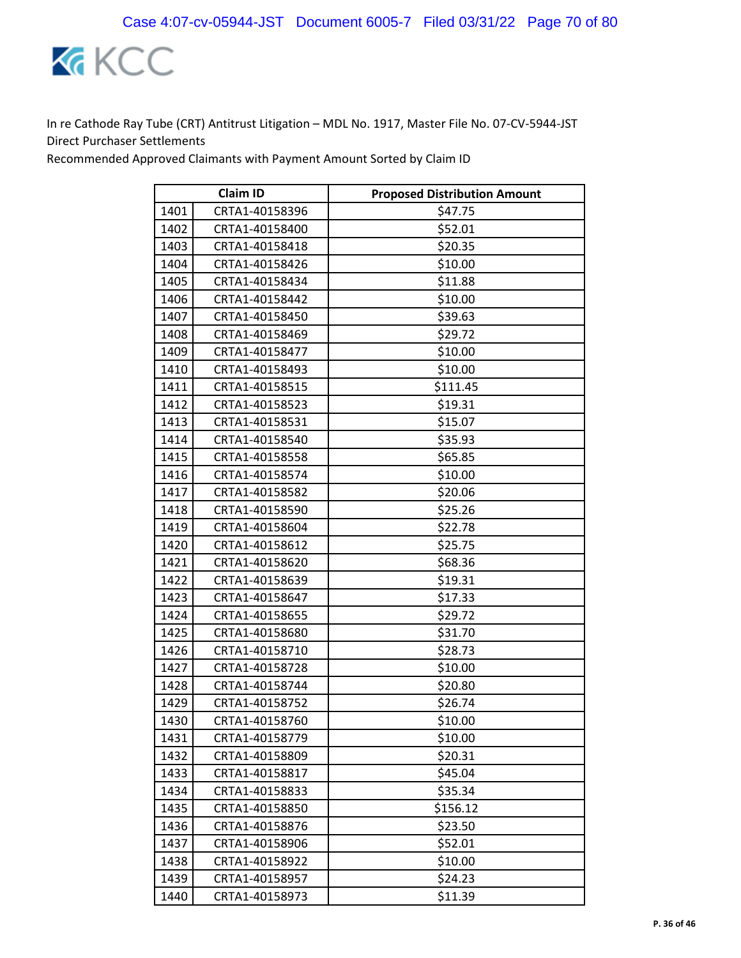

|      | <b>Claim ID</b> | <b>Proposed Distribution Amount</b> |
|------|-----------------|-------------------------------------|
| 1401 | CRTA1-40158396  | \$47.75                             |
| 1402 | CRTA1-40158400  | \$52.01                             |
| 1403 | CRTA1-40158418  | \$20.35                             |
| 1404 | CRTA1-40158426  | \$10.00                             |
| 1405 | CRTA1-40158434  | \$11.88                             |
| 1406 | CRTA1-40158442  | \$10.00                             |
| 1407 | CRTA1-40158450  | \$39.63                             |
| 1408 | CRTA1-40158469  | \$29.72                             |
| 1409 | CRTA1-40158477  | \$10.00                             |
| 1410 | CRTA1-40158493  | \$10.00                             |
| 1411 | CRTA1-40158515  | \$111.45                            |
| 1412 | CRTA1-40158523  | \$19.31                             |
| 1413 | CRTA1-40158531  | \$15.07                             |
| 1414 | CRTA1-40158540  | \$35.93                             |
| 1415 | CRTA1-40158558  | \$65.85                             |
| 1416 | CRTA1-40158574  | \$10.00                             |
| 1417 | CRTA1-40158582  | \$20.06                             |
| 1418 | CRTA1-40158590  | \$25.26                             |
| 1419 | CRTA1-40158604  | \$22.78                             |
| 1420 | CRTA1-40158612  | \$25.75                             |
| 1421 | CRTA1-40158620  | \$68.36                             |
| 1422 | CRTA1-40158639  | \$19.31                             |
| 1423 | CRTA1-40158647  | \$17.33                             |
| 1424 | CRTA1-40158655  | \$29.72                             |
| 1425 | CRTA1-40158680  | \$31.70                             |
| 1426 | CRTA1-40158710  | \$28.73                             |
| 1427 | CRTA1-40158728  | \$10.00                             |
| 1428 | CRTA1-40158744  | \$20.80                             |
| 1429 | CRTA1-40158752  | \$26.74                             |
| 1430 | CRTA1-40158760  | \$10.00                             |
| 1431 | CRTA1-40158779  | \$10.00                             |
| 1432 | CRTA1-40158809  | \$20.31                             |
| 1433 | CRTA1-40158817  | \$45.04                             |
| 1434 | CRTA1-40158833  | \$35.34                             |
| 1435 | CRTA1-40158850  | \$156.12                            |
| 1436 | CRTA1-40158876  | \$23.50                             |
| 1437 | CRTA1-40158906  | \$52.01                             |
| 1438 | CRTA1-40158922  | \$10.00                             |
| 1439 | CRTA1-40158957  | \$24.23                             |
| 1440 | CRTA1-40158973  | \$11.39                             |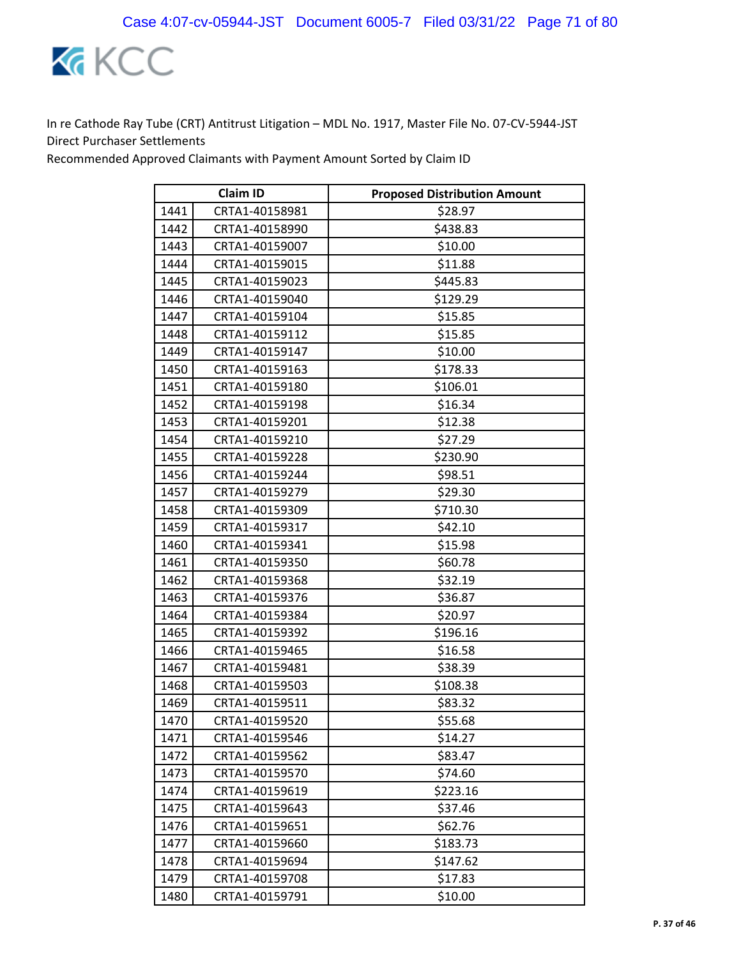

| <b>Claim ID</b> |                | <b>Proposed Distribution Amount</b> |
|-----------------|----------------|-------------------------------------|
| 1441            | CRTA1-40158981 | \$28.97                             |
| 1442            | CRTA1-40158990 | \$438.83                            |
| 1443            | CRTA1-40159007 | \$10.00                             |
| 1444            | CRTA1-40159015 | \$11.88                             |
| 1445            | CRTA1-40159023 | \$445.83                            |
| 1446            | CRTA1-40159040 | \$129.29                            |
| 1447            | CRTA1-40159104 | \$15.85                             |
| 1448            | CRTA1-40159112 | \$15.85                             |
| 1449            | CRTA1-40159147 | \$10.00                             |
| 1450            | CRTA1-40159163 | \$178.33                            |
| 1451            | CRTA1-40159180 | \$106.01                            |
| 1452            | CRTA1-40159198 | \$16.34                             |
| 1453            | CRTA1-40159201 | \$12.38                             |
| 1454            | CRTA1-40159210 | \$27.29                             |
| 1455            | CRTA1-40159228 | \$230.90                            |
| 1456            | CRTA1-40159244 | \$98.51                             |
| 1457            | CRTA1-40159279 | \$29.30                             |
| 1458            | CRTA1-40159309 | \$710.30                            |
| 1459            | CRTA1-40159317 | \$42.10                             |
| 1460            | CRTA1-40159341 | \$15.98                             |
| 1461            | CRTA1-40159350 | \$60.78                             |
| 1462            | CRTA1-40159368 | \$32.19                             |
| 1463            | CRTA1-40159376 | \$36.87                             |
| 1464            | CRTA1-40159384 | \$20.97                             |
| 1465            | CRTA1-40159392 | \$196.16                            |
| 1466            | CRTA1-40159465 | \$16.58                             |
| 1467            | CRTA1-40159481 | \$38.39                             |
| 1468            | CRTA1-40159503 | \$108.38                            |
| 1469            | CRTA1-40159511 | \$83.32                             |
| 1470            | CRTA1-40159520 | \$55.68                             |
| 1471            | CRTA1-40159546 | \$14.27                             |
| 1472            | CRTA1-40159562 | \$83.47                             |
| 1473            | CRTA1-40159570 | \$74.60                             |
| 1474            | CRTA1-40159619 | \$223.16                            |
| 1475            | CRTA1-40159643 | \$37.46                             |
| 1476            | CRTA1-40159651 | \$62.76                             |
| 1477            | CRTA1-40159660 | \$183.73                            |
| 1478            | CRTA1-40159694 | \$147.62                            |
| 1479            | CRTA1-40159708 | \$17.83                             |
| 1480            | CRTA1-40159791 | \$10.00                             |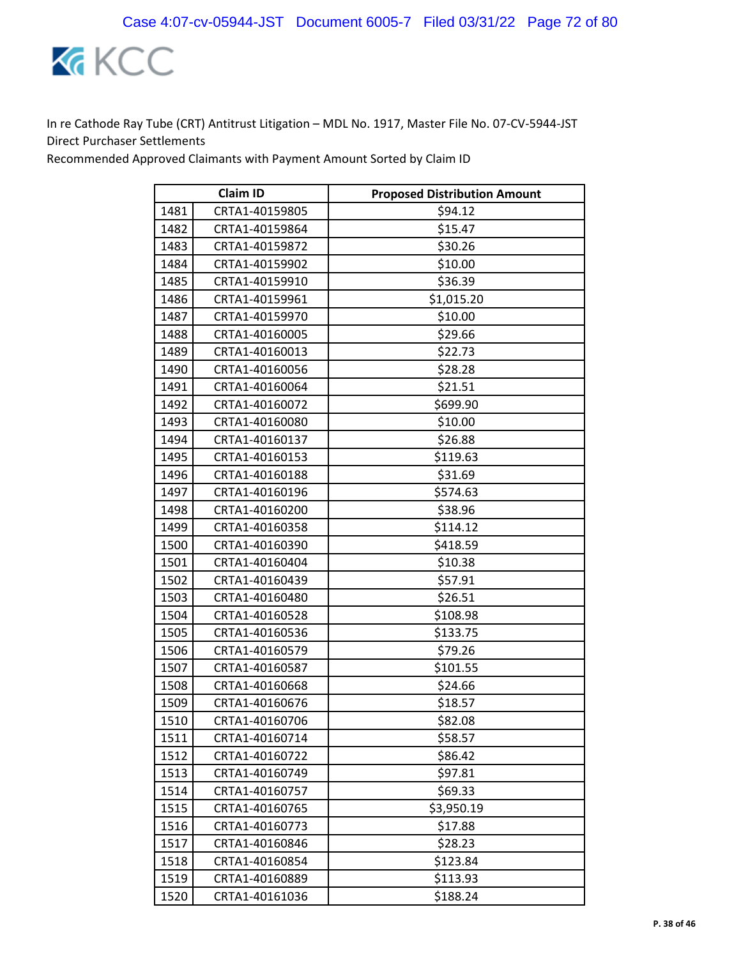

| <b>Claim ID</b> |                | <b>Proposed Distribution Amount</b> |
|-----------------|----------------|-------------------------------------|
| 1481            | CRTA1-40159805 | \$94.12                             |
| 1482            | CRTA1-40159864 | \$15.47                             |
| 1483            | CRTA1-40159872 | \$30.26                             |
| 1484            | CRTA1-40159902 | \$10.00                             |
| 1485            | CRTA1-40159910 | \$36.39                             |
| 1486            | CRTA1-40159961 | \$1,015.20                          |
| 1487            | CRTA1-40159970 | \$10.00                             |
| 1488            | CRTA1-40160005 | \$29.66                             |
| 1489            | CRTA1-40160013 | \$22.73                             |
| 1490            | CRTA1-40160056 | \$28.28                             |
| 1491            | CRTA1-40160064 | \$21.51                             |
| 1492            | CRTA1-40160072 | \$699.90                            |
| 1493            | CRTA1-40160080 | \$10.00                             |
| 1494            | CRTA1-40160137 | \$26.88                             |
| 1495            | CRTA1-40160153 | \$119.63                            |
| 1496            | CRTA1-40160188 | \$31.69                             |
| 1497            | CRTA1-40160196 | \$574.63                            |
| 1498            | CRTA1-40160200 | \$38.96                             |
| 1499            | CRTA1-40160358 | \$114.12                            |
| 1500            | CRTA1-40160390 | \$418.59                            |
| 1501            | CRTA1-40160404 | \$10.38                             |
| 1502            | CRTA1-40160439 | \$57.91                             |
| 1503            | CRTA1-40160480 | \$26.51                             |
| 1504            | CRTA1-40160528 | \$108.98                            |
| 1505            | CRTA1-40160536 | \$133.75                            |
| 1506            | CRTA1-40160579 | \$79.26                             |
| 1507            | CRTA1-40160587 | \$101.55                            |
| 1508            | CRTA1-40160668 | \$24.66                             |
| 1509            | CRTA1-40160676 | \$18.57                             |
| 1510            | CRTA1-40160706 | \$82.08                             |
| 1511            | CRTA1-40160714 | \$58.57                             |
| 1512            | CRTA1-40160722 | \$86.42                             |
| 1513            | CRTA1-40160749 | \$97.81                             |
| 1514            | CRTA1-40160757 | \$69.33                             |
| 1515            | CRTA1-40160765 | \$3,950.19                          |
| 1516            | CRTA1-40160773 | \$17.88                             |
| 1517            | CRTA1-40160846 | \$28.23                             |
| 1518            | CRTA1-40160854 | \$123.84                            |
| 1519            | CRTA1-40160889 | \$113.93                            |
| 1520            | CRTA1-40161036 | \$188.24                            |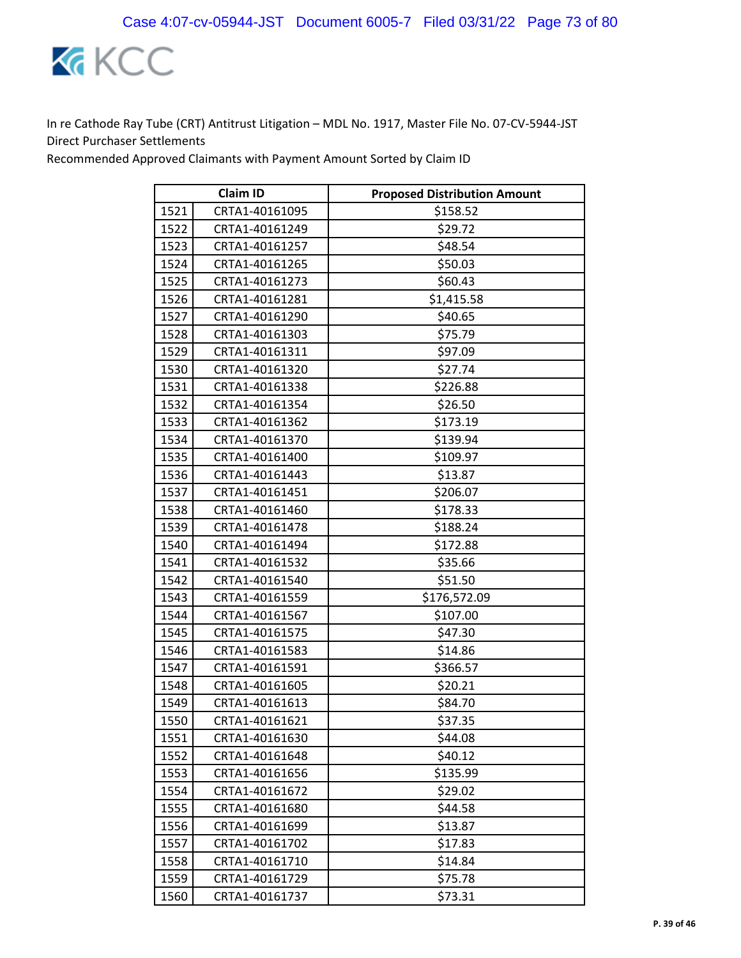

| <b>Claim ID</b> |                | <b>Proposed Distribution Amount</b> |
|-----------------|----------------|-------------------------------------|
| 1521            | CRTA1-40161095 | \$158.52                            |
| 1522            | CRTA1-40161249 | \$29.72                             |
| 1523            | CRTA1-40161257 | \$48.54                             |
| 1524            | CRTA1-40161265 | \$50.03                             |
| 1525            | CRTA1-40161273 | \$60.43                             |
| 1526            | CRTA1-40161281 | \$1,415.58                          |
| 1527            | CRTA1-40161290 | \$40.65                             |
| 1528            | CRTA1-40161303 | \$75.79                             |
| 1529            | CRTA1-40161311 | \$97.09                             |
| 1530            | CRTA1-40161320 | \$27.74                             |
| 1531            | CRTA1-40161338 | \$226.88                            |
| 1532            | CRTA1-40161354 | \$26.50                             |
| 1533            | CRTA1-40161362 | \$173.19                            |
| 1534            | CRTA1-40161370 | \$139.94                            |
| 1535            | CRTA1-40161400 | \$109.97                            |
| 1536            | CRTA1-40161443 | \$13.87                             |
| 1537            | CRTA1-40161451 | \$206.07                            |
| 1538            | CRTA1-40161460 | \$178.33                            |
| 1539            | CRTA1-40161478 | \$188.24                            |
| 1540            | CRTA1-40161494 | \$172.88                            |
| 1541            | CRTA1-40161532 | \$35.66                             |
| 1542            | CRTA1-40161540 | \$51.50                             |
| 1543            | CRTA1-40161559 | \$176,572.09                        |
| 1544            | CRTA1-40161567 | \$107.00                            |
| 1545            | CRTA1-40161575 | \$47.30                             |
| 1546            | CRTA1-40161583 | \$14.86                             |
| 1547            | CRTA1-40161591 | \$366.57                            |
| 1548            | CRTA1-40161605 | \$20.21                             |
| 1549            | CRTA1-40161613 | \$84.70                             |
| 1550            | CRTA1-40161621 | \$37.35                             |
| 1551            | CRTA1-40161630 | \$44.08                             |
| 1552            | CRTA1-40161648 | \$40.12                             |
| 1553            | CRTA1-40161656 | \$135.99                            |
| 1554            | CRTA1-40161672 | \$29.02                             |
| 1555            | CRTA1-40161680 | \$44.58                             |
| 1556            | CRTA1-40161699 | \$13.87                             |
| 1557            | CRTA1-40161702 | \$17.83                             |
| 1558            | CRTA1-40161710 | \$14.84                             |
| 1559            | CRTA1-40161729 | \$75.78                             |
| 1560            | CRTA1-40161737 | \$73.31                             |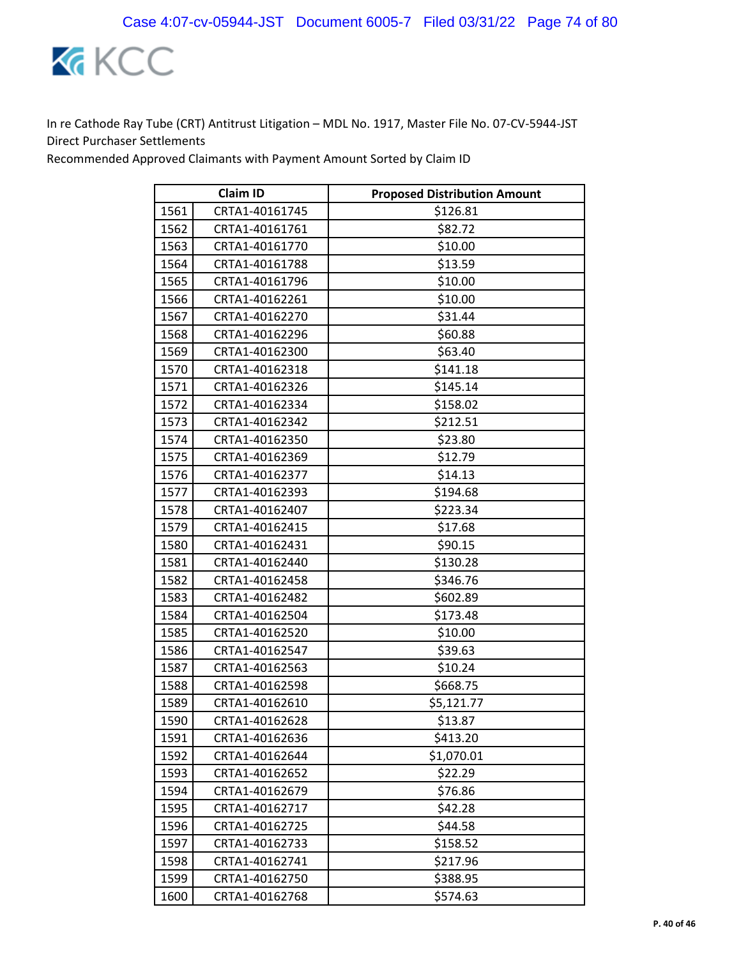

|      | <b>Claim ID</b> | <b>Proposed Distribution Amount</b> |
|------|-----------------|-------------------------------------|
| 1561 | CRTA1-40161745  | \$126.81                            |
| 1562 | CRTA1-40161761  | \$82.72                             |
| 1563 | CRTA1-40161770  | \$10.00                             |
| 1564 | CRTA1-40161788  | \$13.59                             |
| 1565 | CRTA1-40161796  | \$10.00                             |
| 1566 | CRTA1-40162261  | \$10.00                             |
| 1567 | CRTA1-40162270  | \$31.44                             |
| 1568 | CRTA1-40162296  | \$60.88                             |
| 1569 | CRTA1-40162300  | \$63.40                             |
| 1570 | CRTA1-40162318  | \$141.18                            |
| 1571 | CRTA1-40162326  | \$145.14                            |
| 1572 | CRTA1-40162334  | \$158.02                            |
| 1573 | CRTA1-40162342  | \$212.51                            |
| 1574 | CRTA1-40162350  | \$23.80                             |
| 1575 | CRTA1-40162369  | \$12.79                             |
| 1576 | CRTA1-40162377  | \$14.13                             |
| 1577 | CRTA1-40162393  | \$194.68                            |
| 1578 | CRTA1-40162407  | \$223.34                            |
| 1579 | CRTA1-40162415  | \$17.68                             |
| 1580 | CRTA1-40162431  | \$90.15                             |
| 1581 | CRTA1-40162440  | \$130.28                            |
| 1582 | CRTA1-40162458  | \$346.76                            |
| 1583 | CRTA1-40162482  | \$602.89                            |
| 1584 | CRTA1-40162504  | \$173.48                            |
| 1585 | CRTA1-40162520  | \$10.00                             |
| 1586 | CRTA1-40162547  | \$39.63                             |
| 1587 | CRTA1-40162563  | \$10.24                             |
| 1588 | CRTA1-40162598  | \$668.75                            |
| 1589 | CRTA1-40162610  | \$5,121.77                          |
| 1590 | CRTA1-40162628  | \$13.87                             |
| 1591 | CRTA1-40162636  | \$413.20                            |
| 1592 | CRTA1-40162644  | \$1,070.01                          |
| 1593 | CRTA1-40162652  | \$22.29                             |
| 1594 | CRTA1-40162679  | \$76.86                             |
| 1595 | CRTA1-40162717  | \$42.28                             |
| 1596 | CRTA1-40162725  | \$44.58                             |
| 1597 | CRTA1-40162733  | \$158.52                            |
| 1598 | CRTA1-40162741  | \$217.96                            |
| 1599 | CRTA1-40162750  | \$388.95                            |
| 1600 | CRTA1-40162768  | \$574.63                            |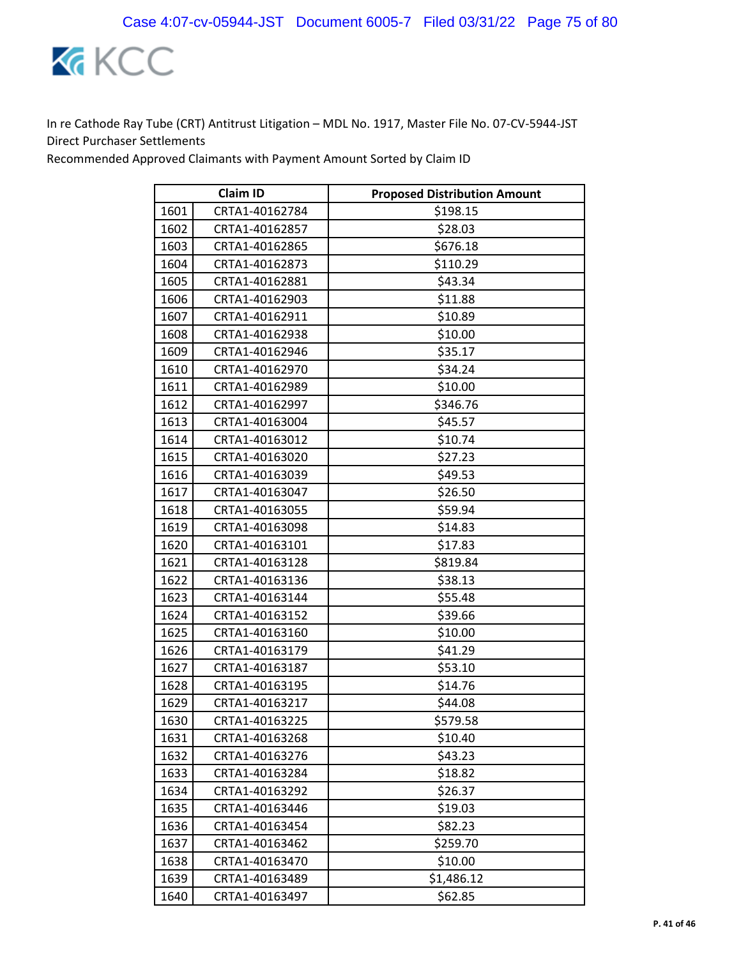

| <b>Claim ID</b> |                | <b>Proposed Distribution Amount</b> |
|-----------------|----------------|-------------------------------------|
| 1601            | CRTA1-40162784 | \$198.15                            |
| 1602            | CRTA1-40162857 | \$28.03                             |
| 1603            | CRTA1-40162865 | \$676.18                            |
| 1604            | CRTA1-40162873 | \$110.29                            |
| 1605            | CRTA1-40162881 | \$43.34                             |
| 1606            | CRTA1-40162903 | \$11.88                             |
| 1607            | CRTA1-40162911 | \$10.89                             |
| 1608            | CRTA1-40162938 | \$10.00                             |
| 1609            | CRTA1-40162946 | \$35.17                             |
| 1610            | CRTA1-40162970 | \$34.24                             |
| 1611            | CRTA1-40162989 | \$10.00                             |
| 1612            | CRTA1-40162997 | \$346.76                            |
| 1613            | CRTA1-40163004 | \$45.57                             |
| 1614            | CRTA1-40163012 | \$10.74                             |
| 1615            | CRTA1-40163020 | \$27.23                             |
| 1616            | CRTA1-40163039 | \$49.53                             |
| 1617            | CRTA1-40163047 | \$26.50                             |
| 1618            | CRTA1-40163055 | \$59.94                             |
| 1619            | CRTA1-40163098 | \$14.83                             |
| 1620            | CRTA1-40163101 | \$17.83                             |
| 1621            | CRTA1-40163128 | \$819.84                            |
| 1622            | CRTA1-40163136 | \$38.13                             |
| 1623            | CRTA1-40163144 | \$55.48                             |
| 1624            | CRTA1-40163152 | \$39.66                             |
| 1625            | CRTA1-40163160 | \$10.00                             |
| 1626            | CRTA1-40163179 | \$41.29                             |
| 1627            | CRTA1-40163187 | \$53.10                             |
| 1628            | CRTA1-40163195 | \$14.76                             |
| 1629            | CRTA1-40163217 | \$44.08                             |
| 1630            | CRTA1-40163225 | \$579.58                            |
| 1631            | CRTA1-40163268 | \$10.40                             |
| 1632            | CRTA1-40163276 | \$43.23                             |
| 1633            | CRTA1-40163284 | \$18.82                             |
| 1634            | CRTA1-40163292 | \$26.37                             |
| 1635            | CRTA1-40163446 | \$19.03                             |
| 1636            | CRTA1-40163454 | \$82.23                             |
| 1637            | CRTA1-40163462 | \$259.70                            |
| 1638            | CRTA1-40163470 | \$10.00                             |
| 1639            | CRTA1-40163489 | \$1,486.12                          |
| 1640            | CRTA1-40163497 | \$62.85                             |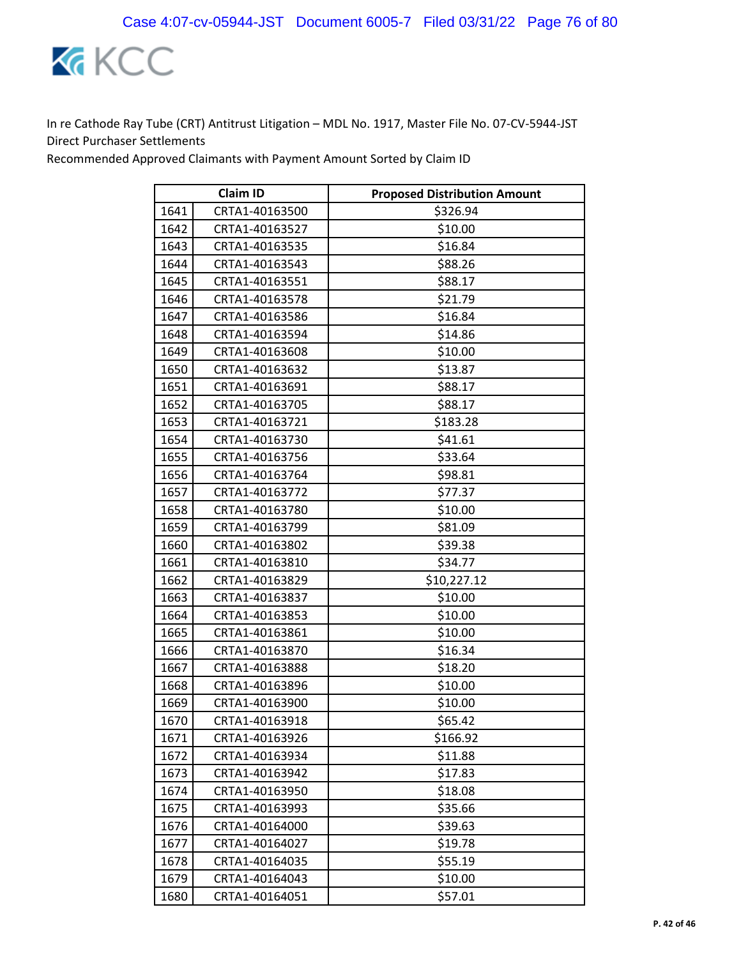

| <b>Claim ID</b> |                | <b>Proposed Distribution Amount</b> |
|-----------------|----------------|-------------------------------------|
| 1641            | CRTA1-40163500 | \$326.94                            |
| 1642            | CRTA1-40163527 | \$10.00                             |
| 1643            | CRTA1-40163535 | \$16.84                             |
| 1644            | CRTA1-40163543 | \$88.26                             |
| 1645            | CRTA1-40163551 | \$88.17                             |
| 1646            | CRTA1-40163578 | \$21.79                             |
| 1647            | CRTA1-40163586 | \$16.84                             |
| 1648            | CRTA1-40163594 | \$14.86                             |
| 1649            | CRTA1-40163608 | \$10.00                             |
| 1650            | CRTA1-40163632 | \$13.87                             |
| 1651            | CRTA1-40163691 | \$88.17                             |
| 1652            | CRTA1-40163705 | \$88.17                             |
| 1653            | CRTA1-40163721 | \$183.28                            |
| 1654            | CRTA1-40163730 | \$41.61                             |
| 1655            | CRTA1-40163756 | \$33.64                             |
| 1656            | CRTA1-40163764 | \$98.81                             |
| 1657            | CRTA1-40163772 | \$77.37                             |
| 1658            | CRTA1-40163780 | \$10.00                             |
| 1659            | CRTA1-40163799 | \$81.09                             |
| 1660            | CRTA1-40163802 | \$39.38                             |
| 1661            | CRTA1-40163810 | \$34.77                             |
| 1662            | CRTA1-40163829 | \$10,227.12                         |
| 1663            | CRTA1-40163837 | \$10.00                             |
| 1664            | CRTA1-40163853 | \$10.00                             |
| 1665            | CRTA1-40163861 | \$10.00                             |
| 1666            | CRTA1-40163870 | \$16.34                             |
| 1667            | CRTA1-40163888 | \$18.20                             |
| 1668            | CRTA1-40163896 | \$10.00                             |
| 1669            | CRTA1-40163900 | \$10.00                             |
| 1670            | CRTA1-40163918 | \$65.42                             |
| 1671            | CRTA1-40163926 | \$166.92                            |
| 1672            | CRTA1-40163934 | \$11.88                             |
| 1673            | CRTA1-40163942 | \$17.83                             |
| 1674            | CRTA1-40163950 | \$18.08                             |
| 1675            | CRTA1-40163993 | \$35.66                             |
| 1676            | CRTA1-40164000 | \$39.63                             |
| 1677            | CRTA1-40164027 | \$19.78                             |
| 1678            | CRTA1-40164035 | \$55.19                             |
| 1679            | CRTA1-40164043 | \$10.00                             |
| 1680            | CRTA1-40164051 | \$57.01                             |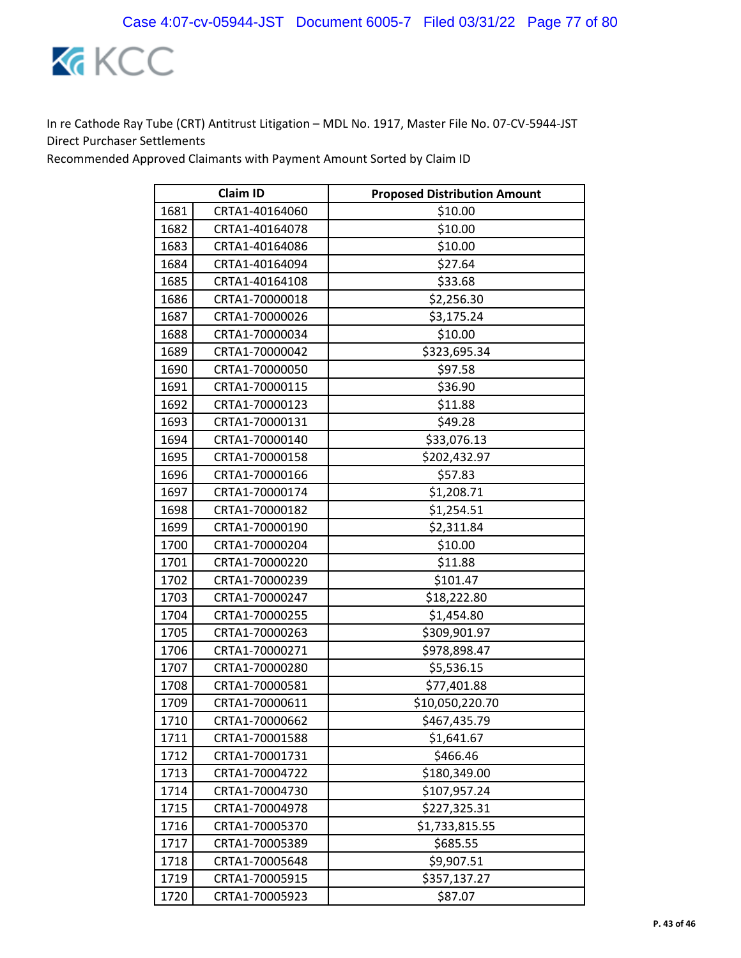

|      | <b>Claim ID</b> | <b>Proposed Distribution Amount</b> |
|------|-----------------|-------------------------------------|
| 1681 | CRTA1-40164060  | \$10.00                             |
| 1682 | CRTA1-40164078  | \$10.00                             |
| 1683 | CRTA1-40164086  | \$10.00                             |
| 1684 | CRTA1-40164094  | \$27.64                             |
| 1685 | CRTA1-40164108  | \$33.68                             |
| 1686 | CRTA1-70000018  | \$2,256.30                          |
| 1687 | CRTA1-70000026  | \$3,175.24                          |
| 1688 | CRTA1-70000034  | \$10.00                             |
| 1689 | CRTA1-70000042  | \$323,695.34                        |
| 1690 | CRTA1-70000050  | \$97.58                             |
| 1691 | CRTA1-70000115  | \$36.90                             |
| 1692 | CRTA1-70000123  | \$11.88                             |
| 1693 | CRTA1-70000131  | \$49.28                             |
| 1694 | CRTA1-70000140  | \$33,076.13                         |
| 1695 | CRTA1-70000158  | \$202,432.97                        |
| 1696 | CRTA1-70000166  | \$57.83                             |
| 1697 | CRTA1-70000174  | \$1,208.71                          |
| 1698 | CRTA1-70000182  | \$1,254.51                          |
| 1699 | CRTA1-70000190  | \$2,311.84                          |
| 1700 | CRTA1-70000204  | \$10.00                             |
| 1701 | CRTA1-70000220  | \$11.88                             |
| 1702 | CRTA1-70000239  | \$101.47                            |
| 1703 | CRTA1-70000247  | \$18,222.80                         |
| 1704 | CRTA1-70000255  | \$1,454.80                          |
| 1705 | CRTA1-70000263  | \$309,901.97                        |
| 1706 | CRTA1-70000271  | \$978,898.47                        |
| 1707 | CRTA1-70000280  | \$5,536.15                          |
| 1708 | CRTA1-70000581  | \$77,401.88                         |
| 1709 | CRTA1-70000611  | \$10,050,220.70                     |
| 1710 | CRTA1-70000662  | \$467,435.79                        |
| 1711 | CRTA1-70001588  | \$1,641.67                          |
| 1712 | CRTA1-70001731  | \$466.46                            |
| 1713 | CRTA1-70004722  | \$180,349.00                        |
| 1714 | CRTA1-70004730  | \$107,957.24                        |
| 1715 | CRTA1-70004978  | \$227,325.31                        |
| 1716 | CRTA1-70005370  | \$1,733,815.55                      |
| 1717 | CRTA1-70005389  | \$685.55                            |
| 1718 | CRTA1-70005648  | \$9,907.51                          |
| 1719 | CRTA1-70005915  | \$357,137.27                        |
| 1720 | CRTA1-70005923  | \$87.07                             |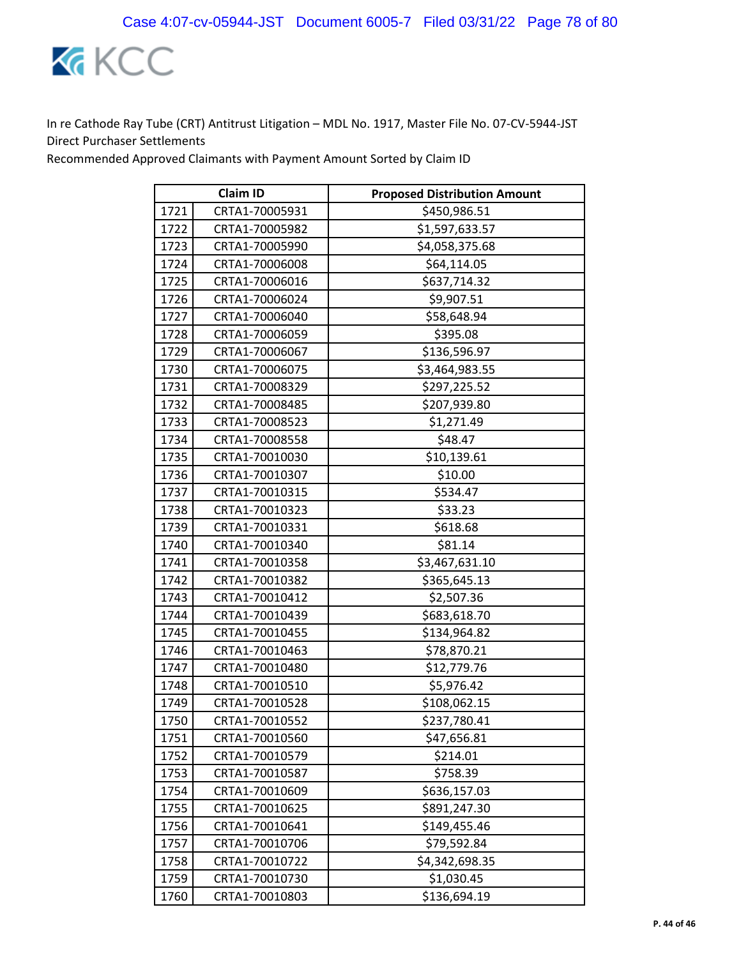

| <b>Claim ID</b> |                | <b>Proposed Distribution Amount</b> |
|-----------------|----------------|-------------------------------------|
| 1721            | CRTA1-70005931 | \$450,986.51                        |
| 1722            | CRTA1-70005982 | \$1,597,633.57                      |
| 1723            | CRTA1-70005990 | \$4,058,375.68                      |
| 1724            | CRTA1-70006008 | \$64,114.05                         |
| 1725            | CRTA1-70006016 | \$637,714.32                        |
| 1726            | CRTA1-70006024 | \$9,907.51                          |
| 1727            | CRTA1-70006040 | \$58,648.94                         |
| 1728            | CRTA1-70006059 | \$395.08                            |
| 1729            | CRTA1-70006067 | \$136,596.97                        |
| 1730            | CRTA1-70006075 | \$3,464,983.55                      |
| 1731            | CRTA1-70008329 | \$297,225.52                        |
| 1732            | CRTA1-70008485 | \$207,939.80                        |
| 1733            | CRTA1-70008523 | \$1,271.49                          |
| 1734            | CRTA1-70008558 | \$48.47                             |
| 1735            | CRTA1-70010030 | \$10,139.61                         |
| 1736            | CRTA1-70010307 | \$10.00                             |
| 1737            | CRTA1-70010315 | \$534.47                            |
| 1738            | CRTA1-70010323 | \$33.23                             |
| 1739            | CRTA1-70010331 | \$618.68                            |
| 1740            | CRTA1-70010340 | \$81.14                             |
| 1741            | CRTA1-70010358 | \$3,467,631.10                      |
| 1742            | CRTA1-70010382 | \$365,645.13                        |
| 1743            | CRTA1-70010412 | \$2,507.36                          |
| 1744            | CRTA1-70010439 | \$683,618.70                        |
| 1745            | CRTA1-70010455 | \$134,964.82                        |
| 1746            | CRTA1-70010463 | \$78,870.21                         |
| 1747            | CRTA1-70010480 | \$12,779.76                         |
| 1748            | CRTA1-70010510 | \$5,976.42                          |
| 1749            | CRTA1-70010528 | \$108,062.15                        |
| 1750            | CRTA1-70010552 | \$237,780.41                        |
| 1751            | CRTA1-70010560 | \$47,656.81                         |
| 1752            | CRTA1-70010579 | \$214.01                            |
| 1753            | CRTA1-70010587 | \$758.39                            |
| 1754            | CRTA1-70010609 | \$636,157.03                        |
| 1755            | CRTA1-70010625 | \$891,247.30                        |
| 1756            | CRTA1-70010641 | \$149,455.46                        |
| 1757            | CRTA1-70010706 | \$79,592.84                         |
| 1758            | CRTA1-70010722 | \$4,342,698.35                      |
| 1759            | CRTA1-70010730 | \$1,030.45                          |
| 1760            | CRTA1-70010803 | \$136,694.19                        |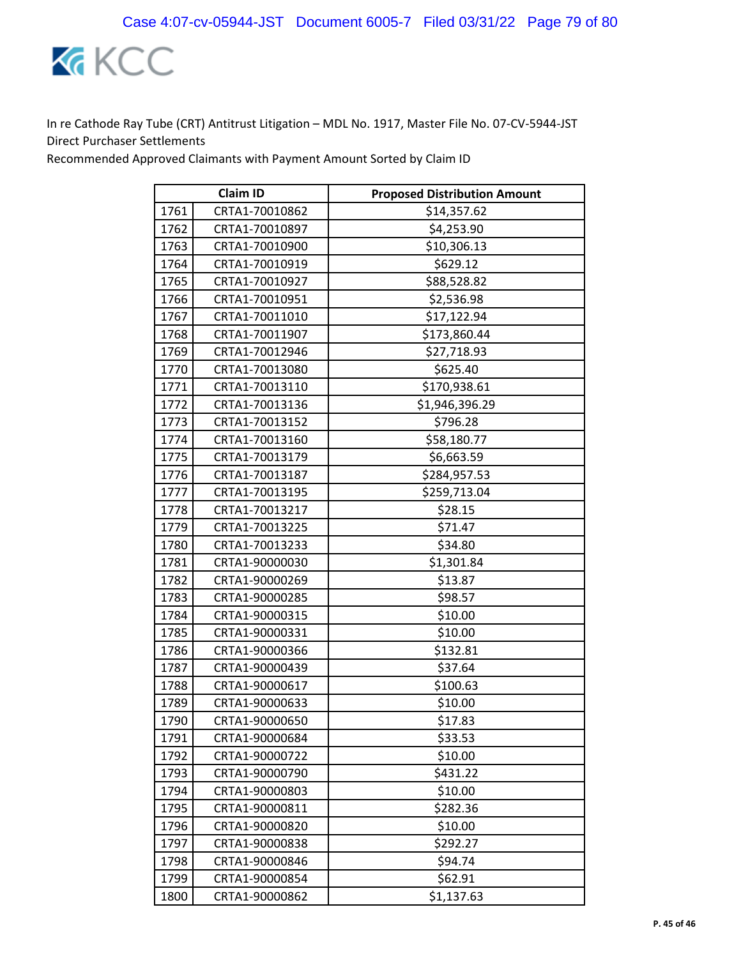

| <b>Claim ID</b> |                | <b>Proposed Distribution Amount</b> |
|-----------------|----------------|-------------------------------------|
| 1761            | CRTA1-70010862 | \$14,357.62                         |
| 1762            | CRTA1-70010897 | \$4,253.90                          |
| 1763            | CRTA1-70010900 | \$10,306.13                         |
| 1764            | CRTA1-70010919 | \$629.12                            |
| 1765            | CRTA1-70010927 | \$88,528.82                         |
| 1766            | CRTA1-70010951 | \$2,536.98                          |
| 1767            | CRTA1-70011010 | \$17,122.94                         |
| 1768            | CRTA1-70011907 | \$173,860.44                        |
| 1769            | CRTA1-70012946 | \$27,718.93                         |
| 1770            | CRTA1-70013080 | \$625.40                            |
| 1771            | CRTA1-70013110 | \$170,938.61                        |
| 1772            | CRTA1-70013136 | \$1,946,396.29                      |
| 1773            | CRTA1-70013152 | \$796.28                            |
| 1774            | CRTA1-70013160 | \$58,180.77                         |
| 1775            | CRTA1-70013179 | \$6,663.59                          |
| 1776            | CRTA1-70013187 | \$284,957.53                        |
| 1777            | CRTA1-70013195 | \$259,713.04                        |
| 1778            | CRTA1-70013217 | \$28.15                             |
| 1779            | CRTA1-70013225 | \$71.47                             |
| 1780            | CRTA1-70013233 | \$34.80                             |
| 1781            | CRTA1-90000030 | \$1,301.84                          |
| 1782            | CRTA1-90000269 | \$13.87                             |
| 1783            | CRTA1-90000285 | \$98.57                             |
| 1784            | CRTA1-90000315 | \$10.00                             |
| 1785            | CRTA1-90000331 | \$10.00                             |
| 1786            | CRTA1-90000366 | \$132.81                            |
| 1787            | CRTA1-90000439 | \$37.64                             |
| 1788            | CRTA1-90000617 | \$100.63                            |
| 1789            | CRTA1-90000633 | \$10.00                             |
| 1790            | CRTA1-90000650 | \$17.83                             |
| 1791            | CRTA1-90000684 | \$33.53                             |
| 1792            | CRTA1-90000722 | \$10.00                             |
| 1793            | CRTA1-90000790 | \$431.22                            |
| 1794            | CRTA1-90000803 | \$10.00                             |
| 1795            | CRTA1-90000811 | \$282.36                            |
| 1796            | CRTA1-90000820 | \$10.00                             |
| 1797            | CRTA1-90000838 | \$292.27                            |
| 1798            | CRTA1-90000846 | \$94.74                             |
| 1799            | CRTA1-90000854 | \$62.91                             |
| 1800            | CRTA1-90000862 | \$1,137.63                          |